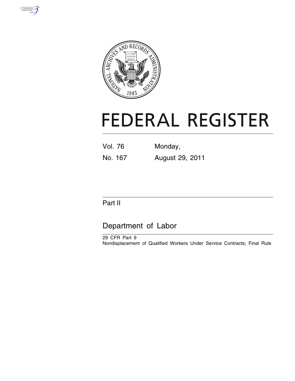



# **FEDERAL REGISTER**

Vol. 76 Monday, No. 167 August 29, 2011

# Part II

# Department of Labor

29 CFR Part 9 Nondisplacement of Qualified Workers Under Service Contracts; Final Rule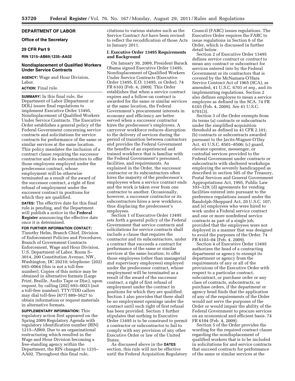# **DEPARTMENT OF LABOR**

# **Office of the Secretary**

### **29 CFR Part 9**

#### **RIN 1215–AB69;1235–AA02**

# **Nondisplacement of Qualified Workers Under Service Contracts**

**AGENCY:** Wage and Hour Division, Labor.

# **ACTION:** Final rule.

**SUMMARY:** In this final rule, the Department of Labor (Department or DOL) issues final regulations to implement Executive Order 13495, Nondisplacement of Qualified Workers Under Service Contracts. The Executive Order establishes a general policy of the Federal Government concerning service contracts and solicitations for service contracts for performance of the same or similar services at the same location. This policy mandates the inclusion of a contract clause requiring the successor contractor and its subcontractors to offer those employees employed under the predecessor contract, whose employment will be otherwise terminated as a result of the award of the successor contract, a right of first refusal of employment under the successor contract in positions for which they are qualified.

**DATES:** The effective date for this final rule is pending, and the Department will publish a notice in the **Federal Register** announcing the effective date once it is determined.

# **FOR FURTHER INFORMATION CONTACT:**

Timothy Helm, Branch Chief, Division of Enforcement Policies and Procedures, Branch of Government Contracts Enforcement, Wage and Hour Division, U.S. Department of Labor, Room S– 3014, 200 Constitution Avenue, NW., Washington, DC 20210; telephone: (202) 693–0064 (this is not a toll-free number). Copies of this notice may be obtained in alternative formats (Large Print, Braille, Audio Tape or Disc), upon request, by calling (202) 693–0023 (not a toll-free number). TTY/TDD callers may dial toll-free (877) 889–5627 to obtain information or request materials in alternative formats.

**SUPPLEMENTARY INFORMATION:** This regulatory action first appeared on the Spring 2009 Regulatory Agenda with regulatory identification number (RIN) 1215–AB69. Due to an organizational restructuring which resulted in the Wage and Hour Division becoming a free-standing agency within the Department, the RIN changed to 1235– AA02. Throughout this final rule,

citations to various statutes such as the Service Contract Act have been revised to reflect the recodification of those Acts in January 2011.

# **I. Executive Order 13495 Requirements and Background**

On January 30, 2009, President Barack Obama signed Executive Order 13495, Nondisplacement of Qualified Workers Under Service Contracts (Executive Order 13495, E.O. 13495, or Order). 74 FR 6103 (Feb. 4, 2009). This Order establishes that when a service contract expires and a follow-on contract is awarded for the same or similar services at the same location, the Federal Government's procurement interests in economy and efficiency are better served when a successor contractor hires the predecessor's employees. A carryover workforce reduces disruption to the delivery of services during the period of transition between contractors and provides the Federal Government the benefits of an experienced and trained workforce that is familiar with the Federal Government's personnel, facilities, and requirements. As explained in the Order, the successor contractor or its subcontractors often hires the majority of the predecessor's employees when a service contract ends and the work is taken over from one contractor to another. Occasionally, however, a successor contractor or its subcontractors hires a new workforce, thus displacing the predecessor's employees.

Section 1 of Executive Order 13495 sets forth a general policy of the Federal Government that service contracts and solicitations for service contracts shall include a clause that requires the contractor and its subcontractors, under a contract that succeeds a contract for performance of the same or similar services at the same location, to offer those employees (other than managerial and supervisory employees) employed under the predecessor contract, whose employment will be terminated as a result of the award of the successor contract, a right of first refusal of employment under the contract in positions for which they are qualified. Section 1 also provides that there shall be no employment openings under the contract until such right of first refusal has been provided. Section 1 further stipulates that nothing in Executive Order 13495 is to be construed to permit a contractor or subcontractor to fail to comply with any provision of any other Executive Order or law of the United States.

As discussed above in the **DATES** section, this rule will not be effective until the Federal Acquisition Regulatory

Council (FARC) issues regulations. The Executive Order requires the FARC to issue regulations in Section 6 of the Order, which is discussed in further detail below.

Section 2 of Executive Order 13495 defines *service contract* or *contract* to mean any contract or subcontract for services entered into by the Federal Government or its contractors that is covered by the McNamara-O'Hara Service Contract Act of 1965 (SCA), as amended, 41 U.S.C. 6701 *et seq.,* and its implementing regulations. Section 2 also defines *employee* to mean a service employee as defined in the SCA. 74 FR 6103 (Feb. 4, 2009). *See* 41 U.S.C. 6701(3).

Section 3 of the Order exempts from its terms (a) contracts or subcontracts under the simplified acquisition threshold as defined in 41 CFR 2.101; (b) contracts or subcontracts awarded pursuant to the Javits-Wagner-O'Day Act, 41 U.S.C. 8501–8506; (c) guard, elevator operator, messenger, or custodial services provided to the Federal Government under contracts or subcontracts with sheltered workshops employing the severely handicapped as described in section 505 of the Treasury, Postal Services and General Government Appropriations Act, 1995, Public Law 103–329; (d) agreements for vending facilities entered into pursuant to the preference regulations issued under the Randolph-Sheppard Act, 20 U.S.C. 107; and (e) employees who were hired to work under a Federal service contract and one or more nonfederal service contracts as part of a single job, provided that the employees were not deployed in a manner that was designed to avoid the purposes of the Order. 74 FR 6103–04 (Feb. 4, 2009).

Section 4 of Executive Order 13495 authorizes the head of a contracting department or agency to exempt its department or agency from the requirements of any or all of the provisions of the Executive Order with respect to a particular contract, subcontract, or purchase order or any class of contracts, subcontracts, or purchase orders, if the department or agency head finds that the application of any of the requirements of the Order would not serve the purposes of the Order or would impair the ability of the Federal Government to procure services on an economical and efficient basis. 74 FR 6104 (Feb. 4, 2009).

Section 5 of the Order provides the wording for the required contract clause regarding the nondisplacement of qualified workers that is to be included in solicitations for and service contracts that succeed contracts for performance of the same or similar services at the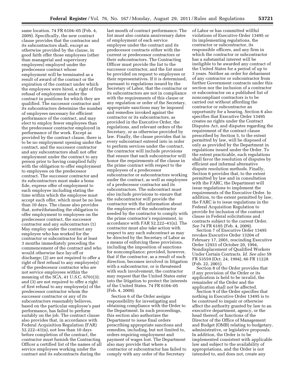same location. 74 FR 6104–05 (Feb. 4, 2009). Specifically, the new contract clause provides that the contractor and its subcontractors shall, except as otherwise provided by the clause, in good faith offer those employees (other than managerial and supervisory employees) employed under the predecessor contract whose employment will be terminated as a result of award of the contract or the expiration of the contract under which the employees were hired, a right of first refusal of employment under the contract in positions for which they are qualified. The successor contractor and its subcontractors determine the number of employees necessary for efficient performance of the contract, and may elect to employ fewer employees than the predecessor contractor employed in performance of the work. Except as provided by the contract clause, there is to be no employment opening under the contract, and the successor contractor and any subcontractors shall not offer employment under the contract to any person prior to having complied fully with the obligation to offer employment to employees on the predecessor contract. The successor contractor and its subcontractors must make a bona fide, express offer of employment to each employee including stating the time within which the employee must accept such offer, which must be no less than 10 days. The clause also provides that, notwithstanding the obligation to offer employment to employees on the predecessor contract, the successor contractor and any subcontractors (1) May employ under the contract any employee who has worked for the contractor or subcontractor for at least 3 months immediately preceding the commencement of the contract and who would otherwise face lay-off or discharge; (2) are not required to offer a right of first refusal to any employee(s) of the predecessor contractor who are not service employees within the meaning of the SCA, 41 U.S.C. 6701(3); and (3) are not required to offer a right of first refusal to any employee(s) of the predecessor contractor whom the successor contractor or any of its subcontractors reasonably believes, based on the particular employee's past performance, has failed to perform suitably on the job. The contract clause also provides that, in accordance with Federal Acquisition Regulation (FAR) 52.222–41(n), not less than 10 days before completion of the contract, the contractor must furnish the Contracting Officer a certified list of the names of all service employees working under the contract and its subcontracts during the

last month of contract performance. The list must also contain anniversary dates of employment of each service employee under the contract and its predecessor contracts either with the current or predecessor contractors or their subcontractors. The Contracting Officer must provide the list to the successor contractor, and the list must be provided on request to employees or their representatives. If it is determined, pursuant to regulations issued by the Secretary of Labor, that the contractor or its subcontractors are not in compliance with the requirements of this clause or any regulation or order of the Secretary, appropriate sanctions may be imposed and remedies invoked against the contractor or its subcontractors, as provided in the Executive Order, the regulations, and relevant orders of the Secretary, or as otherwise provided by law. Finally, the clause provides that in every subcontract entered into in order to perform services under the contract, the contractor will include provisions that ensure that each subcontractor will honor the requirements of the clause in the prime contract with respect to the employees of a predecessor subcontractor or subcontractors working under the contract, as well as employees of a predecessor contractor and its subcontractors. The subcontract must also include provisions to ensure that the subcontractor will provide the contractor with the information about the employees of the subcontractor needed by the contractor to comply with the prime contractor's requirement, in accordance with FAR 52.222–41(n). The contractor must also take action with respect to any such subcontract as may be directed by the Secretary of Labor as a means of enforcing these provisions, including the imposition of sanctions for noncompliance; provided, however, that if the contractor, as a result of such direction, becomes involved in litigation with a subcontractor, or is threatened with such involvement, the contractor may request that the United States enter into the litigation to protect the interests of the United States. 74 FR 6104–05 (Feb. 4, 2009).

Section 6 of the Order assigns responsibility for investigating and obtaining compliance with the Order to the Department. In such proceedings, this section also authorizes the Department to issue final orders prescribing appropriate sanctions and remedies, including, but not limited to, orders requiring employment and payment of wages lost. The Department also may provide that where a contractor or subcontractor has failed to comply with any order of the Secretary

of Labor or has committed willful violations of Executive Order 13495 or its implementing regulations, the contractor or subcontractor, its responsible officers, and any firm in which the contractor or subcontractor has a substantial interest will be ineligible to be awarded any contract of the United States for a period of up to 3 years. Neither an order for debarment of any contractor or subcontractor from further Government contracts under this section nor the inclusion of a contractor or subcontractor on a published list of noncompliant contractors is to be carried out without affording the contractor or subcontractor an opportunity for a hearing. Section 6 also specifies that Executive Order 13495 creates no rights under the Contract Disputes Act, and disputes regarding the requirement of the contract clause prescribed by Section 5, to the extent permitted by law, will be disposed of only as provided by the Department in regulations issued under the Order. To the extent practicable, such regulations shall favor the resolution of disputes by efficient and informal alternative dispute resolution methods. Finally, Section 6 provides that, to the extent permitted by law and in consultation with the FARC, the Department will issue regulations to implement the requirements of the Executive Order. In addition, to the extent permitted by law, the FARC is to issue regulations in the Federal Acquisition Regulation to provide for inclusion of the contract clause in Federal solicitations and contracts subject to the current Order. *See* 74 FR 6105 (Feb. 4, 2009).

Section 7 of Executive Order 13495 revokes Executive Order 13204 of February 17, 2001, rescinding Executive Order 12933 of October 20, 1994, Nondisplacement of Qualified Workers Under Certain Contracts. *Id. See also* 59 FR 53559 (Oct. 24, 1994), 66 FR 11228 (Feb. 22, 2001).

Section 8 of the Order provides that if any provision of the Order or its application is held to be invalid, the remainder of the Order and the application shall not be affected.

Section 9 of the Order specifies that nothing in Executive Order 13495 is to be construed to impair or otherwise affect the authority granted by law to an executive department, agency, or the head thereof; or functions of the Director of the Office of Management and Budget (OMB) relating to budgetary, administrative, or legislative proposals. In addition, the Order is to be implemented consistent with applicable law and subject to the availability of appropriations, and the Order is not intended to, and does not, create any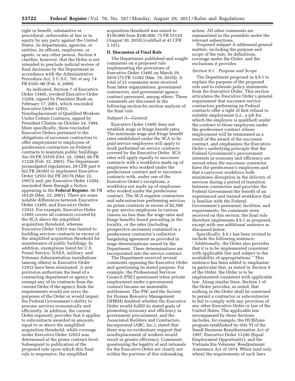right or benefit, substantive or procedural, enforceable at law or in equity by any party against the United States, its departments, agencies, or entities, its officers, employees, or agents, or any other person. Section 9 clarifies, however, that the Order is not intended to preclude judicial review of final decisions by the Department in accordance with the Administrative Procedure Act, 5 U.S.C. 701 *et seq.* 74 FR 6105–06 (Feb. 4, 2009).

As indicated, Section 7 of Executive Order 13495, revoked Executive Order 13204, signed by President Bush on February 17, 2001, which rescinded Executive Order 12933, Nondisplacement of Qualified Workers Under Certain Contracts, signed by President Clinton on October 24, 1994. More specifically, these rescinded Executive Orders pertained to the obligations of successor contractors to offer employment to employees of predecessor contractors on Federal contracts to maintain public buildings. *See* 59 FR 53559 (Oct. 24, 1994), 66 FR 11228 (Feb. 22, 2001). The Department promulgated regulations, 29 CFR part 9 (62 FR 28185) to implement Executive Order 12933 (62 FR 28176 (May 22, 1997)) and, per Executive Order 13204, rescinded them through a Notice appearing in the **Federal Register**. 66 FR 16126 (Mar. 23, 2001). There are some notable differences between Executive Order 13495, and Executive Order 12933. For example, Executive Order 13495 covers all contracts covered by the SCA above the simplified acquisition threshold, whereas Executive Order 12933 was limited to building services contracts in excess of the simplified acquisition threshold for maintenance of public buildings. In addition, exemptions listed for U.S. Postal Service, NASA, military, and Veterans Administration installations (among others) in Executive Order 12933 have been eliminated. A new provision authorizes the head of a contracting department or agency to exempt any of its contracts from the current Order if the agency finds the requirements would not serve the purposes of the Order or would impair the Federal Government's ability to procure services economically and efficiently. In addition, the current Order expressly provides that it applies to subcontracts awarded in amounts equal to or above the simplified acquisition threshold, while coverage under Executive Order 12933 was determined at the prime contract level. Subsequent to publication of the proposed rule upon which this final rule is responsive, the simplified

acquisition threshold was raised to \$150,000 from \$100,000. 75 FR 53129 (August 30, 2010) (codified at 41 CFR 2.101).

#### **II. Discussion of Final Rule**

The Department published and sought comments on a proposed rule implementing the provisions of Executive Order 13495 on March 19, 2010 (75 FR 13382 (Mar. 19, 2010)). A total of 21 comments were received from labor organizations, government contractors, and government agency contract personnel, among others. These comments are discussed in the following section-by-section analysis of the final rule.

#### *Subpart A—General*

Executive Order 13495 does not establish wage or fringe benefit rates. The minimum wage and fringe benefit rates established under the SCA to be paid service employees will apply to work performed on service contracts covered by the Executive Order. SCA rates will apply equally to successor contracts with a workforce made up of employees who worked under the predecessor contract and to successor contracts with, under one of the Executive Order's exceptions, a workforce not made up of employees who worked under the predecessor contract. The SCA requires contractors and subcontractors performing services on prime contracts in excess of \$2,500 to pay service employees in various classes no less than the wage rates and fringe benefits found prevailing in the locality, or the rates (including prospective increases) contained in a predecessor contractor's collective bargaining agreement as provided in wage determinations issued by the Department. These determinations are incorporated into the service contract.

The Department received several comments opposing the Executive Order and questioning its stated purpose. For example, the Professional Services Council (PSC) questioned when private employment under a government contract became an immutable entitlement. The PSC and the Society for Human Resource Management (SHRM) doubted whether the Executive Order would fulfill its stated goals of promoting economy and efficiency in government procurement, and the Associated Builders and Contractors, Incorporated (ABC, Inc.), stated that there was no evidentiary support that nondisplacement of workers would result in greater efficiency. Comments questioning the legality of and rationale for the Executive Order are clearly not within the purview of this rulemaking

action. All other comments are summarized in the preamble under the relevant subsections.

Proposed subpart A addressed general matters, including the purpose and scope of the rule, its definitions, coverage under the Order, and the exclusions it provides.

#### *Section 9.1 Purpose and Scope*

The Department proposed in § 9.1 to explain the purpose of the proposed rule and to reiterate policy statements from the Executive Order. This section articulates the Executive Order's general requirement that successor service contractors performing on Federal contracts offer a right of first refusal to suitable employment (i.e., a job for which the employee is qualified) under the contract to those employees under the predecessor contract whose employment will be terminated as a result of the award of the successor contract, and emphasizes the Executive Order's underlying principle that the Federal Government's procurement interests in economy and efficiency are served when the successor contractor hires the predecessor's employees and that a carryover workforce both minimizes disruption in the delivery of services during a period of transition between contractors and provides the Federal Government the benefit of an experienced and trained workforce that is familiar with the Federal Government's personnel, facilities, and requirements. No comments were received on this section; the final rule therefore implements § 9.1 as proposed, except with one additional sentence as discussed below.

Specifically, § 9.1 has been revised to include the following sentence: ''Additionally, the Order also provides that it is to be implemented consistent with applicable law and subject to the availability of appropriations.'' This sentence has been added to emphasize in particular that, as stated in Section 9 of the Order, the Order is to be implemented consistent with applicable law. Along similar lines, Section 1 of the Order provides, as noted, that nothing in the Order shall be construed to permit a contractor or subcontractor to fail to comply with any provision of any other Executive Order or law of the United States. The applicable law encompassed by these Sections includes, for example, the HUBZone program established by title VI of the Small Business Reauthorization Act of 1997, Executive Order 11246 (Equal Employment Opportunity), and the Vietnam Era Veterans' Readjustment Assistance Act of 1974. When (and only when) the requirements of such laws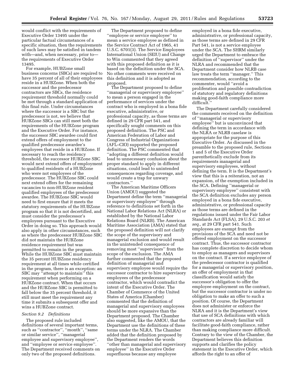would conflict with the requirements of Executive Order 13495 under the particular factual circumstances of a specific situation, then the requirements of such laws may be satisfied in tandem with—and, when necessary, prior to the requirements of Executive Order 13495.

For example, HUBZone small business concerns (SBCs) are required to have 35 percent of all of their employees reside in a HUBZone. When both the successor and the predecessor contractors are SBCs, the residence requirement threshold normally could be met through a standard application of this final rule. Under circumstances where the successor is a SBC but the predecessor is not, we believe that HUBZone SBCs can still meet both the requirements of the HUBZone program and the Executive Order. For instance, the successor SBC awardee could first extend offers of employment to the qualified predecessor awardee's employees that reside in a HUBZone. If necessary to reach the residency threshold, the successor HUBZone SBC would next extend offers of employment to qualified residents of a HUBZone who were not employees of the predecessor. The HUBZone SBC could next extend offers for the remaining vacancies to non-HUBZone resident qualified employees of the predecessor awardee. The HUBZone SBC would need to first ensure that it meets the statutory requirements of the HUBZone program so that it is not decertified, and must consider the predecessor's employees pursuant to the Executive Order in doing so. This approach would also apply in other circumstances, such as where the predecessor HUBZone SBC did not maintain the HUBZone residence requirement but was permitted to remain in the program. While the HUBZone SBC must maintain the 35 percent HUBZone residency requirement at all times while certified in the program, there is an exception: an SBC may ''attempt to maintain'' this requirement when performing on a HUBZone contract. When that occurs and the HUBZone SBC is permitted to fall below the 35 percent threshold, it still must meet the requirement any time it submits a subsequent offer and wins a HUBZone contract.

# *Section 9.2 Definitions*

The proposed rule included definitions of several important terms, such as ''contractor'', ''month'', ''same or similar service'', ''managerial employee and supervisory employee'', and ''employee or service employee''. The Department received comments on only two of the proposed definitions.

The Department proposed to define ''employee or service employee'' to mean a service employee as defined in the Service Contract Act of 1965, 41 U.S.C. 6701(3). The Service Employees International Union (SEIU) and Change to Win commented that they agreed with this proposed definition as it is based on the definition under the SCA. No other comments were received on this definition and it is adopted as proposed.

The Department proposed to define ''managerial or supervisory employee'' to mean a person engaged in the performance of services under the contract who is employed in a bona fide executive, administrative, or professional capacity, as those terms are defined in 29 CFR part 541, and specifically sought comments on this proposed definition. The PSC and American Federation of Labor and Congress of Industrial Organizations (AFL–CIO) supported the proposed definition. The PSC commented that ''adopting a different definition would lead to unnecessary confusion about the proper standard to apply in different situations, could lead to unintended consequences regarding coverage, and would create a trap for unwary contractors.''

The American Maritime Officers Union (AMOU) suggested the Department define the term ''managerial or supervisory employee'' through reference to definitions set forth in the National Labor Relations Act (NLRA) or established by the National Labor Relations Board (NLRB). The American Maritime Association (AMA) stated that the proposed definition will not clarify the scope of the supervisory and managerial exclusion and would result in the unintended consequence of removing most ''supervisors'' from the scope of the exclusion. The AMA further commented that the proposed definition of managerial and supervisory employee would require the successor contractor to hire supervisory employees of the predecessor contractor, which would contradict the intent of the Executive Order. The Chamber of Commerce of the United States of America (Chamber) commented that the definition of managerial and supervisory employees should be more expansive than the Department proposed. The Chamber also suggested, like the AMOU, that the Department use the definitions of these terms under the NLRA. The Chamber added that the definition proposed by the Department renders the words ''other than managerial and supervisory employee'' in the Executive Order superfluous because any employee

employed in a bona fide executive, administrative, or professional capacity, as those terms are defined in 29 CFR Part 541, is not a service employee under the SCA. The SHRM similarly urged the Department to embrace the definition of ''supervisor'' under the NLRA and recommended that the Department consider how NLRB case law treats the term ''manager.'' This recommendation, according to the commenter, would ''avoid a proliferation and possible contradiction of statutory and regulatory definitions making good-faith compliance more difficult.''

The Department carefully considered the comments received on the definition of ''managerial or supervisory employee'' but is unconvinced that defining the term in accordance with the NLRA or NLRB caselaw is appropriate for the purpose of this Executive Order. As discussed in the preamble to the proposed rule, Sections 1 and 5 of the Executive Order parenthetically exclude from its requirements managerial and supervisory employees, without defining the term. It is the Department's view that this is a reiteration, not an expansion, of the exemption included in the SCA. Defining ''managerial or supervisory employee'' consistent with the SCA definition excludes any person employed in a bona fide executive, administrative, or professional capacity as those terms are defined in the regulations issued under the Fair Labor Standards Act (FLSA), 29 U.S.C. 203 *et seq.,* at 29 CFR part 541. Such employees are exempt from the provisions of the SCA and need not be offered employment on the successor contract. Thus, the successor contractor has complete discretion to decide whom to employ as managers and supervisors on the contract. If a service employee of the predecessor contractor is qualified for a managerial or supervisory position, an offer of employment in that classification would satisfy the successor's obligation to offer the employee employment on the contract, but the successor contractor is under no obligation to make an offer to such a position. Of course, the Department does not administer or enforce the NLRA and it is the Department's view that use of SCA definitions with which contractors are already familiar will facilitate good-faith compliance, rather than making compliance more difficult. Contrary to the view of the Chamber, the Department believes this definition supports and clarifies the policy statement in the Executive Order, which affords the right to an offer of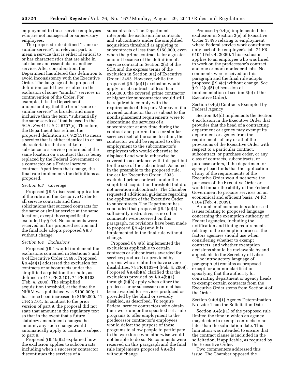employment to those service employees who are not managerial or supervisory employees.

The proposed rule defined ''same or similar service'', in relevant part, to mean a service that is either identical to or has characteristics that are alike in substance and essentials to another service. After consideration, the Department has altered this definition to avoid inconsistency with the Executive Order. The language of the proposed definition could have resulted in the exclusion of some ''similar'' services in contravention of the Order. For example, it is the Department's understanding that the term ''same or similar service'' is broader and more inclusive than the term ''substantially the same services'' that is used in the SCA. *See* 41 U.S.C. 6707(c). Therefore, the Department has refined the proposed definition at § 9.2(13) to mean a service that is either identical to or has characteristics that are alike in substance to a service performed at the same location on a contract that is being replaced by the Federal Government or a contractor on a Federal service contract. Apart from that change, the final rule implements the definitions as proposed.

#### *Section 9.3 Coverage*

Proposed § 9.3 discussed application of the rule and the Executive Order to all service contracts and their solicitations that succeed contracts for the same or similar service at the same location, except those specifically excluded by § 9.4. No comments were received on this proposed section and the final rule adopts proposed § 9.3 without change.

#### *Section 9.4 Exclusions*

Proposed § 9.4 would implement the exclusions contained in Sections 3 and 4 of Executive Order 13495. Proposed § 9.4(a)(1) addressed the exclusion for contracts or subcontracts under the simplified acquisition threshold, as defined in 41 CFR 2.101. 74 FR 6103 (Feb. 4, 2009). The simplified acquisition threshold, at the time the NPRM was published was \$100,000; it has since been increased to \$150,000. 41 CFR 2.101. In contrast to the prior version of part 9, the proposal did not state that amount in the regulatory text so that in the event that a future statutory amendment changes the amount, any such change would automatically apply to contracts subject to part 9.

Proposed  $\S 9.4(a)(2)$  explained how the exclusion applies to subcontracts, including when a successor contractor discontinues the services of a

subcontractor. The Department interprets the exclusion for contracts and subcontracts under the simplified acquisition threshold as applying to subcontracts of less than \$150,000, even when the prime contract is for a greater amount because of the definition of a service contract in Section 2(a) of the SCA and the express terms of the exclusion in Section 3(a) of Executive Order 13495. However, while the proposed § 9.4(a)(1) exclusion would apply to subcontracts of less than \$150,000, the covered prime contractor or higher tier subcontractor would still be required to comply with the requirements of this part. Moreover, if a covered contractor that is subject to the nondisplacement requirements were to discontinue the services of a subcontractor at any time during the contract and perform those or similar services itself at the same location, the contractor would be required to offer employment to the subcontractor's employees who would otherwise be displaced and would otherwise be covered in accordance with this part but for the size of the subcontract. As noted in the preamble to the proposed rule, the earlier Executive Order 12933 excluded prime contracts under the simplified acquisition threshold but did not mention subcontracts. The Chamber requested additional guidance regarding the application of the Executive Order to subcontracts. The Department has concluded that proposed § 9.4(a)(2) is sufficiently instructive; as no other comments were received on this paragraph, no revisions have been made to proposed § 9.4(a) and it is implemented in the final rule without change.

Proposed § 9.4(b) implemented the exclusions applicable to certain contracts or subcontracts awarded for services produced or provided by persons who are blind or have severe disabilities. 74 FR 6103–4 (Feb. 4, 2009). Proposed § 9.4(b)(4) clarified that the exclusions provided by § 9.4(b)(1) through (b)(3) apply when either the predecessor or successor contract has been awarded for services produced or provided by the blind or severely disabled, as described. To require Federal service contractors who obtain their work under the specified set-aside programs to offer employment to the predecessor contractor's employees would defeat the purpose of these programs to allow people to participate in the workforce who otherwise would not be able to do so. No comments were received on this paragraph and the final rule implements proposed § 9.4(b) without change.

Proposed § 9.4(c) implemented the exclusion in Section 3(e) of Executive Order 13495 relating to employment where Federal service work constitutes only part of the employee's job. 74 FR 6104 (Feb. 4, 2009). This exclusion applies to an employee who was hired to work on the predecessor's contract and one or more nonfederal jobs. No comments were received on this paragraph and the final rule adopts proposed § 9.4(c) without change. *See*   $\S 9.12(c)(5)$  (discussion of implementation of section 3(e) of the Executive Order).

Section 9.4(d) Contracts Exempted by Federal Agency

Section 9.4(d) implements the Section 4 exclusion in the Executive Order that provides that the head of a contracting department or agency may exempt its department or agency from the requirements of any or all of the provisions of the Executive Order with respect to a particular contract, subcontract, or purchase order, or any class of contracts, subcontracts, or purchase orders, if the department or agency head finds that the application of any of the requirements of the Executive Order would not serve the purposes of the Executive Order or would impair the ability of the Federal Government to procure services on an economical and efficient basis. 74 FR 6104 (Feb. 4, 2009).

A number of commenters addressed issues relating to proposed language concerning the exemption authority of Federal agencies, including the notification and timing requirements relating to the exemption process, the factors agencies should use when considering whether to exempt contracts, and whether exemption decisions should be reviewable by and appealable to the Secretary of Labor.

The introductory language of paragraph (d) remains as proposed except for a minor clarification specifying that the authority for contracting department or agency heads to exempt certain contracts from the Executive Order stems from Section 4 of the Order.

Section 9.4(d)(1) Agency Determination No Later Than the Solicitation Date

Section 9.4(d)(1) of the proposed rule limited the time in which an agency may decide to exempt contracts to no later than the solicitation date. This limitation was intended to ensure that the contract clause is included in the solicitation, if applicable, as required by the Executive Order.

Two commenters addressed this issue. The Chamber opposed the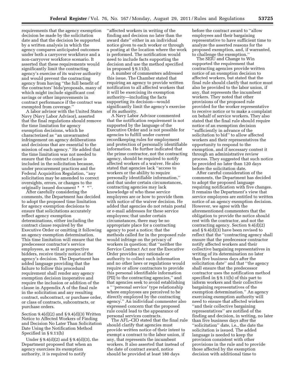requirements that the agency exemption decision be made by the solicitation date and that the decision be supported by a written analysis in which the agency compares anticipated outcomes under both a carryover workforce and a non-carryover workforce scenario. It asserted that these requirements would significantly limit the contracting agency's exercise of its waiver authority and would prevent the contracting agency from having ''the full benefit of the contractors' bids/proposals, many of which might include significant cost savings or other improvements in contract performance if the contract was exempted from coverage.''

A labor advisor with the United States Navy (Navy Labor Advisor), asserted that the final regulations should remove the time limitation for agency exemption decisions, which he characterized as ''an unwarranted infringement on agency deliberations and decisions that are essential to the mission of each agency.'' He added that the time limitation was not needed to ensure that the contract clause is included in the solicitation because, under procurement practices and the Federal Acquisition Regulation, ''any solicitation may be amended to correct oversights, errors, or changes to the originally issued document \* \* \*"

After carefully considering the comments, the Department has decided to adopt the proposed time limitation for agency exemption decisions to ensure that solicitations accurately reflect agency exemption determinations, either including the contract clause required by the Executive Order or omitting it following an agency exemption determination. This time limitation will ensure that the predecessor contractor's service employees, as well as prospective bidders, receive timely notice of the agency's decision. The Department has added language providing that the failure to follow this procedural requirement shall render any agency exemption decision inoperative and require the inclusion or addition of the clause in Appendix A of the final rule in the solicitation and any resulting contract, subcontract, or purchase order, or class of contracts, subcontracts, or purchase orders.

Section  $9.4(d)(2)$  and  $\S 9.4(d)(3)$  Written Notice to Affected Workers of Finding and Decision No Later Than Solicitation Date Using the Notification Method Specified in § 9.11(b)

Under § 9.4(d)(2) and § 9.4(d)(3), the Department proposed that when an agency exercises its exemption authority, it is required to notify

''affected workers in writing of the finding and decision no later than the award date'' either in an individual notice given to each worker or through a posting at the location where the work is performed. The notification would need to include facts supporting the decision and use the method specified in proposed § 9.11(b).

A number of commenters addressed this issue. The Chamber stated that requiring an agency to provide written notification to all affected workers that it will be exercising its exemption authority—including the facts supporting its decision—would significantly limit the agency's exercise of its authority.

A Navy Labor Advisor commented that the notification requirement is not supported by the language of the Executive Order and is not possible for agencies to fulfill under current recordkeeping rules for employment and protection of personally identifiable information. He further indicated that the prime contractor, not the contracting agency, should be required to notify affected workers of a waiver. He also stated that agencies lack ''access to workers or the ability to require personally identifiable information,'' and that under certain circumstances, contracting agencies may lack knowledge of who these service employees are or how to provide them with notice of the waiver decision. He added that agencies do not retain postal or e-mail addresses for these service employees; that under certain circumstances, there may be no appropriate place for a contracting agency to post a notice; that the methods called for in the proposed rule would infringe on the privacy of workers in question; that ''neither the Service Contract Act nor the Executive Order provides any rationale or authority to collect such information and no other laws or regulations would require or allow contractors to provide this personal identifiable information (PII) to the contracting agencies,'' and that agencies seek to avoid establishing a '' 'personal service' type relationship where employees are perceived to be directly employed by the contracting agency.'' An individual commenter also expressed concern that the proposed rule could lead to the appearance of personal services contracts.

The AFL–CIO stated that the final rule should clarify that agencies must provide written notice of their intent to exempt a contract to the labor union, if any, that represents the incumbent workers. It also asserted that instead of the date of contract award, notice should be provided at least 180 days

before the contract award to ''allow employees and their bargaining representative to have sufficient time to analyze the asserted reasons for the proposed exemption, and, if warranted, to challenge the exemption.''

The SEIU and Change to Win supported the requirement that contracting agencies provide written notice of an exemption decision to affected workers, but stated that the final rule should clarify that notice must also be provided to the labor union, if any, that represents the incumbent workers. They noted that other provisions of the proposed rule provided for the worker representative to receive notice or to make a complaint on behalf of service workers. They also stated that the final rule should require notice of an exemption decision ''sufficiently in advance of the solicitation to bid'' to allow affected workers and their representatives the opportunity to respond to the exemption, and if necessary contest it through an administrative review process. They suggested that such notice be provided no later than 120 days before the solicitation date.

After careful consideration of the comments, the Department has decided to adopt the proposed language requiring notification with five changes. It remains the Department's view that service employees are entitled to written notice of an agency exemption decision. However, we agree with the aforementioned commenters that the obligation to provide the notice should rest with the contractor, and not the contracting agency. Section 9.4(d)(2) and § 9.4(d)(3) have been revised to reflect that the ''contracting agency shall ensure that the predecessor contractor notify affected workers and their collective bargaining representatives in writing of its determination no later than five business days after the solicitation date'' and that ''the agency shall ensure that the predecessor contractor uses the notification method specified in § 9.11(b) of this part to inform workers and their collective bargaining representatives of the exemption determination.'' An agency exercising exemption authority will need to ensure that affected workers ''and their collective bargaining representatives'' are notified of the finding and decision, in writing, no later than five business days after the ''solicitation'' date, i.e., the date the solicitation is issued. The added language is needed to keep the provision consistent with other provisions in the rule and to provide those affected by the exemption decision with additional time to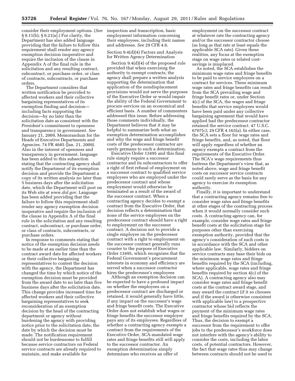consider their employment options. (*See*  inspection and transcription, basic § 9.11(b); § 9.21(a).) For clarity, the Department has also added language providing that the failure to follow this requirement shall render any agency exemption decision inoperative and require the inclusion of the clause in Appendix A of the final rule in the solicitation and any resulting contract, subcontract, or purchase order, or class of contracts, subcontracts, or purchase orders.

The Department considers that written notification be provided to affected workers and their collective bargaining representatives of its exemption finding and decision including facts supporting the decision—by no later than the solicitation date as consistent with the President's commitment to openness and transparency in government. *See*  January 21, 2009, Memorandum for the Heads of Executive Departments and Agencies. 74 FR 4685 (Jan. 21, 2009). Also in the interest of openness and transparency in government, language has been added to this subsection stating that the contracting agency shall notify the Department of its exemption decision and provide the Department a copy of its written analysis no later than 5 business days after the solicitation date, which the Department will post on its Web site at *[www.dol.gov.](http://www.dol.gov)* Language has been added providing that the failure to follow this requirement shall render any agency exemption decision inoperative and require the inclusion of the clause in Appendix A of the final rule in the solicitation and any resulting contract, subcontract, or purchase order, or class of contracts, subcontracts, or purchase orders.

In response to comments stating that notice of the exemption decision needs to be made at an earlier time than the contract award date for affected workers or their collective bargaining representatives to contest the decision with the agency, the Department has changed the time by which notice of the exemption decision must be provided from the award date to no later than five business days after the solicitation date. This change provides increased time for affected workers and their collective bargaining representatives to seek reconsideration of an exemption decision by the head of the contracting department or agency without burdening the agency with providing notice prior to the solicitation date, the date by which the decision must be made. The notification requirement should not be burdensome to fulfill because service contractors on Federal service contracts are already required to maintain, and make available for

employment information concerning their employees, including their names and addresses. *See* 29 CFR 4.6.

Section 9.4(d)(4) Factors and Analysis for Written Agency Determination

Section 9.4(d)(4) of the proposed rule provided that when exercising the authority to exempt contracts, the agency shall prepare a written analysis supporting the determination that application of the nondisplacement provisions would not serve the purposes of the Executive Order or would impair the ability of the Federal Government to procure services on an economical and efficient basis. A number of commenters addressed this issue. Before addressing those comments individually, the Department believes that it may be helpful to summarize both what an exemption determination accomplishes and why the wage and fringe benefit costs of the predecessor contractor are rarely germane to such a determination.

Executive Order 13495 and this final rule simply require a successor contractor and its subcontractors to offer a right of first refusal of employment on a successor contract to qualified service employees who are employed under the predecessor contract and whose employment would otherwise be terminated as a result of the award of the successor contract. When a contracting agency decides to exempt a contract from the Executive Order, that decision reflects a determination that none of the service employees on the predecessor contract should have a right to employment on the successor contract. A decision not to provide a single employee on the predecessor contract with a right to employment on the successor contract generally runs counter to the purpose of Executive Order 13495, which recognizes that the Federal Government's procurement interests in economy and efficiency are served when a successor contractor hires the predecessor's employees

Although an exemption decision can be expected to have a profound impact on whether the employees on a predecessor contract are discharged or retained, it would generally have little, if any impact on the successor's wage and fringe benefit costs. The Executive Order does not establish what wages or fringe benefits the successor employer pays any of its employees. Regardless of whether a contracting agency exempts a contract from the requirements of the Executive Order, SCA-mandated wage rates and fringe benefits still will apply to the successor contractor. An exemption determination simply determines who receives an offer of

employment on the successor contract at whatever rate the contracting agency and/or the successor contractor choose (as long as that rate at least equals the applicable SCA rate). Given these realities, any focus at the exemption stage on wage rates or related costsavings is misplaced.

As noted, the SCA establishes the minimum wage rates and fringe benefits to be paid to service employees on a contract for services. These minimum wage rates and fringe benefits can result from the SCA prevailing wage and fringe benefit rates or, under Section 4(c) of the SCA, the wages and fringe benefits that service employees would have been paid under any collective bargaining agreement that would have applied had the predecessor contractor retained the service contract. 47 U.S.C. 6707(c); 29 CFR 4.163(a). In either case, the SCA sets a floor for wage rates and fringe benefits, and, as noted, that floor will apply regardless of whether an agency exempts a contract from the requirements of the Executive Order. The SCA's wage requirements thus buttress the Department's view that, as noted above, wage and fringe benefit costs on successor service contracts could rarely serve as the basis for any agency to exercise its exemption authority.

Finally, it is important to understand that a contracting agency remains free to consider wage rates and fringe benefits at other stages of the contracting process when it would normally consider such costs. A contracting agency can, for example, consider wage rates and fringe benefit costs at the solicitation stage for purposes other than exercising exemption authority, provided that the agency's consideration of such costs is in accordance with the SCA and other applicable law. Similarly, bidders on service contracts may base their bids on the minimum wage rates and fringe benefits required by the SCA (including, where applicable, wage rates and fringe benefits required by section 4(c) of the SCA). A contracting agency also may consider wage rates and fringe benefit costs at the contract award stage, and may award the contract (if it so chooses and if the award is otherwise consistent with applicable law) to a prospective contractor whose bid reflects the payment of the minimum wage rates and fringe benefits required by the SCA. Thus, the decision to exempt a successor from the requirement to offer jobs to the predecessor's workforce does not interfere with the agency's ability to consider the costs, including the labor costs, of potential contractors. However, the fact that wage rates thus may change between contracts should not be used to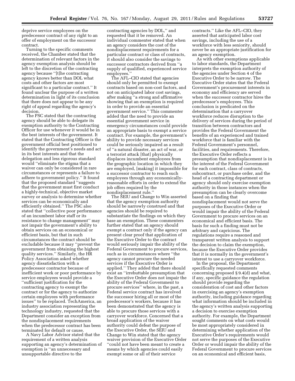deprive service employees on the predecessor contract of any right to an offer of employment on the successor contract.

Turning to the specific comments received, the Chamber stated that the determination of relevant factors in the agency exemption analysis should be left to the discretion of the contracting agency because ''[t]he contracting agency knows better than DOL what costs and other factors are most significant to a particular contract.'' It found unclear the purpose of a written determination in light of its conclusion that there does not appear to be any right of appeal regarding the agency's decision.

The PSC stated that the contracting agency should be able to delegate its exemption authority to the Contracting Officer for use whenever it would be in the best interests of the government. It stated that the Contracting Officer is the government official best positioned to identify the government's needs and act in its best interests and that the delegation and less rigorous standard would ''eliminate the stigma that a waiver can only be considered in rare circumstances or represents a failure to adhere to government policy.'' It found that the proposed standard ''suggests that the government must first conduct a highly-technical, objective market survey or analysis to determine whether services can be economically and efficiently obtained.'' The PSC also stated that ''collective poor performance of an incumbent labor staff or its resistance to change management'' may not impair the government's ability to obtain services on an economical or efficient basis, but that in such circumstances the contract should be excludable because it may ''prevent the government from obtaining the highest quality services.'' Similarly, the HR Policy Association asked whether agency dissatisfaction with a predecessor contractor because of inefficient work or poor performance by service employees would provide a ''sufficient justification for the contracting agency to exempt the contract or for the agency to authorize certain employees with performance issues'' to be replaced. TechAmerica, an industry association representing the technology industry, requested that the Department consider an exception from the nondisplacement requirements when the predecessor contract has been terminated for default or cause.

A Navy Labor Advisor stated that the requirement of a written analysis supporting an agency's determination of exemption is ''an unnecessary and unsupportable directive to the

contracting agencies by DOL,'' and requested that it be removed. An individual commenter stated that when an agency considers the cost of the nondisplacement requirements for a particular contract or class of contracts, it should also consider the savings to successor contractors derived from ''a supply of qualified, experienced service employees.

The AFL–CIO stated that agencies should only be permitted to exempt contracts based on non-cost factors, and not on anticipated labor cost savings, after making ''a strong and affirmative showing that an exemption is required in order to provide an essential government service.'' This commenter added that the need to provide an essential government service in emergency circumstances could provide an appropriate basis to exempt a service contract. For example, the government's ability to provide necessary services could be seriously impaired as a result of ''a natural disaster, an act of war, or a terrorist attack [that] physically displaces incumbent employees from the geographic location in which they are employed, [making] it impossible for a successor contractor to reach such employees through any economicallyreasonable efforts in order to extend the job offers required by the nondisplacement rule.''

The SEIU and Change to Win asserted that the agency exemption authority should be narrowly construed and that agencies should be required to substantiate the findings on which they base an exemption. These commenters further stated that an agency should exempt a contract only if the agency can present clear proof that application of the Executive Order to the contract would seriously impair the ability of the Federal Government to procure services, such as in circumstances where ''the agency cannot procure the needed services if the Executive Order is applied.'' They added that there should exist an ''irrebuttable presumption that the Executive Order does not impair the ability of the Federal Government to procure services'' where, in the past, a Federal service contract has involved the successor hiring all or most of the predecessor's workers, because it has been demonstrated that the agency is able to procure those services with a carryover workforce. Concerned that a broad application of the waiver authority could defeat the purpose of the Executive Order, the SEIU and Change to Win stated that the agency waiver provision of the Executive Order ''could not have been meant to create a means by which agencies could easily exempt some or all of their service

contracts.'' Like the AFL–CIO, they asserted that anticipated labor cost savings, including the use of a workforce with less seniority, should never be an appropriate justification for an agency exemption.

As with other exemptions applicable to labor standards, the Department interprets the exemption authority of the agencies under Section 4 of the Executive Order to be narrow. The Executive Order states that the Federal Government's procurement interests in economy and efficiency are served when the successor contractor hires the predecessor's employees. This conclusion is predicated on the determination that a carryover workforce reduces disruption to the delivery of services during the period of transition between contractors and provides the Federal Government the benefits of an experienced and trained workforce that is familiar with the Federal Government's personnel, facilities, and requirements. Therefore, the Executive Order reflects a presumption that nondisplacement is in the interest of the Federal Government for each contract, class of contracts, subcontract, or purchase order, and the head of a contracting department or agency should only exercise exemption authority in those instances when the presumption can be clearly overcome based on a finding that nondisplacement would not serve the purposes of the Executive Order or would impair the ability of the Federal Government to procure services on an economical and efficient basis. The basis for such a finding must not be arbitrary and capricious. The regulations require a reasoned and transparent written analysis to support the decision to claim the exemption, because the Executive Order provides that it is normally in the government's interest to use a carryover workforce.

In the proposal, the Department specifically requested comments concerning proposed § 9.4(d) and what, if any, specific guidance the regulation should provide regarding the consideration of cost and other factors in exercising an agency's exemption authority, including guidance regarding what information should be included in the agency's written analysis supporting a decision to exercise exemption authority. For example, the Department sought comments on what costs would be most appropriately considered in determining whether application of the Executive Order's requirements would not serve the purposes of the Executive Order or would impair the ability of the Federal Government to procure services on an economical and efficient basis,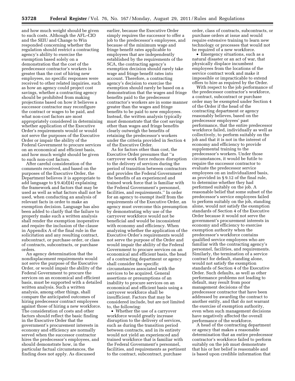and how much weight should be given to such costs. Although the AFL–CIO and the SEIU and Change to Win responded concerning whether the regulation should restrict a contracting agency's ability to exercise the exemption based solely on a demonstration that the cost of the predecessor contractor's workers is greater than the cost of hiring new employees, no specific responses were received to other related inquiries, such as how an agency could project cost savings, whether a contracting agency should be prohibited from making projections based on how it believes a successor contractor may reconfigure the contract or wages to be paid, and what non-cost factors are most appropriately considered in determining whether application of the Executive Order's requirements would or would not serve the purposes of the Executive Order or impair the ability of the Federal Government to procure services on an economical and efficient basis, and how much weight should be given to such non-cost factors.

After careful consideration of the comments received, and based on the purposes of the Executive Order, the Department believes it is appropriate to add language to § 9.4(d)(4) explaining the framework and factors that may be used as well as what factors shall not be used, when conducting an analysis of relevant facts in order to make an exemption decision. Language has also been added to clarify that the failure to properly make such a written analysis shall render the exemption inoperative and require the inclusion of the clause in Appendix A of the final rule in the solicitation and any resulting contract, subcontract, or purchase order, or class of contracts, subcontracts, or purchase orders.

An agency determination that the nondisplacement requirements would not serve the purpose of the Executive Order, or would impair the ability of the Federal Government to procure the services on an economical and efficient basis, must be supported with a detailed written analysis. Such a written analysis, among other things, shall compare the anticipated outcomes of hiring predecessor contract employees against those of hiring a new workforce. The consideration of costs and other factors should reflect the basic finding in the Executive Order that the government's procurement interests in economy and efficiency are normally served when the successor contractor hires the predecessor's employees, and should demonstrate how, in the particular factual circumstances, the finding does not apply. As discussed

earlier, because the Executive Order simply requires the successor to offer a job to the predecessor's employees, and because of the minimum wage and fringe benefit rates applicable to employees that are independently established by the requirements of the SCA, the contracting agency's exemption decision should rarely take wage and fringe benefit rates into account. Therefore, a contracting agency's decision to exercise the exemption should rarely be based on a demonstration that the wages and fringe benefits paid to the predecessor contractor's workers are in some manner greater than the wages and fringe benefits to be paid to new employees. Instead, the written analysis typically must demonstrate that the cost savings other than wages and fringe benefits clearly outweigh the benefits of retaining the predecessor's workers under the criteria provided in Section 4 of the Executive Order.

As for factors other than cost, the Executive Order presumes that ''a carryover work force reduces disruption to the delivery of services during the period of transition between contractors and provides the Federal Government the benefits of an experienced and trained work force that is familiar with the Federal Government's personnel, facilities, and requirements.'' In order for an agency to exempt itself from the requirements of the Executive Order, an agency must overcome this presumption by demonstrating why use of the carryover workforce would not be beneficial and would be inconsistent with economy and efficiency. When analyzing whether the application of the Executive Order's requirements would not serve the purpose of the Order and would impair the ability of the Federal Government to procure services on an economical and efficient basis, the head of a contracting department or agency shall consider the specific circumstances associated with the services to be acquired. General assertions or presumptions of an inability to procure services on an economical and efficient basis using a carryover workforce shall be insufficient. Factors that may be considered include, but are not limited to, the following:

• Whether the use of a carryover workforce would greatly increase disruption to the delivery of services, such as during the transition period between contracts, and in its entirety would not yield an experienced and trained workforce that is familiar with the Federal Government's personnel, facilities, and requirements as pertinent to the contract, subcontract, purchase

order, class of contracts, subcontracts, or purchase orders at issue and would require extensive training to learn new technology or processes that would not be required of a new workforce.

• Emergency situations, such as a natural disaster or an act of war, that physically displace incumbent employees from the locations of the service contract work and make it impossible or impracticable to extend offers to hire as required by the Order.

With respect to the job performance of the predecessor contractor's workforce, a contract, subcontract or purchase order may be exempted under Section 4 of the Order if the head of the contracting department or agency reasonably believes, based on the predecessor employees' past performance, that the entire predecessor workforce failed, individually as well as collectively, to perform suitably on the job and that it is not in the interest of economy and efficiency to provide supplemental training to the predecessor's workers. Under those circumstances, it would be futile to require the successor contractor to evaluate the predecessor service employees on an individualized basis, as provided in § 9.12 of the final rule, to determine whether they had performed suitably on the job. A reasonable belief that some subset of the predecessor's service employees failed to perform suitably on the job, standing alone, would not satisfy the exemption standards of Section 4 of the Executive Order because it would not serve the government's procurement interests in economy and efficiency to exercise exemption authority when the predecessor's workforce contains qualified service employees who are familiar with the contracting agency's personnel, facilities, and requirements. Similarly, the termination of a service contract for default, standing alone, would not satisfy the exemption standards of Section 4 of the Executive Order. Such defaults, as well as other performance problems not leading to default, may result from poor management decisions of the predecessor contractor that have been addressed by awarding the contract to another entity, and that do not warrant the exercise of exemption authority, even when such management decisions have negatively affected the overall performance of the workforce.

A head of the contracting department or agency that makes a reasonable determination that an entire predecessor contractor's workforce failed to perform suitably on the job must demonstrate that his or her belief is reasonable and is based upon credible information that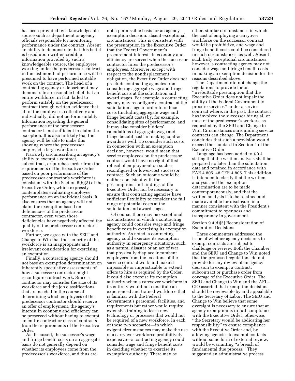has been provided by a knowledgeable source such as department or agency officials responsible for monitoring performance under the contract. Absent an ability to demonstrate that this belief is based upon written credible information provided by such a knowledgeable source, the employees working under the predecessor contract in the last month of performance will be presumed to have performed suitable work on the contract. The head of a contracting agency or department may demonstrate a reasonable belief that an entire workforce, in fact, failed to perform suitably on the predecessor contract through written evidence that all of the employees, collectively and individually, did not perform suitably. Information regarding the general performance of the predecessor contractor is not sufficient to claim the exception. It is also unlikely that the agency will be able to make this showing where the predecessor employed a large workforce.

Narrowly circumscribing an agency's ability to exempt a contract, subcontract, or purchase order from the requirements of the Executive Order based on poor performance of the predecessor contractor's workforce is consistent with the Section 5(b)(3) of the Executive Order, which expressly contemplates evaluating employee performance on an individual basis. It also ensures that an agency will not claim the exemption based on deficiencies of the predecessor contractor, even when those deficiencies have negatively affected the quality of the predecessor contractor's workforce.

Further, we agree with the SEIU and Change to Win that the seniority of the workforce is an inappropriate and irrelevant consideration for exercising an exemption.

Finally, a contracting agency should not base an exemption determination on inherently speculative assessments of how a successor contractor might reconfigure contract work. Since a contractor may consider the size of its workforce and the job classifications that are needed in the course of determining which employees of the predecessor contractor should receive an offer of employment, the agency's interest in economy and efficiency can be preserved without having to exempt an entire contract or class of contracts from the requirements of the Executive Order.

As discussed, the successor's wage and fringe benefit costs on an aggregate basis do not generally depend on whether its employees come from the predecessor's workforce, and thus are

not a permissible basis for an agency exemption decision, absent exceptional circumstances. This is consistent with the presumption in the Executive Order that the Federal Government's procurement interests in economy and efficiency are served when the successor contractor hires the predecessor's employees. Moreover, except with respect to the nondisplacement obligation, the Executive Order does not preclude contracting agencies from considering aggregate wage and fringe benefit costs at the solicitation and award stages. For example, a contracting agency may reconfigure a contract at the solicitation stage in order to reduce costs (including aggregate wage and fringe benefit costs) by, for example, consolidating sites of performance, and it may also consider bidders' calculations of aggregate wage and fringe benefit costs in making contract awards as well. To consider such costs in connection with an exemption decision, however, would mean that service employees on the predecessor contract would have no right of first refusal of employment on such a reconfigured or lower-cost successor contract. Such an outcome would be neither consistent with the presumptions and findings of the Executive Order nor be necessary to ensure that contracting agencies have sufficient flexibility to consider the full range of potential costs at the solicitation and award stages.

Of course, there may be exceptional circumstances in which a contracting agency could consider wage and fringe benefit costs in exercising its exemption authority. As noted, a contracting agency could exercise its exemption authority in emergency situations, such as a natural disaster or an act of war, that physically displace incumbent employees from the locations of the service contract work and make it impossible or impracticable to extend offers to hire as required by the Order. It could also exercise its exemption authority when a carryover workforce in its entirety would not constitute an experienced and trained workforce that is familiar with the Federal Government's personnel, facilities, and requirements but rather would require extensive training to learn new technology or processes that would not be required of a new workforce. In each of these two scenarios—in which exigent circumstances may make the use of a carryover workforce prohibitively expensive—a contracting agency could consider wage and fringe benefit costs in deciding whether to exercise its exemption authority. There may be

other, similar circumstances in which the cost of employing a carryover workforce on the successor contract would be prohibitive, and wage and fringe benefit costs could be considered in such circumstances, as well. Absent such truly exceptional circumstances, however, a contracting agency may not consider wage and fringe benefit costs in making an exemption decision for the reasons described above.

The Department did not change the regulations to provide for an ''irrebuttable presumption that the Executive Order does not impair the ability of the Federal Government to procure services'' under a service contract where, in the past, the contract has involved the successor hiring all or most of the predecessor's workers, as requested by the SEIU and Change to Win. Circumstances surrounding service contracts can change. The Department concludes that such a provision would exceed the standard in Section 4 of the Executive Order.

Language has been added to § 9.4 stating that the written analysis shall be prepared no later than the solicitation date and retained in accordance with FAR 4.805. 48 CFR 4.805. This addition is intended to clarify that the written analysis and the exemption determination are to be made contemporaneously, and that the written analysis is to be retained and made available for disclosure in a manner consistent with the President's commitment to openness and transparency in government.

Section 9.4(d)(5) Reconsideration of Exemption Decisions

Three commenters addressed the issue of whether agency decisions to exempt contracts are subject to challenge or review. Both the Chamber and the SEIU and Change to Win noted that the proposed regulations do not provide for any review of an agency decision to exempt a contract, subcontract or purchase order from coverage of the Executive Order. The SEIU and Change to Win and the AFL– CIO asserted that exemption decisions should be reviewable by and appealable to the Secretary of Labor. The SEIU and Change to Win believe that some oversight is necessary to ensure that an agency exemption is in full compliance with the Executive Order; otherwise, ''the Secretary would be abdicating her responsibility'' to ensure compliance with the Executive Order and, by allowing agencies to exempt contacts without some form of external review, would be warranting ''a breach of fundamental due process.'' They suggested an administrative process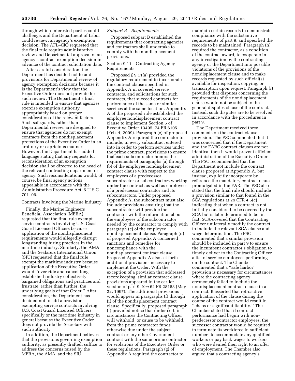through which interested parties could challenge, and the Department of Labor could review, an agency's exemption decision. The AFL–CIO requested that the final rule require administrative review and Departmental approval of an agency's contract exemption decision in advance of the contract solicitation date.

After careful consideration, the Department has decided not to add provisions for Departmental review of agency exemption decisions because it is the Department's view that the Executive Order does not provide for such review. The Department's final rule is intended to ensure that agencies exercise exemption authority appropriately based on proper consideration of the relevant factors. Such safeguards, rather than Departmental review, are designed to ensure that agencies do not exempt contracts from the nondisplacement protections of the Executive Order in an arbitrary or capricious manner. However, the Department has added language stating that any requests for reconsideration of an exemption decision shall be directed to the head of the relevant contracting department or agency. Such reconsiderations would, of course, be final agency actions appealable in accordance with the Administrative Procedure Act, 5 U.S.C. 701–06.

# Contracts Involving the Marine Industry

Finally, the Marine Engineers Beneficial Association (MEBA) requested that the final rule exempt service contracts involving U.S. Coast Guard Licensed Officers because application of the nondisplacement requirements would allegedly disrupt longstanding hiring practices in the maritime industry. Similarly, the AMA and the Seafarers International Union (SIU) requested that the final rule exempt the maritime industry because application of the Executive Order would ''over-ride and cancel longestablished industry collectively bargained obligations and practices and frustrate, rather than further, the underlying goals of that Order.'' After consideration, the Department has decided not to add a provision exempting service contracts involving U.S. Coast Guard Licensed Officers specifically or the maritime industry in general because the Executive Order does not provide the Secretary with such authority.

In addition, the Department believes that the provisions governing exemption authority, as presently drafted, suffice to address the concerns raised by the MEBA, the AMA, and the SIU.

# *Subpart B—Requirements*

Proposed subpart B established the requirements that contracting agencies and contractors shall undertake to comply with the nondisplacement provisions.

# Section 9.11 Contracting Agency Requirements

Proposed § 9.11(a) provided the regulatory requirement to incorporate the contract clause specified in Appendix A in covered service contracts, and solicitations for such contracts, that succeed contracts for performance of the same or similar services at the same location. Appendix A of the proposed rule established the employee nondisplacement contract clause to implement Section 5 of Executive Order 13495. 74 FR 6105 (Feb. 4, 2009). Paragraph (e) of proposed Appendix A required the contractor to include, in every subcontract entered into in order to perform services under the prime contract, provisions to ensure that each subcontractor honors the requirements of paragraphs (a) through (b) of the employee nondisplacement contract clause with respect to the employees of a predecessor subcontractor or subcontractors working under the contract, as well as employees of a predecessor contractor and its subcontractors. Under proposed Appendix A, the subcontract must also include provisions ensuring that the subcontractor will provide the contractor with the information about the employees of the subcontractor needed by the contractor to comply with paragraph (c) of the employee nondisplacement clause. Paragraph (d) of proposed Appendix A concerned sanctions and remedies for noncompliance with the nondisplacement contract clause. Proposed Appendix A also set forth additional provisions necessary to implement the Order. With the exception of a provision that addressed recordkeeping, similar contract clause provisions appeared in the earlier version of part 9. *See* 62 FR 28188 (May 22, 1997). The additional provisions would appear in paragraphs (f) through (i) of the nondisplacement contract clause. Specifically, proposed paragraph (f) provided notice that under certain circumstances the Contracting Officer will withhold, or cause to be withheld, from the prime contractor funds otherwise due under the subject contract or any other Government contract with the same prime contractor for violations of the Executive Order or these regulations. Paragraph (g) of Appendix A required the contractor to

maintain certain records to demonstrate compliance with the substantive requirements of part 9, and specified the records to be maintained. Paragraph (h) required the contractor, as a condition of the contract award, to cooperate in any investigation by the contracting agency or the Department into possible violations of the provisions of the nondisplacement clause and to make records requested by such official(s) available for inspection, copying, or transcription upon request. Paragraph (i) provided that disputes concerning the requirements of the nondisplacement clause would not be subject to the general disputes clause of the contract. Instead, such disputes are to be resolved in accordance with the procedures in part 9.

The Department received three comments on the contract clause provision. The PSC commented that it was concerned that if the Department and the FARC contract clauses are not identical then it would prevent efficient administration of the Executive Order. The PSC recommended that the Department not include the contract clause proposed at Appendix A, but instead, explicitly incorporate by reference the mandatory contract clause promulgated in the FAR. The PSC also stated that the final rule should include a provision similar to that found in the SCA regulations at 29 CFR 4.5(c) indicating that when a contract is not initially considered to be covered by the SCA but is later determined to be, in fact, SCA-covered that the Contracting Officer unilaterally modify the contract to include the relevant SCA clause and wage determination. The PSC commented that a similar provision should be included in part 9 to ensure the incumbent contractor's obligation to timely deliver to the Contracting Officer a list of service employees performing on the contract. The Chamber commented that a ''safe harbor'' provision is necessary for circumstances where the contracting agency erroneously failed to include the nondisplacement contract clause in a contract. It asserted that retroactive application of the clause during the course of the contract would result in ''chaos or significant liability.'' The Chamber stated that if contract performance had begun with nonpredecessor contractor employees, the successor contractor would be required to terminate its workforce in sufficient numbers to accommodate any qualified workers or pay back wages to workers who were denied their right to an offer of employment. The Chamber also argued that a contracting agency's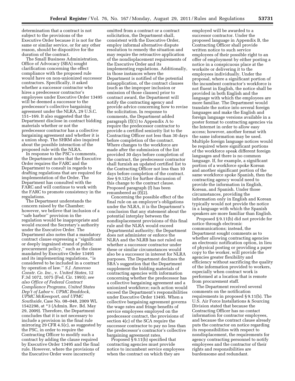determination that a contract is not subject to the provisions of the Executive Order because it is not for the same or similar service, or for any other reason, should be dispositive for the duration of the contract.

The Small Business Administration, Office of Advocacy (SBA) sought clarification concerning the effect compliance with the proposed rule would have on non-unionized successor contractors. Specifically, it asked whether a successor contractor who hires a predecessor contractor's employees under Executive Order 13495 will be deemed a successor to the predecessor's collective bargaining agreement under the NLRA, 29 U.S.C. 151–169. It also suggested that the Department disclose in contract bidding materials whether or not the predecessor contractor has a collective bargaining agreement and whether it is a union shop. The SHRM also inquired about the possible interaction of the proposed rule with the NLRA.

In response to the PSC's comments, the Department notes that the Executive Order requires the FARC and the Department to consult in regards to drafting regulations that are required for implementation of the Order. The Department has consulted with the FARC and will continue to work with the FARC to promote consistency in the regulations.

The Department understands the concern raised by the Chamber; however, we believe that inclusion of a ''safe harbor'' provision in the regulation would be inappropriate and would exceed the Secretary's authority under the Executive Order. The Department also notes that a mandatory contract clause expressing a ''significant or deeply ingrained strand of public procurement policy,'' such as the clause mandated by Executive Order 13495 and its implementing regulations, ''is considered to be included in a contract by operation of law.'' *S.J. Amoroso Constr. Co. Inc.,* v. *United States,* 12 F.3d 1072, 1075 (Fed. Cir. 1993); *see also Office of Federal Contract Compliance Programs, United States Dep't of Labor* v. *UPMC Braddock, UPMC McKeesport, and UPMC Southside,* Case No. 08–048, 2009 WL 1542298, at \*3 (Admin. Rev. Bd. May 29, 2009). Therefore, the Department concludes that it is not necessary to include a provision in the final rule mirroring 29 CFR 4.5(c), as suggested by the PSC, in order to require the Contracting Officer to modify such a contract by adding the clause required by Executive Order 13495 and the final rule. However, where the provisions of the Executive Order were incorrectly

omitted from a contract or a contract solicitation, the Department shall, consistent with the Executive Order, employ informal alternative dispute resolution to remedy the situation and may require the retroactive application of the nondisplacement requirements of the Executive Order and its implementing regulations. Additionally, in those instances where the Department is notified of the potential misapplication, of the contract clauses (such as the improper inclusion or omission of those clauses) prior to contract award, the Department will notify the contracting agency and provide advice concerning how to revise the solicitation. In response to comments, the Department added paragraph (f)(1) to Appendix A to require the predecessor contractor to provide a certified seniority list to the Contracting Officer not less than 30 days before completion of the contract. Where changes to the workforce are made after the submission of the list provided 30 days before completion of the contract, the predecessor contractor shall furnish an updated certified list to the Contracting Officer not less than 10 days before completion of the contract. *See* § 9.12(e) for further discussion of this change to the contract clause. Proposed paragraph (f) has been renumbered as (f)(2).

Concerning the possible effect of the final rule on an employer's obligations under the NLRA, it is the Department's conclusion that any statement about the potential interplay between the nondisplacement provisions of this final rule and the NLRA would exceed Departmental authority; the Department does not administer or enforce the NLRA and the NLRB has not ruled on whether a successor contractor under these or similar circumstances would also be a successor in interest for NLRA purposes. The Department declines the SBA's suggestion that the Department supplement the bidding materials of contracting agencies with information concerning whether the predecessor has a collective bargaining agreement and a unionized workforce; such action would exceed the Department's responsibilities under Executive Order 13495. When a collective bargaining agreement governs the wage rates and fringe benefits of service employees employed on the predecessor contract, the provisions of section 4(c) of the SCA require the successor contractor to pay no less than the predecessor's contractor's collective bargaining agreement rates.

Proposed § 9.11(b) specified that contracting agencies must provide notice to incumbent service employees when the contract on which they are

employed will be awarded to a successor contractor. Under the proposed language in Appendix B, the Contracting Officer shall provide written notice to such service employees of their possible right to an offer of employment by either posting a notice in a conspicuous place at the worksite or delivering it to the employees individually. Under the proposal, where a significant portion of the incumbent contractor's workforce is not fluent in English, the notice shall be provided in both English and the language with which the employees are more familiar. The Department would translate the notice into several foreign languages and make the English and foreign language versions available in a poster format to contracting agencies via the Internet in order to allow easy access; however, another format with the same information may be used. Multiple foreign language notices would be required where significant portions of the workforce speak different foreign languages and there is no common language. If, for example, a significant portion of a workforce spoke Korean and another significant portion of the same workforce spoke Spanish, then the contracting agency would need to provide the information in English, Korean, and Spanish. Under those circumstances, providing the information only in English and Korean typically would not provide the notice in a language with which the Spanish speakers are more familiar than English.

Proposed § 9.11(b) did not provide for notice through electronic communications; instead, the Department sought comments as to whether allowing contracting agencies an electronic notification option, in lieu of physical posting or providing a paper copy to the worker, will provide the agencies greater flexibility and efficiency without sacrificing the quality of the information provided to workers, especially when contract work is performed at a location that is remote from procurement staff.

The Department received several comments on the notification requirements in proposed § 9.11(b). The U.S. Air Force Installations & Sourcing Division stated that because the Contracting Officer has no contact information for contractor employees, and because the contract clause already puts the contractor on notice regarding its responsibilities with respect to nondisplacement, the requirements for agency contracting personnel to notify employees and the contractor of their rights and responsibilities are burdensome and redundant.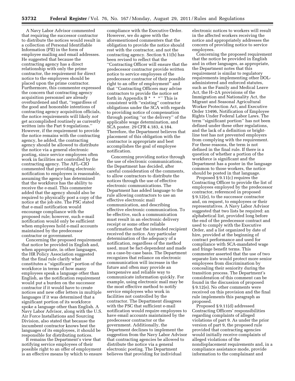A Navy Labor Advisor commented that requiring the successor contractor to distribute the notices would result in a collection of Personal Identifiable Information (PII) in the form of employee mailing and email addresses. He suggested that because the contracting agency has a direct relationship with only the prime contractor, the requirement for direct notice to the employees should be placed upon the prime contractor. Furthermore, this commenter expressed the concern that contracting agency acquisition personnel are already overburdened and that, ''regardless of the good and honorable intentions of contracting agency acquisition officials, the notice requirements will likely *not*  get accomplished routinely as currently written into the Part 9 regulations.'' However, if the requirement to provide the notice remains with the contracting agency, he added, the contracting agency should be allowed to distribute the notice via a general electronic posting, since service employees often work in facilities not controlled by the contracting agency. The AFL–CIO commented that providing electronic notification to employees is reasonable, assuming the agency has determined that the workforce has the ability to receive the e-mail. This commenter added that the agency should also be required to physically post a copy of the notice at the job site. The PSC stated that e-mail notification would encourage compliance with the proposed rule; however, such e-mail notification would only be sufficient when employees hold e-mail accounts maintained by the predecessor contractor or government.

Concerning the proposed requirement that notice be provided in English and, when appropriate, in other languages, the HR Policy Association suggested that the final rule clarify what constitutes a ''significant'' portion of the workforce in terms of how many employees speak a language other than English, as the notification requirement would put a burden on the successor contractor if it would have to create notices and new offer letters in multiple languages if it was determined that a significant portion of its workforce spoke a language other than English. A Navy Labor Advisor, along with the U.S. Air Force Installations and Sourcing Division, also stated that because the incumbent contractor knows best the languages of its employees, it should be responsible for distributing notices.

It remains the Department's view that notifying service employees of their possible right to an offer of employment is an effective means by which to ensure

compliance with the Executive Order. However, we do agree with the aforementioned commenters that the obligation to provide the notice should rest with the contractor, and not the contracting agency. Section 9.11(b) has been revised to reflect that the ''Contracting Officer will ensure that the predecessor contractor provide written notice to service employees of the predecessor contractor of their possible right to an offer of employment'' and that ''Contracting Officers may advise contractors to provide the notice set forth in Appendix B  $*$   $*$   $*$  "This is consistent with ''existing'' contractor obligations under the SCA with regards to providing notice of compensation through posting ''or the delivery'' of the applicable wage determination, and SCA poster. 29 CFR 4.183, 4.184. Therefore, the Department believes that placement of this obligation with the contractor is appropriate and best accomplishes the goal of employee notification.

Concerning providing notice through the use of electronic communications, the Department has decided, after careful consideration of the comments, to allow contractors to distribute the notices through the use of effective electronic communications. The Department has added language to the rule allowing contractors to use an effective electronic mail communication, and describing effective electronic communication. To be effective, such a communication must result in an electronic delivery receipt or some other reliable confirmation that the intended recipient received the notice. Any particular determination of the adequacy of a notification, regardless of the method used, must be fact-dependent and made on a case-by-case basis. The Department recognizes that reliance on electronic communication will increase in the future and often may provide an inexpensive and reliable way to communicate information quickly. For example, using electronic mail may be the most effective method to notify service employees who work in facilities not controlled by the contractor. The Department disagrees with the PSC that sufficient e-mail notification would require employees to have email accounts maintained by the predecessor contractor or the government. Additionally, the Department declines to implement the suggestion from the Navy Labor Advisor that contracting agencies be allowed to distribute the notice via a general electronic posting. The Department believes that providing for individual

electronic notices to workers will result in the affected workers receiving the notice and appropriately addresses the concern of providing notice to service employees.

Concerning the proposed requirement that the notice be provided in English and in other languages, as appropriate, the Department notes that this requirement is similar to regulatory requirements implementing other DOLadministered and enforced statutes, such as the Family and Medical Leave Act, the H–2A provisions of the Immigration and Nationality Act, the Migrant and Seasonal Agricultural Worker Protection Act, and Executive Order 13496, Notification of Employee Rights Under Federal Labor Laws. The term ''significant portion'' has not been defined under these other regulations, and the lack of a definition or brightline test has not prevented employers from complying with the requirement. For these reasons, the term is not defined in the final rule. If there is a question of whether a portion of the workforce is significant and the Department has a poster in the language common to those workers, the notice should be posted in that language.

Proposed § 9.11(c) requires the Contracting Officer to provide the list of employees employed by the predecessor contractor, referenced in proposed § 9.12(e), to the successor contractor and, on request, to employees or their representatives. A Navy Labor Advisor suggested that two lists be required: an alphabetical list, provided long before the end of the predecessor contract and used to comply with the Executive Order, and a list organized by date of hire, provided at the beginning of contract performance and used for compliance with SCA-mandated wage and fringe benefit terms. This commenter asserted that the use of two separate lists would protect more senior employees from discrimination by concealing their seniority during the transition process. The Department's consideration of this comment can be found in the discussion of proposed § 9.12(e). No other comments were received on this provision and the final rule implements this paragraph as proposed.

Proposed § 9.11(d) addressed Contracting Officers' responsibilities regarding complaints of alleged violations of part 9. As under the prior version of part 9, the proposed rule provided that contracting agencies would initially receive complaints of alleged violations of the nondisplacement requirements and, in a compliance assistance mode, provide information to the complainant and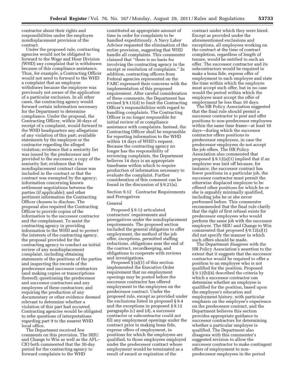contractor about their rights and responsibilities under the employee nondisplacement provision of the contract.

Under the proposed rule, contracting agencies would not be obligated to forward to the Wage and Hour Division (WHD) any complaint that is withdrawn because of this compliance assistance. Thus, for example, a Contracting Officer would not need to forward to the WHD a complaint that an employee withdraws because the employee was previously not aware of the application of a particular exclusion. In all other cases, the contracting agency would forward certain information necessary for the Department to determine compliance. Under the proposal, the Contracting Officer, within 30 days of receipt of a complaint, would forward to the WHD headquarters any allegations of any violation of this part; available statements by the employee or the contractor regarding the alleged violation; evidence that a seniority list was issued by the predecessor and provided to the successor; a copy of the seniority list; evidence that the nondisplacement contract clause was included in the contract or that the contract was exempted by the agency; information concerning known settlement negotiations between the parties (if applicable); and other pertinent information the Contracting Officer chooses to disclose. The proposal also required the Contracting Officer to provide copies of the information to the successor contractor and the complainant. To assist the contracting agency in providing information to the WHD and to protect the interests of the contracting agency, the proposal provided for the contracting agency to conduct an initial review of any nondisplacement complaint, including obtaining statements of the positions of the parties and inspecting the records of the predecessor and successor contractors (and making copies or transcriptions thereof); questioning the predecessor and successor contractors and any employees of these contractors; and requiring the production of any documentary or other evidence deemed relevant to determine whether a violation of this part had occurred. Contracting agencies would be obligated to refer questions of interpretations regarding part 9 to the nearest WHD local office.

The Department received few comments on this provision. The SEIU and Change to Win as well as the AFL– CIO both commented that the 30-day period for the contracting agency to forward complaints to the WHD

constituted an appropriate amount of time in order for complaints to be handled expeditiously. A Navy Labor Advisor requested the elimination of the entire provision, suggesting that WHD handle all complaints. This commenter claimed that ''there is no basis for involving the contracting agency in the receipt or resolution of complaints.'' In addition, contracting officers from Federal agencies represented on the FARC expressed their concerns with the implementation of this proposed requirement. After careful consideration of these comments, the Department has revised § 9.11(d) to limit the Contracting Officer's responsibilities with regard to handling complaints. The Contracting Officer is no longer responsible for initial review of or compliance assistance with complaints. Instead, the Contracting Officer shall be responsible for reporting information to the WHD within 14 days of WHD's request. Because the contracting agency no longer has the responsibility of reviewing complaints, the Department believes 14 days is an appropriate timeframe within which to require production of information necessary to evaluate the complaint. Further consideration of this comment can be found in the discussion of § 9.21(a).

Section 9.12 Contractor Requirements and Prerogatives

# General

Proposed § 9.12 articulated contractors' requirements and prerogatives under the nondisplacement requirements. The proposed section included the general obligation to offer employment, the method of the job offer, exceptions, permitted staffing reductions, obligations near the end of the contract, recordkeeping, and obligations to cooperate with reviews and investigations.

Proposed  $\S$  (a)(1) of this section implemented the Executive Order requirement that no employment openings may be posted before the successor contractor has offered employment to the employees on the predecessor contract. Under the proposed rule, except as provided under the exclusions listed in proposed § 9.4 and the exceptions in proposed § 9.12 paragraphs (c) and (d), a successor contractor or subcontractor could not fill any employment openings under the contract prior to making bona fide, express offers of employment, in positions for which the employees are qualified, to those employees employed under the predecessor contract whose employment would be terminated as a result of award or expiration of the

contract under which they were hired. Except as provided under the aforementioned exclusions and exceptions, all employees working on the contract at the time of contract completion, regardless of length of tenure, would be entitled to such an offer. The successor contractor and its subcontractors would be required to make a bona fide, express offer of employment to each employee and state the time within which the employee must accept such offer, but in no case would the period within which the employee must accept the offer of employment be less than 10 days.

The HR Policy Association suggested that the final rule should permit a successor contractor to post and offer positions to non-predecessor employees within the same time frame—at least 10 days—during which the successor contractor offers positions to predecessor employees, in case the predecessor employees do not accept the job offers. The HR Policy Association also commented that proposed § 9.12(a)(1) implied that if an employee was laid off because, for instance, the successor contract has fewer positions in a particular job, the successor contractor must permit the otherwise displaced employee to be offered other positions for which he or she is arguably minimally qualified, including jobs he or she never performed before. This commenter recommended that the final rule clarify that the right of first refusal exists for predecessor employees who would perform the same job with the successor employer. The SEIU and Change to Win commented that proposed § 9.12(a)(1) did not specify the manner in which such offers should be made.

The Department disagrees with the HR Policy Association's assertion to the extent that it suggests that the successor contractor would be required to offer a position to an employee who is not qualified for the position. Proposed § 9.12(b)(4) described the criteria by which a successor contractor can determine whether an employee is qualified for the position, based upon the employee's education and employment history, with particular emphasis on the employee's experience on the predecessor contract, and the Department believes this section provides appropriate guidance to successor contractors for determining whether a particular employee is qualified. The Department also disagrees with this commenter's suggested revision to allow the successor contractor to make contingent offers of employment to nonpredecessor employees in the period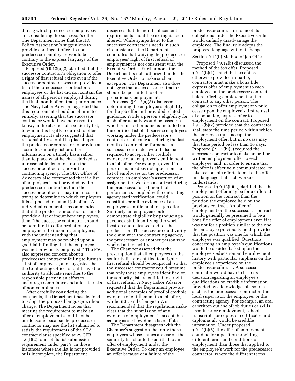during which predecessor employees are considering the successor's offer. The Department notes that the HR Policy Association's suggestions to provide contingent offers to nonpredecessor employees would be contrary to the express language of the Executive Order.

Proposed § 9.12(a)(2) clarified that the successor contractor's obligation to offer a right of first refusal exists even if the successor contractor was not provided a list of the predecessor contractor's employees or the list did not contain the names of all persons employed during the final month of contract performance. The Navy Labor Advisor suggested that this requirement should be eliminated entirely, asserting that the successor contractor would have no reason to know, in the absence of a seniority list, to whom it is legally required to offer employment. He also suggested that responsibility should be placed upon the predecessor contractor to provide an accurate seniority list or other information on a timely basis rather than to place what he characterized as unreasonable demands upon the successor contractor and/or the contracting agency. The SBA Office of Advocacy also commented that if a list of employees is not provided by the predecessor contractor, then the successor contractor may incur costs in trying to determine to which employees it is supposed to extend job offers. An individual commenter recommended that if the predecessor contractor fails to provide a list of incumbent employees, then ''the successor contractor [should] be permitted to offer probationary employment to incoming employees, with the understanding that employment may be revoked upon a good faith finding that the employee was not previously employed.'' The PSC also expressed concern about a predecessor contractor failing to furnish a list of employees, and suggested that the Contracting Officer should have the authority to allocate remedies to the responsible party in an effort to encourage compliance and allocate risks of non-compliance.

After carefully considering the comments, the Department has decided to adopt the proposed language without change. The Department notes that meeting the requirement to make an offer of employment should not be burdensome because the predecessor contractor may use the list submitted to satisfy the requirements of the SCA contract clause specified at 29 CFR 4.6(l)(2) to meet its list submission requirement under part 9. In those instances where the list is not provided or is incomplete, the Department

disagrees that the nondisplacement requirements should be extinguished or altered. While sympathetic to the successor contractor's needs in such circumstances, the Department concludes that waiving the predecessor employees' right of first refusal of employment is not consistent with the Executive Order. Furthermore, the Department is not authorized under the Executive Order to make such an exception. The Department also does not agree that a successor contractor should be permitted to offer probationary employment.

Proposed § 9.12(a)(3) discussed determining the employee's eligibility for the job offer and provided related guidance. While a person's eligibility for a job offer usually would be based on whether his or her name is included on the certified list of all service employees working under the predecessor's contract or subcontracts during the last month of contract performance, a successor contractor would also be required to accept other credible evidence of an employee's entitlement to a job offer. For example, even if a person's name does not appear on the list of employees on the predecessor contract, an employee's assertion of an assignment to work on a contract during the predecessor's last month of performance, coupled with contracting agency staff verification, could constitute credible evidence of an employee's entitlement to a job offer. Similarly, an employee could demonstrate eligibility by producing a paycheck stub identifying the work location and dates worked for the predecessor. The successor could verify the claim with the contracting agency, the predecessor, or another person who worked at the facility.

The Chamber asserted that the presumption that all employees on the seniority list are entitled to a right of first refusal should be reciprocal, so that the successor contractor could presume that only those employees identified on the seniority list are entitled to a right of first refusal. A Navy Labor Advisor requested that the Department provide additional examples of proof of credible evidence of entitlement to a job offer, while SEIU and Change to Win recommended that the regulations make clear that the submission of any evidence of employment is acceptable as long as such evidence is credible.

The Department disagrees with the Chamber's suggestion that only those employees whose names appear on the seniority list should be entitled to an offer of employment under the Executive Order. To deny an employee an offer because of a failure of the

predecessor contractor to meet its obligations under the Executive Order would unfairly disadvantage the employee. The final rule adopts the proposed language without change.

# Section 9.12(b) Method of Job Offer

Proposed § 9.12(b) discussed the method of the job offer. Proposed § 9.12(b)(1) stated that except as otherwise provided in part 9, a contractor must make a bona fide express offer of employment to each employee on the predecessor contract before offering employment on the contract to any other person. The obligation to offer employment would cease upon the employee's first refusal of a bona fide, express offer to employment on the contract. Proposed § 9.12(b)(2) provided that the contractor shall state the time period within which the employee must accept the employment offer, but in no case may that time period be less than 10 days. Proposed § 9.12(b)(3) required the successor contractor to make an oral or written employment offer to each employee, and, in order to ensure that the offer is effectively communicated, to take reasonable efforts to make the offer in a language that each worker understands.

Proposed § 9.12(b)(4) clarified that the employment offer may be for a different position on the contract than the position the employee held on the previous contract. An offer of employment on the successor's contract would generally be presumed to be a bona fide offer of employment even if it was not for a position similar to the one the employee previously held, provided that the position was one for which the employee was qualified. Questions concerning an employee's qualifications would be decided based upon the employee's education and employment history with particular emphasis on the employee's experience on the predecessor contract. A successor contractor would have to base its decision regarding an employee's qualifications on credible information provided by a knowledgeable source such as the predecessor contractor, the local supervisor, the employee, or the contracting agency. For example, an oral or written outline of job duties or skills used in prior employment, school transcripts, or copies of certificates and diplomas all would be credible information. Under proposed § 9.12(b)(5), the offer of employment could be for a position providing different terms and conditions of employment than those that applied to the employee's work for the predecessor contractor, where the different terms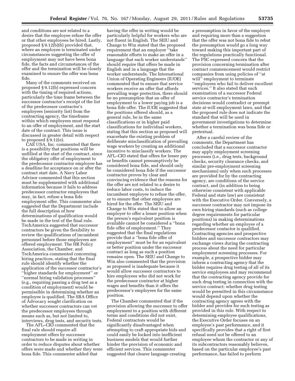and conditions are not related to a desire that the employee refuse the offer or that other employees be hired. Lastly, proposed § 9.12(b)(6) provided that, where an employee is terminated under circumstances suggesting the offer of employment may not have been bona fide, the facts and circumstances of the offer and the termination will be closely examined to ensure the offer was bona fide.

Many of the comments received on proposed § 9.12(b) expressed concern with the timing of required actions, particularly the time frame between the successor contractor's receipt of the list of the predecessor contractor's employees (seniority list) from the contracting agency, the timeframe within which employees must respond to an offer of employment, and the start date of the contract. This issue is discussed in greater detail with respect to proposed § 9.12(e).

CAE USA, Inc. commented that there is a possibility that positions will be unfilled at the start of the contract, since the obligatory offer of employment to the predecessor contractor employee has a deadline for acceptance on or after the contract start date. A Navy Labor Advisor commented that this section must be supplemented with additional information because it fails to address predecessor contractor employees that may, in fact, refuse a bona fide employment offer. This commenter also suggested that the Department include the full description of how determinations of qualification would be made in the text of the final rule. TechAmerica suggested that successor contractors be given the flexibility to review the qualifications of incumbent personnel before those employees are offered employment. The HR Policy Association, the Chamber, and TechAmerica commented concerning hiring practices, stating that the final rule should identify whether the application of the successor contractor's ''higher standards for employment'' or ''normal hiring validation processes'' (e.g., requiring passing a drug test as a condition of employment) would be permissible in determining whether an employee is qualified. The SBA Office of Advocacy sought clarification on whether successor contractors can vet the predecessor employees through means such as, but not limited to, interviews, drug tests, and security tests.

The AFL–CIO commented that the final rule should require all employment offers by successor contractors to be made in writing in order to reduce disputes about whether offers were made and whether they were bona fide. This commenter added that

having the offer in writing would be particularly helpful for workers who are not fluent in English. The SEIU and Change to Win stated that the proposed requirement that an employer ''take reasonable efforts to make an offer in a language that each worker understands'' should require that offers be made in English and in a language that the worker understands. The International Union of Operating Engineers (IUOE) commented that to ensure that service workers receive an offer that affords prevailing wage protection, there should be no presumption that an offer of employment to a lower paying job is a bona fide offer. The IUOE suggested that the positions offered should, as a general rule, be in the same classifications or in higher paid classifications for individual workers, stating that this section as proposed will exacerbate the existing problem of deliberate misclassification of prevailing wage workers by creating an additional incentive to misclassify workers. The AFL–CIO stated that offers for lesser pay or benefits cannot presumptively be considered bona fide, and should only be considered bona fide if the successor contractor proves by clear and convincing evidence that the reasons for the offer are not related to a desire to reduce labor costs, to induce the incumbent employee to refuse the offer, or to ensure that other employees are hired for the offer. The SEIU and Change to Win stated that to allow an employer to offer a lesser position when the person's equivalent position is available cannot be considered a ''bona fide offer of employment.'' They suggested that the final regulations provide that a ''bona fide offer of employment'' must be for an equivalent or better position under the successor contract as long as such a position remains open. The SEIU and Change to Win also commented that the provision as proposed is inadequate because it would allow successor contractors to hire employees who did not work for the predecessor contractor at higher wages and benefits than it offers the predecessor's employees for the same position.

The Chamber commented that if the provision allowing the successor to offer employment to a position with different terms and conditions did not exist, Federal contractors would be significantly disadvantaged when attempting to craft appropriate bids and could easily be locked into inefficient business models that would further hinder the provision of economic and efficient services. This commenter suggested that clearer language creating

a presumption in favor of the employer and requiring more than a suggestion that the offer was not bona fide to rebut the presumption would go a long way toward making this important part of the regulations practically functional. The PSC expressed concern that the provision concerning termination after contract commencement would restrict companies from using policies of ''at will'' employment to terminate ''employees who fail to deliver excellent services.'' It also stated that such examination of a successor Federal service contractor's termination decisions would contradict or preempt state at-will employment laws, and that the proposed rule does not indicate the standard that will be used in government investigations to determine whether a termination was bona fide or pretextual.

After a careful review of the comments, the Department has concluded that a successor contractor may apply employment screening processes (i.e., drug tests, background checks, security clearance checks, and similar pre-employment screening mechanisms) only when such processes are provided for by the contracting agency, are conditions of the service contract, and (in addition to being otherwise consistent with applicable Federal and state law) are consistent with the Executive Order. Conversely, a successor contractor may not impose its own hiring standards (such as college degree requirements for particular positions) in making determinations regarding whether an employee of a predecessor contactor is qualified. Contracting agencies and prospective bidders and successor contractors may exchange views during the contracting process about the need for particular employment screening processes. For example, a prospective bidder may inform a contracting agency that the bidder requires drug testing of all of its service employees and may recommend that the contracting agency provide for such drug testing in connection with the service contract; whether drug testing would be permitted in this circumstance would depend upon whether the contracting agency agrees with the bidder and provides for such testing as provided in this rule. With respect to determining employee qualifications, the Executive Order focuses on an employee's past performance, and it specifically provides that a right of first refusal need not be offered to an employee whom the contractor or any of its subcontractors reasonably believes, based on the particular employee's past performance, has failed to perform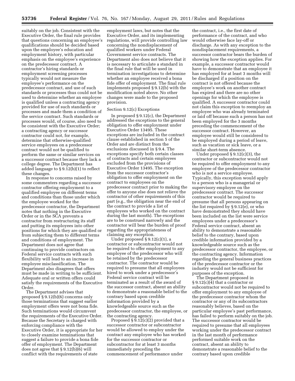suitably on the job. Consistent with the Executive Order, the final rule provides that questions concerning an employee's qualifications should be decided based upon the employee's education and employment history, with particular emphasis on the employee's experience on the predecessor contract. A contractor's hiring standards or employment screening processes typically would not measure the employee's performance on the predecessor contract, and use of such standards or processes thus could not be used to determine whether an employee is qualified unless a contracting agency provided for use of such standards or processes and made them a condition of the service contract. Such standards or processes would, of course, also need to be consistent with the Executive Order; a contracting agency or successor contractor could not, for example, determine that otherwise-qualified service employees on a predecessor contract would not be qualified to perform the same or similar services on a successor contract because they lack a college degree. The Department has added language to § 9.12(b)(1) to reflect these changes.

In response to concerns raised by some commenters regarding a successor contractor offering employment to a qualified employee on different terms and conditions than those under which the employee worked for the predecessor contractor, the Department notes that nothing in the Executive Order or in the SCA prevents a contractor from restructuring its staff and putting its employees into other positions for which they are qualified or from subjecting them to different terms and conditions of employment. The Department does not agree that continuing to provide contractors on Federal service contracts with such flexibility will lead to an increase in employee misclassification. The Department also disagrees that offers must be made in writing to be sufficient. Adequate oral or written offers could satisfy the requirements of the Executive Order.

The Department advises that proposed § 9.12(b)(6) concerns only those terminations that suggest earlier employment offers were not bona fide. Such terminations would circumvent the requirements of the Executive Order. Because the Secretary is charged with enforcing compliance with the Executive Order, it is appropriate for her to closely examine terminations that suggest a failure to provide a bona fide offer of employment. The Department does not agree that § 9.12(b)(6) will conflict with the requirements of state

employment laws, but notes that the Executive Order, and its implementing regulations, will provide controlling law concerning the nondisplacement of qualified workers under Federal Government service contracts. The Department also does not believe that it is necessary to articulate a standard in the final rule that will be used in termination investigations to determine whether an employee received a bona fide offer of employment. The final rule implements proposed § 9.12(b) with the modification noted above. No other changes were made to the proposed provision.

# Section 9.12(c) Exceptions

In proposed § 9.12(c), the Department addressed the exceptions to the general obligation to offer employment under Executive Order 13495. These exceptions are included in the contract clause established in section 5 of the Order and are distinct from the exclusions discussed in § 9.4. The exceptions specify both certain classes of contracts and certain employees excluded from the provisions of Executive Order 13495. The exception from the successor contractor's obligation to offer employment on the contract to employees on the predecessor contract prior to making the offer to anyone else does not relieve the contractor of other requirements of this part (e.g., the obligation near the end of the contract to provide a list of employees who worked on the contract during the last month). The exceptions are to be construed narrowly and the contractor will bear the burden of proof regarding the appropriateness of claiming any exception.

Under proposed § 9.12(c)(1), a contractor or subcontractor would not be required to offer employment to any employee of the predecessor who will be retained by the predecessor contractor. The contractor would be required to presume that all employees hired to work under a predecessor's Federal service contract will be terminated as a result of the award of the successor contract, absent an ability to demonstrate a reasonable belief to the contrary based upon credible information provided by a knowledgeable source such as the predecessor contractor, the employee, or the contracting agency.

Proposed  $\S$  9.12(c)(2) provided that a successor contractor or subcontractor would be allowed to employ under the contract any employee who has worked for the successor contractor or subcontractor for at least 3 months immediately preceding the commencement of performance under

the contract, i.e., the first date of performance of the contract, and who would otherwise face lay-off or discharge. As with any exception to the nondisplacement requirements, a successor contractor bears the burden of showing how the exception applies. For example, a successor contractor would have to demonstrate that an employee it has employed for at least 3 months will be discharged if a position on the contract is not offered because the employee's work on another contract has expired and there are no other openings for which the employee is qualified. A successor contractor could not claim this exception to reemploy an employee who was already terminated or laid off because such a person has not been employed for the 3 months preceding the commencement of the successor contract. However, an employee would still be considered to be employed during a period of leave, such as vacation or sick leave, or a similar short-term absence.

Under proposed § 9.12(c)(3), the contractor or subcontractor would not be required to offer employment to any employee of the predecessor contractor who is not a service employee. Typically, this exception would apply to a person who is a managerial or supervisory employee on the predecessor contract. The successor contractor would be required to presume that all persons appearing on the list required by § 9.12(e), or who have demonstrated they should have been included on the list were service employees under a predecessor's Federal service contract, absent an ability to demonstrate a reasonable belief to the contrary, based upon credible information provided by a knowledgeable source such as the predecessor contractor, the employee, or the contracting agency. Information regarding the general business practices of the predecessor contractor or the industry would not be sufficient for purposes of the exception.

The Department proposed in § 9.12(c)(4) that a contractor or subcontractor would not be required to offer employment to any employee of the predecessor contractor whom the contractor or any of its subcontractors reasonably believes, based on the particular employee's past performance, has failed to perform suitably on the job. The successor contractor would be required to presume that all employees working under the predecessor contract in the last month of performance performed suitable work on the contract, absent an ability to demonstrate a reasonable belief to the contrary based upon credible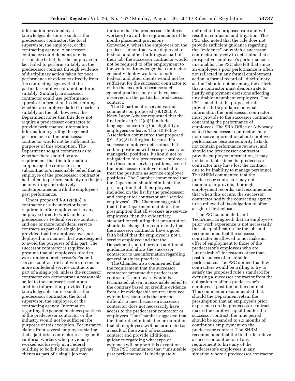information provided by a knowledgeable source such as the predecessor contractor, the local supervisor, the employee, or the contracting agency. A successor contractor could demonstrate its reasonable belief that the employee in fact failed to perform suitably on the predecessor contract through evidence of disciplinary action taken for poor performance or evidence directly from the contracting agency that the particular employee did not perform suitably. Similarly, a successor contractor could use performance appraisal information in determining whether an employee failed to perform suitably on the job; however, the Department notes that this does not require a predecessor contractor to provide performance information. Information regarding the general performance of the predecessor contractor would not be sufficient for purposes of this exemption. The Department sought comments as to whether there should be any requirement that the information supporting the contractor's or subcontractor's reasonable belief that an employee of the predecessor contractor had failed to perform suitably on the job be in writing and relatively contemporaneous with the employee's past performance.

Under proposed § 9.12(c)(5), a contractor or subcontractor is not required to offer employment to any employee hired to work under a predecessor's Federal service contract and one or more nonfederal service contracts as part of a single job, provided that the employee was not deployed in a manner that was designed to avoid the purposes of this part. The successor contractor is required to presume that all employees hired to work under a predecessor's Federal service contract did not work on one or more nonfederal service contracts as part of a single job, unless the successor contractor can demonstrate a reasonable belief to the contrary based upon credible information provided by a knowledgeable source such as the predecessor contractor, the local supervisor, the employee, or the contracting agency. Information regarding the general business practices of the predecessor contractor or the industry would not be sufficient for purposes of this exception. For instance, claims from several employees stating that a janitorial contractor reassigned its janitorial workers who previously worked exclusively in a Federal building to both Federal and private clients as part of a single job may

indicate that the predecessor deployed workers to avoid the requirements of the nondisplacement provisions. Conversely, where the employees on the predecessor contract were deployed to Federal and other buildings as part of their job, the successor contractor would not be required to offer employment to the workers. Knowledge that contractors generally deploy workers to both Federal and other clients would not be sufficient for the successor contractor to claim the exception because such general practices may not have been observed on the particular predecessor contract.

The Department received various comments on proposed § 9.12(c). A Navy Labor Advisor requested that the final rule at  $\S 9.12(c)(2)$  include language concerning the eligibility of employees on leave. The HR Policy Association commented that proposed § 9.12(c)(3) is illogical because if a successor employer determines that certain positions will be supervisory or managerial positions, it should not be obligated to hire predecessor employees into these non-service positions, even if the predecessor employer elected to treat the positions as service employee positions. The Chamber commented that the Department should eliminate the presumption that all employees included on the list by the predecessor and competitor contractor are ''service employees''. The Chamber suggested that if the Department maintains the presumption that all workers are service employees, then the evidentiary standard for rebutting that presumption should be changed to require only that the successor contractor have a good faith belief that the employee is not a service employee and that the Department should provide additional guidance and allow the successor contractor to use information regarding general business practices.

The Chamber also commented that the requirement that the successor contractor presume the predecessor contractor's employees would be terminated, absent a reasonable belief to the contrary based on credible evidence from a knowledgeable source, involved evidentiary standards that are too difficult to meet because a successor contractor does not necessarily have access to the predecessor contractor or employees. The Chamber suggested that the final rule eliminate the presumption that all employees will be terminated as a result of the award of a successor contract and provide additional guidance regarding what type of evidence will support this exception.

The PSC commented that ''unsuitable past performance'' is inadequately

defined in the proposed rule and will result in confusion and litigation. The PSC also noted that the rule does not provide sufficient guidance regarding the ''evidence'' on which a successor contractor may rely to determine that a prospective employee's performance is unsuitable. The PSC also felt that since an employee's poor performance is often not reflected in any formal employment action, a formal record of ''disciplinary action'' should not be among the criteria that a contractor must demonstrate to justify employment decisions affecting unsuitable incumbent employees. The PSC stated that the proposed rule provides little guidance on what information the predecessor contractor must provide to the successor contractor concerning the performance of employees. The SBA Office of Advocacy stated that successor contractors may not receive information about employee performance because seniority lists do not contain performance reviews, and should the predecessor contractor provide employee information, it may not be reliable since the predecessor contractor may have lost the contract due to its inability to manage personnel. The SHRM commented that the predecessor contractor may not maintain, or provide, thorough employment records, and recommended that when this occurs, the successor contractor notify the contracting agency to be relieved of its obligation to offer a right of first refusal.

The PSC commented, and TechAmerica agreed, that an employee's prior work experience is not necessarily the sole qualification for the job, and recommended that the successor contractor be allowed to not make an offer of employment to those of the predecessor's employees who are ''undesirable'' for reasons other than past instances of unsuitable performance. The PSC opined that few contractors would be willing to try to satisfy the proposed rule's standard for excusing a successor contractor from the obligation to offer a predecessor's employee a position on the contract. This commenter recommended that, should the Department retain the presumption that an employee's prior experience on the predecessor contract makes the employee qualified for the successor contract, the time period should be expanded to six months of continuous employment on the predecessor contract. The SHRM recommended that the final rule relieve a successor contractor of any requirement to hire any of the predecessor's employees in any situation where a predecessor contractor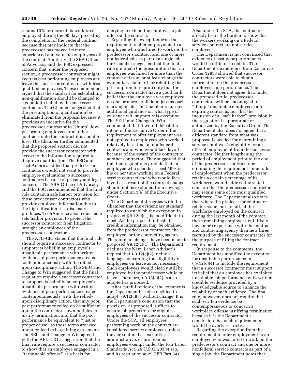retains 10% or more of its workforce employed during the 90 days preceding the completion of the Federal contract because that may indicate that the predecessor has moved its more experienced and valuable employees off the contract. Similarly, the SBA Office of Advocacy and the PSC expressed concern that, under the proposed section, a predecessor contractor might keep its best performing employees and leave the successor contractor with less qualified employees. These commenters argued that the standard for establishing non-qualification should be changed to a good faith belief by the successor contractor. The Chamber suggested that the presumption of qualification be eliminated from the proposal because it provides an incentive for the predecessor contractor to ''dump'' lowperforming employees from other contracts onto the contract it is about to lose. The Chamber further commented that the proposed section did not provide the successor contractor with access to the information required to disprove qualification. The PSC and TechAmerica added that predecessor contractors would not want to provide employee evaluations to successor contractors because of privacy and legal concerns. The SBA Office of Advocacy and the PSC recommended that the final rule contain a safe harbor provision for those predecessor contractors who provide employee information due to the high litigation risk disclosure produces. TechAmerica also requested a safe harbor provision to protect the successor contractor from litigation brought by employees of the predecessor contractor.

The AFL–CIO stated that the final rule should require a successor contractor to support its belief in an employee's unsuitable performance with written evidence of poor performance created contemporaneously with the reliedupon disciplinary action. The SEIU and Change to Win suggested that the final regulation require a successor contractor to support its belief in an employee's unsuitable performance with written evidence of poor performance created contemporaneously with the reliedupon disciplinary action, that any poor past performance relied on be sufficient under the contractor's own policies to justify termination, and that the poor performance be equivalent to ''just or proper cause'' as those terms are used under collective bargaining agreements. The SEIU and Change to Win agreed with the AFL–CIO's suggestion that the final rule require a successor contractor to show that an employee engaged in a ''terminable offense'' as a basis for

denying to extend the employee a job offer on the contract.

Regarding the exception from the requirement to offer employment to an employee who was hired to work on the predecessor's contract and one or more nonfederal jobs as part of a single job, the Chamber suggested that the final rule eliminate the presumption that no employee was hired for more than the contract at issue, or at least change the evidentiary standard for rebutting that presumption to require only that the successor contractor have a good faith belief that the employee was employed on one or more nonfederal jobs as part of a single job. The Chamber requested additional guidance on what type of evidence will support this exception. The SEIU and Change to Win commented that it would defeat the intent of the Executive Order if the requirement to offer employment was not applied to employees who worked relatively less time on nonfederal contracts and who would face layoff because of the award of the contract to another contractor. They suggested that the final regulations provide that an employee who spends at least 59% of his or her time working on a Federal service contract and who would face layoff as a result of the contract change should not be excluded from coverage under Section 3(e) of the Executive Order.

The Department disagrees with the Chamber that the evidentiary standard required to establish the exception in proposed  $\S 9.12(c)(1)$  is too difficult to meet. As the proposal indicated, credible information may be obtained from the predecessor contractor, the employee, or the contracting agency. Therefore no changes have been made to proposed § 9.12(c)(1). The Department declines the Navy Labor Advisor's request that  $\S 9.12(c)(2)$  include language concerning the eligibility of employees on leave as not necessary. Such employees would clearly still be employed by the predecessor while on leave. Therefore, § 9.12(c)(2) is also adopted as proposed.

After careful review of the comments, the Department has also decided to adopt § 9.12(c)(3) without change. It is the Department's conclusion that the provision, as proposed, suffices to ensure job protection for eligible employees of the successor contractor. Under the SCA, all employees performing work on the contract are considered service employees unless they are defined as executive, administrative, or professional employees exempt under the Fair Labor Standards Act, 29 U.S.C. 203 *et seq.,*  and its regulation at 29 CFR Part 541.

Also under the SCA, the contractor already bears the burden to show that the workers working on a Federal service contract are not service employees.

The Department is not convinced that evidence of past poor performance would be difficult to obtain. The Department's experience from Executive Order 12933 showed that successor contractors were able to obtain information on the predecessor's employees' job performance. The Department does not agree that, under the proposed rule, predecessor contractors will be encouraged to ''dump'' unsuitable employees onto expiring contracts, nor that the inclusion of a ''safe harbor'' provision in the regulation is appropriate or authorized by the Executive Order. The Department also does not agree that a different standard from what was proposed is needed for determining a service employee's eligibility for an offer of employment from the successor contractor. Neither lengthening the period of employment prior to the end of the predecessor contract, nor eliminating the requirement for an offer of employment when the predecessor retains a certain percentage of its workforce, would address the stated concern that the predecessor contractor may retain some of its most qualified workforce. The Department also notes that where the predecessor contractor retains some, but not all, of the workforce employed on the contract during the last month of the contract, those remaining employees will likely have more experience with the contract and contracting agency than new hires recruited by the successor contractor for the purpose of filling the contract requirements.

In response to the comments, the Department has modified the exception for unsuitable performance in § 9.12(c)(4) to include the requirement that a successor contractor must support its belief that an employee has exhibited unsuitable job performance with written credible evidence provided by a knowledgeable source to enhance the reliability of such evidence. The final rule, however, does not require that such written evidence be contemporaneous or concern a workplace offense justifying termination because it is the Department's conclusion that such requirements would be overly restrictive.

Regarding the exception from the requirement to offer employment to an employee who was hired to work on the predecessor's contract and one or more nonfederal service contracts as part of a single job, the Department notes that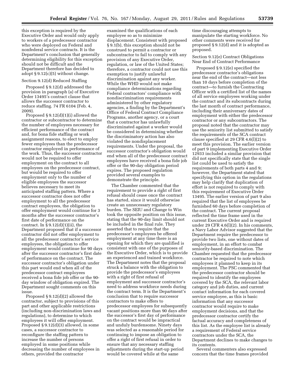this exception is required by the Executive Order and would only apply to workers of a predecessor contractor who were deployed on Federal and nonfederal service contracts. It is the Department's conclusion that generally determining eligibility for this exception should not be difficult and the Department therefore has decided to adopt  $\S 9.12(c)(5)$  without change.

# Section 9.12(d) Reduced Staffing

Proposed § 9.12(d) addressed the provision in paragraph (a) of Executive Order 13495's contract clause that allows the successor contractor to reduce staffing. 74 FR 6104 (Feb. 4, 2009).

Proposed § 9.12(d)(1)(i) allowed the contractor or subcontractor to determine the number of employees necessary for efficient performance of the contract and, for bona fide staffing or work assignment reasons, to elect to employ fewer employees than the predecessor contractor employed in performance of the work. Thus, the successor contractor would not be required to offer employment on the contract to all employees on the predecessor contract, but would be required to offer employment only to the number of eligible employees the successor believes necessary to meet its anticipated staffing pattern. Where a successor contractor does not offer employment to all the predecessor contract employees, the obligation to offer employment would continue for 3 months after the successor contractor's first date of performance on the contract. In  $\S 9.12(d)(1)(ii)$ , the Department proposed that if a successor contractor did not offer employment to all the predecessor contractor's service employees, the obligation to offer employment would continue for 90 days after the successor contractor's first date of performance on the contract. The successor contractor's obligation under this part would end when all of the predecessor contract employees received a bona fide job offer or the 90 day window of obligation expired. The Department sought comments on this issue.

Proposed § 9.12(d)(2) allowed the contractor, subject to provisions of this part and other applicable restrictions (including non-discrimination laws and regulations), to determine to which employees it will offer employment. Proposed § 9.12(d)(3) allowed, in some cases, a successor contractor to reconfigure the staffing pattern to increase the number of persons employed in some positions while decreasing the number of employees in others, provided the contractor

examined the qualifications of each employee so as to minimize displacement. Consistent with proposed § 9.1(b), this exception should not be construed to permit a contractor or subcontractor to fail to comply with any provision of any Executive Order, regulation, or law of the United States; therefore, a contractor could not use this exemption to justify unlawful discrimination against any worker. While the WHD would not make compliance determinations regarding Federal contractors' compliance with nondiscrimination requirements administered by other regulatory agencies, a finding by the Department's Office of Federal Contract Compliance Programs, another agency, or a court that a contractor has unlawfully discriminated against a worker would be considered in determining whether the discriminatory action has also violated the nondisplacement requirements. Under the proposal, the successor contractor's obligation would end when all of the predecessor contract employees have received a bona fide job offer or the 90-day obligation period expires. The proposed regulation provided several examples to demonstrate the principle.

The Chamber commented that the requirement to provide a right of first refusal should cease once the contract has started, since it would otherwise create an unnecessary regulatory burden. The SEIU and Change to Win took the opposite position on this issue, stating that the 90-day limit should not be included in the final rule. They asserted that to require that the predecessor's employees be offered employment at any time there is an opening for which they are qualified is consistent with one of the purposes of the Executive Order, which is to provide an experienced and trained workforce. The Department notes that the proposal struck a balance with the obligation to provide the predecessor's employees with a right of first refusal of employment and successor contractor's need to address workforce needs during the contract term. It is the Department's conclusion that to require successor contractors to make offers to predecessor employees for subsequently vacant positions more than 90 days after the successor's first day of performance on the contract would be impractical and unduly burdensome. Ninety days was selected as a reasonable period for continuing to impose an obligation to offer a right of first refusal in order to ensure that any necessary staffing adjustments during the start-up period would be covered while at the same

time discouraging attempts to manipulate the starting workforce. No other comments were received for proposed § 9.12(d) and it is adopted as proposed.

### Section 9.12(e) Contract Obligations Near End of Contract Performance

Proposed § 9.12(e) specified the predecessor contractor's obligations near the end of the contract—not less than 10 days before completion of the contract—to furnish the Contracting Officer with a certified list of the names of all service employees working under the contract and its subcontracts during the last month of contract performance, including their anniversary dates of employment with either the predecessor contractor or any subcontractors. The proposal noted that the contractor may use the seniority list submitted to satisfy the requirements of the SCA contract clause specified at 29 CFR 4.6(l)(2) to meet this provision. The earlier version of part 9 implementing Executive Order 12933 included a similar provision that did not specifically state that the single list could be used to satisfy the requirements of both parts 4 and 9; however, the Department stated that specifying this option in the regulations may help clarify that duplication of effort is not required to comply with this requirement of Executive Order 13495. The earlier version of part 9 also required that the list of employees be furnished 60 days before completion of the contract. The current proposal reflected the time frame used in the current Executive Order and is required under 29 CFR 4.6(l)(2). In his comments, a Navy Labor Advisor suggested that the Department require the predecessor to provide two lists, one without dates of employment, in an effort to combat seniority-based discrimination. The Chamber requested that the predecessor contractor be required to note which employees it planned to keep in its employment. The PSC commented that the predecessor contractor should be required to identify the employees covered by the SCA, the relevant labor category and job duties, and current contact information for each covered service employee, as this is basic information that any successor contractor would require to make employment decisions, and that the predecessor contractor certify the factual accuracy and completeness of this list. As the employee list is already a requirement of Federal service contractors under the SCA, the Department declines to make changes to its contents.

Several commenters also expressed concern that the time frames provided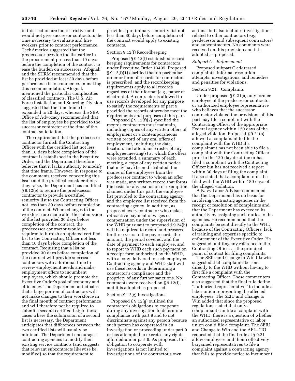in this section are too restrictive and would not give successor contractors the time necessary to evaluate and hire workers prior to contract performance. TechAmerica suggested that the predecessor provide the list earlier in the procurement process than 10 days before the completion of the contract to ease the burden on successors. Afognak and the SHRM recommended that the list be provided at least 30 days before performance is to commence. In making this recommendation, Afognak mentioned the particular complexities of classified contracts. The U.S. Air Force Installation and Sourcing Division suggested that the time frame be expanded to 20 days, whereas the SBA Office of Advocacy recommended that the list of employees be provided to the successor contractor at the time of the contract solicitation.

The requirement that the predecessor contractor furnish the Contracting Officer with the certified list not less than 10 days before completion of the contract is established in the Executive Order, and the Department therefore believes that it lacks authority to modify that time frame. However, in response to the comments received concerning this issue and the practical considerations they raise, the Department has modified § 9.12(e) to require the predecessor contractor to provide a certified seniority list to the Contracting Officer not less than 30 days before completion of the contract. Where changes to the workforce are made after the submission of the list provided 30 days before completion of the contract, the predecessor contractor would be required to furnish an updated certified list to the Contracting Officer not less than 10 days before completion of the contract. Requiring that a list be provided 30 days before completion of the contract will provide successor contractors with additional time to review employment needs and make employment offers to incumbent employees, which should promote the Executive Order's goal of economy and efficiency. The Department anticipates that a large portion of contractors will not make changes to their workforce in the final month of contract performance and will therefore not be required to submit a second certified list; in those cases where the submission of a second list is necessary, the Department anticipates that differences between the two certified lists will usually be minimal. The Department encourages contracting agencies to modify their existing service contracts (and suggests that relevant subcontracts likewise be modified) so that the requirement to

provide a preliminary seniority list not less than 30 days before completion of the contract would apply to existing contracts.

#### Section 9.12(f) Recordkeeping

Proposed § 9.12(f) established record keeping requirements for contractors under Executive Order 13495. Proposed § 9.12(f)(1) clarified that no particular order or form of records for contractors is prescribed, and the recordkeeping requirements apply to all records regardless of their format (e.g., paper or electronic). A contractor is allowed to use records developed for any purpose to satisfy the requirements of part 9, provided the records otherwise meet the requirements and purposes of this part.

Proposed § 9.12(f)(2) specified the records contractors must maintain, including copies of any written offers of employment or a contemporaneous written record of any oral offers of employment, including the date, location, and attendance roster of any employee meeting(s) at which the offers were extended, a summary of each meeting, a copy of any written notice that may have been distributed, the names of the employees from the predecessor contract to whom an offer was made, any written record that forms the basis for any exclusion or exemption claimed under this part, the employee list provided to the contracting agency, and the employee list received from the contracting agency. In addition, as proposed every contractor who makes retroactive payment of wages or compensation under the supervision of the WHD pursuant to proposed § 9.24(b) will be required to record and preserve for three years in the pay records the amount, the period covered, and the date of payment to each employee, and to report to WHD each such payment on a receipt form authorized by the WHD, with a copy delivered to each employee. Contracting agency and WHD staff will use these records in determining a contractor's compliance and the propriety of any further sanctions. No comments were received on § 9.12(f), and it is adopted as proposed.

#### Section 9.12(g) Investigations

Proposed § 9.12(g) outlined the contractor's obligations to cooperate during any investigation to determine compliance with part 9 and to not discriminate against any person because such person has cooperated in an investigation or proceeding under part 9 or has attempted to exercise any rights afforded under part 9. As proposed, this obligation to cooperate with investigations is not limited to investigations of the contractor's own

actions, but also includes investigations related to other contractors (*e.g.,*  predecessor and subsequent contractors) and subcontractors. No comments were received on this provision and it is adopted as proposed.

#### *Subpart C—Enforcement*

Proposed subpart C addressed complaints, informal resolution attempts, investigations, and remedies and penalties for violations.

#### Section 9.21 Complaints

Under proposed § 9.21(a), any former employee of the predecessor contractor or authorized employee representative who believes that the successor contractor violated the provisions of this part may file a complaint with the Contracting Officer of the appropriate Federal agency within 120 days of the alleged violation. Proposed § 9.21(b) allowed a complainant to file the complaint with the WHD if a complainant has not been able to file a complaint with the Contracting Officer prior to the 120-day deadline or has filed a complaint with the Contracting Officer but has not received a report within 30 days of filing the complaint. It also stated that a complaint must be filed with the WHD within 180 days of the alleged violation.

A Navy Labor Advisor commented that the Department has no basis for involving contracting agencies in the receipt or resolution of complaints and that the Department has exceeded its authority by assigning such duties to the agencies. He recommended that the complaints be sent directly to the WHD because of the Contracting Officers' lack of training and expertise specific to enforcement of the Executive Order. He suggested omitting any reference to the Contracting Officer as the principal point of contact for filing complaints.

The SEIU and Change to Win likewise suggested that complaints be sent directly to the WHD without having to first file a complaint with the Contracting Officer. These commenters also suggested that the final rule define "authorized representative" to include a labor union representing the affected employees. The SEIU and Change to Win added that since the proposed regulations stated that only a complainant can file a complaint with the WHD, there is a question of whether an authorized representative or labor union could file a complaint. The SEIU and Change to Win and the AFL–CIO requested that the final rule at § 9.21 allow employees and their collectively bargained representatives to file a complaint against a contracting agency that fails to provide notice to incumbent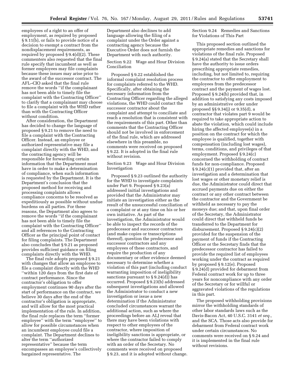employees of a right to an offer of employment, as required by proposed § 9.11(b), or fails to provide notice of a decision to exempt a contract from the nondisplacement requirements, as required by proposed  $\S 9.4(d)(2)$ . These commenters also requested that the final rule specify that incumbent as well as former employees may file complaints because these issues may arise prior to the award of the successor contract. The AFL–CIO asked that the final rule remove the words ''if the complainant has not been able to timely file the complaint with the Contracting Officer'' to clarify that a complainant may choose to file a complaint with the WHD rather than with the Contracting Officer without condition.

After consideration, the Department has decided to change the language of proposed § 9.21 to remove the need to file a complaint with the Contracting Officer. Instead, an employee or authorized representative may file a complaint directly with the WHD, and the contracting agency will be responsible for forwarding certain information that the Department must have in order to make a determination of compliance, when such information is requested by the Department. It is the Department's conclusion that the proposed method for receiving and processing complaints allows compliance concerns to be resolved as expeditiously as possible without undue burdens on all parties. For these reasons, the Department also agrees to remove the words ''if the complainant has not been able to timely file the complaint with the Contracting Officer'' and all references to the Contracting Officer as the principal point of contact for filing complaints. The Department also concludes that § 9.21 as proposed provides sufficient guidance on filing complaints directly with the WHD.

The final rule adopts proposed § 9.21 with changes that allow an employee to file a complaint directly with the WHD ''within 120 days from the first date of contract performance. Since the contractor's obligation to offer employment continues 90 days after the start of performance on the contract, we believe 30 days after the end of the contractor's obligation is appropriate, and will allow for the most practical implementation of the rule. In addition, the final rule replaces the term ''former employee'' with the term ''employee'' to allow for possible circumstances when an incumbent employee could file a complaint. The Department declines to alter the term ''authorized representative'' because the term encompasses an employee's collectively bargained representative. The

Department also declines to add language allowing the filing of a complaint under the Order against a contracting agency because the Executive Order does not furnish the Department with such authority.

Section 9.22 Wage and Hour Division Conciliation

Proposed § 9.22 established the informal complaint resolution process for complaints referred to the WHD. Specifically, after obtaining the necessary information from the Contracting Officer regarding the alleged violations, the WHD could contact the successor contractor about the complaint and attempt to conciliate and reach a resolution that is consistent with the requirements of this part. Other than comments that the Contracting Officer should not be involved in enforcement of the final rule, which are addressed elsewhere in this preamble, no comments were received on proposed § 9.22. It is adopted in the final rule without revision.

Section 9.23 Wage and Hour Division Investigation

Proposed § 9.23 outlined the authority for the WHD to investigate complaints under Part 9. Proposed § 9.23(a) addressed initial investigations and provided that the Administrator may initiate an investigation either as the result of the unsuccessful conciliation of a complaint or at any time on his or her own initiative. As part of the investigation, the Administrator would be able to inspect the records of the predecessor and successor contractors (and make copies or transcriptions thereof), question the predecessor and successor contractors and any employees of these contractors, and require the production of any documentary or other evidence deemed necessary to determine whether a violation of this part (including conduct warranting imposition of ineligibility sanctions pursuant to  $\S 9.24(d)$ ) has occurred. Proposed § 9.23(b) addressed subsequent investigations and allowed the Administrator to conduct a new investigation or issue a new determination if the Administrator concluded circumstances warrant the additional action, such as where the proceedings before an ALJ reveal that there may have been violations with respect to other employees of the contractor, where imposition of ineligibility sanctions is appropriate, or where the contractor failed to comply with an order of the Secretary. No comments were received on proposed § 9.23, and it is adopted without change.

Section 9.24 Remedies and Sanctions for Violations of This Part

This proposed section outlined the appropriate remedies and sanctions for violations of the final rule. Proposed § 9.24(a) stated that the Secretary shall have the authority to issue orders prescribing appropriate remedies, including, but not limited to, requiring the contractor to offer employment to employees from the predecessor contract and the payment of wages lost. Proposed § 9.24(b) provided that, in addition to satisfying any costs imposed by an administrative order under proposed §§ 9.34(j) or 9.35(d), a contractor that violates part 9 would be required to take appropriate action to abate the violation, which could include hiring the affected employee(s) in a position on the contract for which the employee is qualified, together with compensation (including lost wages), terms, conditions, and privileges of that employment. Proposed § 9.24(c) concerned the withholding of contract funds for non-compliance. Proposed § 9.24(c)(1) provided that, after an investigation and a determination that lost wages or other monetary relief is due, the Administrator could direct that accrued payments due on either the contract or any other contract between the contractor and the Government be withheld as necessary to pay the moneys due; and that, upon final order of the Secretary, the Administrator could direct that withheld funds be transferred to the Department for disbursement. Proposed § 9.24(c)(2) provided for the suspension of the payment of funds if the Contracting Officer or the Secretary finds that the predecessor contractor has failed to provide the required list of employees working under the contract as required by proposed § 9.12(e). Proposed § 9.24(d) provided for debarment from Federal contract work for up to three years for noncompliance with any order of the Secretary or for willful or aggravated violations of the regulations in this part.

The proposed withholding provisions mirror the withholding standards of other labor standards laws such as the Davis-Bacon Act, 40 U.S.C. 3141 *et seq.,*  and the SCA. Those acts also provide for debarment from Federal contract work under certain circumstances. No comments were received on § 9.24 and it is implemented in the final rule without revisions.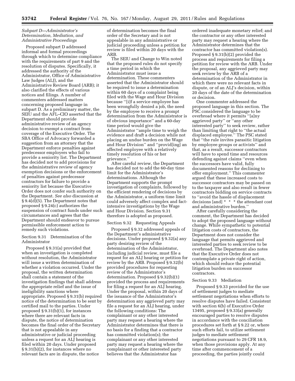# *Subpart D—Administrator's Determination, Mediation, and Administrative Proceedings*

Proposed subpart D addressed informal and formal proceedings through which to determine compliance with the requirements of part 9 and the resolution of disputes. Specifically, it addressed the authority of the Administrator, Office of Administrative Law Judges (ALJ), and the Administrative Review Board (ARB); it also clarified the effects of various notices and filings. A number of commenters addressed matters concerning proposed language in subpart D. As a preliminary matter, the SEIU and the AFL–CIO asserted that the Department should provide administrative review of an agency decision to exempt a contract from coverage of the Executive Order. The SBA Office of Advocacy forwarded a suggestion from an attorney that the Department enforce penalties against predecessor employers who fail to provide a seniority list. The Department has decided not to add provisions for the administrative review of agency exemption decisions or the enforcement of penalties against predecessor contractors for failure to provide a seniority list because the Executive Order does not confer such authority on the Department. *See also* discussion at § 9.4(d)(5). The Department notes that proposed § 9.24(c) authorizes the suspension of contract funds under such circumstances and agrees that the Department should endeavor to pursue permissible enforcement action to remedy such violations.

Section 9.31 Determination of the Administrator

Proposed § 9.31(a) provided that when an investigation is completed without resolution, the Administrator will issue a written determination of whether a violation occurred. Under the proposal, the written determination shall contain a statement of the investigation findings that shall address the appropriate relief and the issue of ineligibility sanctions where appropriate. Proposed § 9.31(b) required notice of the determination to be sent by certified mail to the parties. Under proposed  $\S 9.31(b)(1)$ , for instances where there are relevant facts in dispute, the notice of determination becomes the final order of the Secretary that is not appealable in any administrative or judicial proceeding unless a request for an ALJ hearing is filed within 20 days. Under proposed § 9.31(b)(2), for instances where no relevant facts are in dispute, the notice

of determination becomes the final order of the Secretary and is not appealable in any administrative or judicial proceeding unless a petition for review is filed within 20 days with the ARB.

The SEIU and Change to Win noted that the proposed rules do not specify a time period in which the Administrator must issue a determination. These commenters asserted that the Administrator should be required to issue a determination within 60 days of a complaint being filed with the Wage and Hour Division because ''[i]f a service employee has been wrongfully denied a job, the need by the employee to receive a prompt determination from the Administrator is of obvious importance'' and a 60-day time period would give the Administrator ''ample time to weigh the evidence and draft a decision while not placing an undue burden on the Wage and Hour Division'' and ''provid[ing] an affected employee with a relatively timely resolution of his or her grievance.''

After careful review, the Department has decided not to add the 60-day time limit for the Administrator's determinations. Although the Department supports the prompt investigation of complaints, followed by the efficient rendering of decisions by the Administrator, a uniform time limit could adversely affect complex and factintensive investigations by the Wage and Hour Division. Section 9.31 therefore is adopted as proposed.

#### Section 9.32 Requesting Appeals

Proposed § 9.32 addressed appeals of the Department's administrative decisions. Under proposed § 9.32(a) any party desiring review of the determination of the Administrator, including judicial review, must file a request for an ALJ hearing or petition for review by the ARB. Proposed § 9.32(b) provided procedures for requesting review of the Administrator's determination. Proposed § 9.32(b)(1) provided the process and requirements for filing a request for an ALJ hearing. Under the proposal, within 20 days of the issuance of the Administrator's determination any aggrieved party may file a request for an ALJ hearing, under the following conditions: The complainant or any other interested party may request a hearing where the Administrator determines that there is no basis for a finding that a contractor has committed violation(s); the complainant or any other interested party may request a hearing where the complainant or other interested party believes that the Administrator has

ordered inadequate monetary relief; and the contractor or any other interested party may request a hearing where the Administrator determines that the contractor has committed violation(s). Proposed § 9.31(b)(2) provided the process and requirements for filing a petition for review with the ARB. Under the proposal, any aggrieved party may seek review by the ARB of a determination of the Administrator in which there were no relevant facts in dispute, or of an ALJ's decision, within 20 days of the date of the determination or decision.

One commenter addressed the proposed language in this section. The PSC considered the language to be overbroad where it permits ''[a]ny aggrieved party'' or ''any other interested party'' to seek review, rather than limiting that right to ''the actual displaced employee.'' The PSC stated that ''the rule invites parasitic litigation by employee groups or activists'' and that, as a result, successor contractors will have to spend time and resources defending against claims ''even when the successors have valid, fully documented reasons for declining to offer employment.'' This commenter argued that these increased costs to successor contractors may be passed on to the taxpayer and also result in fewer contractors bidding on service contracts to ''avoid the hassle of displacement decisions [and] \* \* \* the attendant cost and administrative burden.''

After carefully considering the comment, the Department has decided to adopt the proposed language without change. While sympathetic to potential litigation costs of contractors, the Department does not consider the language that permits aggrieved and interested parties to seek review to be overbroad. The Department also notes that the Executive Order does not contemplate a private right of action, which should reduce the potential litigation burden on successor contractors.

#### Section 9.33 Mediation

Proposed § 9.33 provided for the use of settlement judges to mediate settlement negotiations when efforts to resolve disputes have failed. Consistent with section 6(b) of Executive Order 13495, proposed § 9.33(a) generally encouraged parties to resolve disputes in accordance with the conciliation procedures set forth at § 9.22 or, where such efforts fail, to utilize settlement judges to mediate settlement negotiations pursuant to 29 CFR 18.9, when those provisions apply. At any time after commencement of a proceeding, the parties jointly could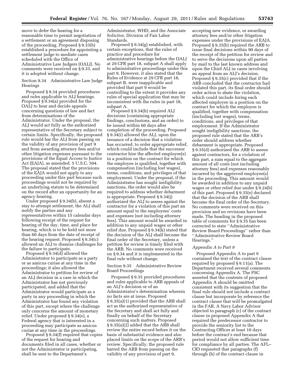move to defer the hearing for a reasonable time to permit negotiation of a settlement or an agreement disposing of the proceeding. Proposed § 9.33(b) established a procedure for appointing a settlement judge to mediate cases scheduled with the Office of Administrative Law Judgers (OALJ). No comments were received on § 9.33, and it is adopted without change.

Section 9.34 Administrative Law Judge Hearings

Proposed § 9.34 provided procedures and rules applicable to ALJ hearings. Proposed § 9.34(a) provided for the OALJ to hear and decide appeals concerning questions of law and fact from determinations of the Administrator. Under the proposal, the ALJ would act fully as the authorized representative of the Secretary subject to certain limits. Specifically, the proposed rule would bar the ALJ from passing on the validity of any provision of part 9 and from awarding attorney fees and/or other litigation expenses pursuant to the provisions of the Equal Access to Justice Act (EAJA), as amended. 5 U.S.C. 504. The proposal stated that the provisions of the EAJA would not apply to any proceeding under this part because such proceedings would not be required by an underlying statute to be determined on the record after an opportunity for an agency hearing.

Under proposed § 9.34(b), absent a stay to attempt settlement, the ALJ shall notify the parties and any representatives within 15 calendar days following receipt of the request for hearing of the day, time, and place for hearing, which is to be held not more than 60 days from the date of receipt of the hearing request. Proposed § 9.34(c) allowed an ALJ to dismiss challenges for the failure to participate.

Proposed § 9.34(d) allowed the Administrator to participate as a party or as amicus curiae at any time in the proceedings; it also allowed the Administrator to petition for review of an ALJ decision in a case in which the Administrator has not previously participated, and added that the Administrator would participate as a party in any proceeding in which the Administrator has found any violation of this part, except where the challenge only concerns the amount of monetary relief. Under proposed § 9.34(e), a Federal agency that is interested in a proceeding may participate as amicus curiae at any time in the proceedings.

Proposed § 9.34(f) required that copies of the request for hearing and documents filed in all cases, whether or not the Administrator is participating, shall be sent to the Department's

Administrator, WHD, and the Associate Solicitor, Division of Fair Labor Standards.

Proposed § 9.34(g) established, with certain exceptions, that the rules of practice and procedure for administrative hearings before the OALJ at 29 CFR part 18, subpart A shall apply to administrative proceedings under this part 9. However, it also stated that the Rules of Evidence at 29 CFR part 18, subpart B, were inapplicable and provided that part 9 would be controlling to the extent it provides any rules of special application that may be inconsistent with the rules in part 18, subpart A.

Proposed § 9.34(h) required ALJ decisions (containing appropriate findings, conclusions, and an order) to be issued within 60 days after completion of the proceeding. Proposed § 9.34(i) allowed the ALJ, upon the issuance of a decision that a violation has occurred, to order appropriate relief, which could include that the successor contractor hire the affected employee(s) in a position on the contract for which the employee is qualified, together with compensation (including lost wages), terms, conditions, and privileges of that employment. Under the proposal, if the Administrator has sought ineligibility sanctions, the order would also be required to address whether debarment is appropriate. Proposed § 9.34(j) authorized the ALJ to assess against the contractor for a violation of this part an amount equal to the employees' costs and expenses (not including attorney fees). This amount would be awarded in addition to any unpaid wages or other relief due. Proposed § 9.34(k) stated that the decision of the ALJ shall become the final order of the Secretary, unless a petition for review is timely filed with the ARB. No comments were received on § 9.34 and it is implemented in the final rule without change.

Section 9.35 Administrative Review Board Proceedings

Proposed § 9.35 provided procedures and rules applicable to ARB appeals of an ALJ's decision or of an Administrator's determination wherein no facts are at issue. Proposed § 9.35(a)(1) provided that the ARB shall act as the authorized representative of the Secretary and shall act fully and finally on behalf of the Secretary concerning such matters. Proposed § 9.35(a)(2) added that the ARB shall review the entire record before it on the basis of substantial evidence and also placed limits on the scope of the ARB's review. Specifically, the proposed rule barred the ARB from passing on the validity of any provision of part 9,

accepting new evidence, or awarding attorney fees and/or other litigation expenses under the provisions of EAJA. Proposed § 9.35(b) required the ARB to issue final decisions within 90 days of the receipt of the petition for review and to serve the decisions upon all parties by mail to the last known address and upon the Chief ALJ in cases involving an appeal from an ALJ's decision. Proposed § 9.35(c) provided that if the ARB concluded that the contractor had violated this part, its final order should order action to abate the violation, which could include hiring each affected employee in a position on the contract for which the employee is qualified, together with compensation (including lost wages), terms, conditions, and privileges of that employment. If the Administrator sought ineligibility sanctions, the proposed rule stated that the ARB's order should address whether debarment is appropriate. Proposed § 9.35(d) authorized the ARB to assess against contractors, for a violation of this part, a sum equal to the aggregate amount of all costs (not including attorney fees) and expenses reasonably incurred by the aggrieved employee(s) in the proceeding. This amount would be awarded in addition to any unpaid wages or other relief due under § 9.24(b) of this part. Proposed § 9.35(e) declared that the decision of the ARB shall become the final order of the Secretary. No comments were received on this provision and no revisions have been made. The heading in the proposed table of comments for § 9.35 has been corrected to state ''Administrative Review Board Proceedings'' rather than ''Administrative Review Board Hearings.''

#### *Appendix A to Part 9*

Proposed Appendix A to part 9 contained the text of the contract clause required by proposed § 9.11(a). The Department received several comments concerning Appendix A. The PSC asserted that the contents of proposed Appendix A should be omitted consistent with its suggestion that the final rule should not include a contract clause but incorporate by reference the contract clause that will be promulgated in the FAR. A Navy Labor Advisor objected to paragraph (c) of the contract clause in proposed Appendix A that required the predecessor contractor to provide the seniority list to the Contracting Officer at least 10 days before the contract's end because that period would not allow sufficient time for compliance by all parties. The AFL– CIO requested that paragraphs (f) through (h) of the contract clause in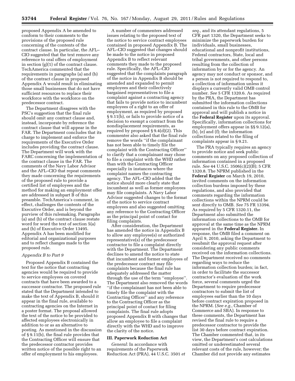proposed Appendix A be amended to conform to their comments to the provisions of the proposed rule concerning of the contents of the contract clause. In particular, the AFL– CIO suggested that the text remove any reference to oral offers of employment in section (g)(1) of the contract clause. TechAmerica commented that the requirements in paragraphs (a) and (b) of the contract clause in proposed Appendix A would result in eliminating those small businesses that do not have sufficient resources to replace their workforce with the workforce on the predecessor contract.

The Department disagrees with the PSC's suggestion that the final rule should omit any contract clause and, instead, incorporate by reference the contract clause that will appear in the FAR. The Department concludes that its charge to implement and enforce the requirements of the Executive Order includes providing the contract clause. The Department will work with the FARC concerning the implementation of the contract clause in the FAR. The comments of the Navy Labor Advisor and the AFL–CIO that repeat comments they made concerning the requirements of the proposed rule to provide a certified list of employees and the method for making an employment offer are addressed in subpart B of this preamble. TechAmerica's comment, in effect, challenges the contents of the Executive Order, and is beyond the purview of this rulemaking. Paragraphs (a) and (b) of the contract clause restate word for word the text of section 5(a) and (b) of Executive Order 13495. Appendix A has been modified for editorial and organizational purposes and to reflect changes made to the proposed rule.

#### *Appendix B to Part 9*

Proposed Appendix B contained the text for the notice that contracting agencies would be required to provide to service employees on covered contracts that have been awarded to a successor contractor. The proposed rule stated that the Department intended to make the text of Appendix B, should it appear in the final rule, available to contracting agencies on the Internet in a poster format. The proposal allowed the text of the notice to be provided to affected employees electronically in addition to or as an alternative to posting. As mentioned in the discussion of § 9.11(b), the final rule provides that the Contracting Officer will ensure that the predecessor contractor provides written notice of the possible right to an offer of employment to his employees.

A number of commenters addressed issues relating to the proposed text of the notice to service contract employees contained in proposed Appendix B. The AFL–CIO suggested that changes should be made to the notice in proposed Appendix B to reflect relevant comments they made to the proposed rule. Specifically, the AFL–CIO suggested that the complaints paragraph of the notice in Appendix B should be amended and expanded to permit employees and their collectively bargained representatives to file a complaint against a contracting agency that fails to provide notice to incumbent employees of a right to an offer of employment, as required by proposed § 9.11(b), or fails to provide notice of a decision to exempt a contract from the nondisplacement requirements, as required by proposed § 9.4(d)(2). This commenter also asked that the final rule remove the words ''if the complainant has not been able to timely file the complaint with the Contracting Officer'' to clarify that a complainant may chose to file a complaint with the WHD rather than with the Contracting Officer especially in instances where the complaint names the contracting agency. The AFL–CIO added that the notice should more clearly state that incumbent as well as former employees may file complaints. A Navy Labor Advisor suggested changes to the format of the notice to service contract employees and also suggested omitting any reference to the Contracting Officer as the principal point of contact for filing complaints.

After consideration, the Department has amended the notice in Appendix B to allow any employee(s) or authorized representative(s) of the predecessor contractor to file a complaint directly with the Department. The Department declines to amend the notice to state that incumbent and former employees of the predecessor contract may file complaints because the final rule has adequately addressed the matter through the use of the term ''employee''. The Department also removed the words ''if the complainant has not been able to timely file the complaint with the Contracting Officer'' and any reference to the Contracting Officer as the principal point of contact for filing complaints. The final rule adopts proposed Appendix B with changes that allow an employee to file a complaint directly with the WHD and to improve the clarity of the notice.

# **III. Paperwork Reduction Act**

*General:* In accordance with requirements of the Paperwork Reduction Act (PRA), 44 U.S.C. 3501 *et* 

*seq.,* and its attendant regulations, 5 CFR part 1320, the Department seeks to minimize the paperwork burden for individuals, small businesses, educational and nonprofit institutions, Federal contractors, State, local and tribal governments, and other persons resulting from the collection of information by or for the agency. An agency may not conduct or sponsor, and a person is not required to respond to, a collection of information unless it displays a currently valid OMB control number. *See* 5 CFR 1320.6. As required by the PRA, the Department has submitted the information collections contained in this rule to the OMB for approval and will publish a notice in the **Federal Register** upon its approval. Specifically, information collections for employment offers appear in §§ 9.12(a), (b), (e) and (f); the information collections related to the filing of complaints appear in § 9.21.

The PRA typically requires an agency to provide notice and seek public comments on any proposed collection of information contained in a proposed rule. *See* 44 U.S.C. 3506(c)(2)(B); 5 CFR 1320.8. The NPRM published in the **Federal Register** on March 19, 2010, invited comments on the information collection burdens imposed by these regulations, and also provided that comments regarding the information collections within the NPRM could be sent directly to OMB. *See* 75 FR 13394. As required by 5 CFR 1320.11, the Department also submitted the information collections to the OMB for approval at the same time as the NPRM appeared in the **Federal Register.** In response, the OMB filed a comment on April 9, 2010, asking the Department to resubmit the approval request after considering any public comments received on the information collections. The Department received no comments regarding ways to reduce the information collection burden; in fact, in order to facilitate the successor contractor's evaluation of the work force, several comments urged the Department to require predecessor contractors to submit the list of employees earlier than the 10 days before contract expiration proposed in the NPRM. (*See e.g.,* Chamber of Commerce and SBA). In response to these comments, the Department has revised the final rule to require a predecessor contractor to provide the list 30 days before contract expiration. The Chamber commented that, in its view, the Department's cost calculations omitted or underestimated several relevant costs of the rule, however; the Chamber did not provide any estimates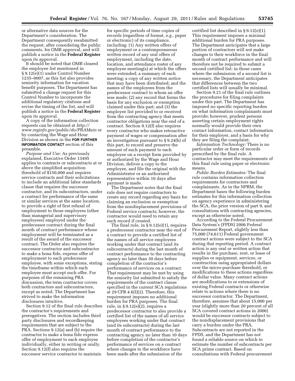or alternative data sources for the Department's consideration. The Department consequently resubmitted the request, after considering the public comments, for OMB approval, and will publish a notice in the **Federal Register**  upon its approval.

It should be noted that OMB cleared the employee list mentioned in § 9.12(e)(1) under Control Number 1235–0007, as this list also provides seniority information for vacation benefit purposes. The Department has submitted a change request for this Control Number to incorporate the additional regulatory citations and revise the timing of the list, and will publish a notice in the **Federal Register**  upon its approval.

A copy of the information collection requests can be obtained at *[http://](http://www.reginfo.gov/public/do/PRAMain) [www.reginfo.gov/public/do/PRAMain](http://www.reginfo.gov/public/do/PRAMain)* or by contacting the Wage and Hour Division as shown in the **FOR FURTHER INFORMATION CONTACT** section of this preamble.

*Purpose and Use:* As previously explained, Executive Order 13495 applies to contracts or subcontracts at or above the simplified acquisition threshold of \$150,000 and requires service contracts and their solicitations to include an additional labor standards clause that requires the successor contractor, and its subcontractors, under a contract for performance of the same or similar services at the same location, to provide a right of first refusal of employment to those employees (other than managerial and supervisory employees) employed under the predecessor contract during the final month of contract performance whose employment will be terminated as a result of the award of the successor contract. The Order also requires the successor contractor and subcontractor to make a bona fide, express offer of employment to each predecessor employee, with some exceptions, stating the timeframe within which each employee must accept such offer. For purposes of the remaining PRA discussion, the term contractor covers both contractors and subcontractors, except as noted. The Department has strived to make the information disclosures intuitive.

Section 9.12 of the final rule describes the contractor's requirements and prerogatives. The section includes third party disclosures and recordkeeping requirements that are subject to the PRA. Sections 9.12(a) and (b) require the contractor to make a bona fide express offer of employment to each employee individually, either in writing or orally. Section 9.12(f) also requires the successor service contractor to maintain

for specific periods of time copies of records (regardless of format, *e.g.,* paper or electronic) of its compliance, including: (1) Any written offers of employment or a contemporaneous written record of any oral offers of employment, including the date, location, and attendance roster of any employee meeting(s) at which the offers were extended; a summary of each meeting; a copy of any written notice that may have been distributed; and the names of the employees from the predecessor contract to whom an offer was made; (2) any record that forms the basis for any exclusion or exemption claimed under this part; and (3) the employee list provided to or received from the contracting agency that meets contractor obligations near the end of a contract. Section 9.12(f) also requires every contractor who makes retroactive payment of wages or compensation after an investigation pursuant to § 9.24(b) of this part, to record and preserve the amount of such payment to each employee on a receipt form provided by or authorized by the Wage and Hour Division, deliver a copy to the employee, and file the original with the Administrator or an authorized representative within 10 days after payment is made.

The Department notes that the final rule does not require contractors to create any record regarding any basis for claiming an exclusion or exemption from the nondisplacement provisions of Federal service contracts; however, the contractor would need to retain any such record if created.

The final rule, in § 9.12(e)(1), requires a predecessor contractor near the end of a contract to provide a certified list of the names of all service employees working under that contract (and its subcontracts) during the last month of contract performance to the contracting agency no later than 30 days before completion of the contractor's performance of services on a contract. That requirement may be met by using the seniority list submitted to satisfy the requirements of the contract clause specified in the current SCA regulations at 29 CFR 4.6(l)(2). Therefore, this requirement imposes no additional burden for PRA purposes. The final rule, in § 9.12(e)(2), requires a predecessor contractor to also provide a certified list of the names of all service employees working under that contract (and its subcontracts) during the last month of contract performance to the contracting agency no later than 10 days before completion of the contractor's performance of services on a contract where changes to the workforce have been made after the submission of the

certified list described in § 9.12(e)(1). This requirement imposes a minimal additional burden for PRA purposes. The Department anticipates that a large portion of contractors will not make changes to their workforce in the final month of contract performance and will therefore not be required to submit a second certified list; in those cases where the submission of a second list is necessary, the Department anticipates that differences between the two certified lists will usually be minimal.

Section 9.21 of the final rule outlines the procedures for filing complaints under this part. The Department has imposed no specific reporting burden on what information complainants must provide; however, prudent persons asserting certain employment rights normally would provide their own contact information, contact information for their employer, and a basis for why they are filing the complaint.

*Information Technology:* There is no particular order or form of records prescribed by the final rule. A contractor may meet the requirements of this final rule using paper or electronic means.

*Public Burden Estimates:* The final rule contains information collection requirements for contractors and complainants. As in the NPRM, the Department bases the following burden estimates for this information collection on agency experience in administering the SCA, the prior version of part 9, and consultations with contracting agencies, except as otherwise noted.

According to the Federal Procurement Data System's (FPDS) 2006 Federal Procurement Report, slightly less than 75,000 (74,611) Federal government contract actions were subject to the SCA during that reporting period. A contract action is any oral or written action that results in the purchase, rent, or lease of supplies or equipment, services, or construction using appropriated dollars over the micro-purchase threshold, or modifications to these actions regardless of dollar value. Many contract actions are modifications to or extensions of existing Federal contracts or otherwise relate to actions where there is no successor contractor. The Department, therefore, assumes that about 15,000 per year (slightly more than 20 percent of all SCA covered contract actions in 2006) would be successor contracts subject to the nondisplacement provisions that carry a burden under the PRA. Subcontracts are not reported in the FPDS, and the Department has not found a reliable source on which to estimate the number of subcontracts per SCA prime contract. Based on consultations with Federal procurement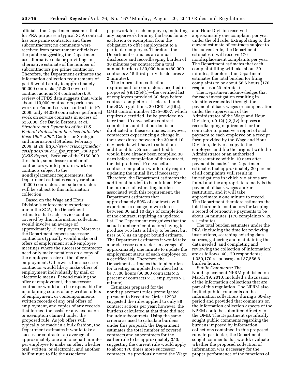officials, the Department assumes that for PRA purposes a typical SCA contract has one prime contractor and three subcontractors; no comments were received from procurement officials or the public suggesting the Department use alternative data or providing an alternative estimate of the number of subcontractors per prime contractor. Therefore, the Department estimates the information collection requirements of part 9 would apply to approximately 60,000 contracts (15,000 covered contract actions × 4 contractors). A review of FPDS data suggests that, while about 110,000 contractors performed work on Federal service contracts in FY 2006, only 44,039 contractors performed work on service contracts in excess of \$25,000. *See* David Berteau, *et al., Structure and Dynamics of the U.S. Federal Professional Services Industrial Base 1995–2007,* Center for Strategic and International Studies, February 2009, at 26, *[http://www.csis.org/media/](http://www.csis.org/media/csis/pubs/090212_fps_report_2009.pdf) [csis/pubs/090212](http://www.csis.org/media/csis/pubs/090212_fps_report_2009.pdf)*\_*fps*\_*report*\_*2009.pdf*  (*CSIS Report*). Because of the \$150,000 threshold, some lesser number of contractors would perform work on contracts subject to the nondisplacement requirements; the Department estimates each year about 40,000 contractors and subcontractors will be subject to this information collection.

Based on the Wage and Hour Division's enforcement experience under the SCA, the Department estimates that each service contract covered by this information collection would involve an average of approximately 15 employees. Moreover, the Department expects successor contractors typically would make oral offers of employment at all-employee meetings where the successor contractor need only make notations on a copy of the employee roster of the offer of employment. Otherwise, the successor contractor would likely make offers of employment individually by mail or electronic means. Beyond making the offer of employment, the successor contractor would also be responsible for maintaining copies of any written offers of employment, or contemporaneous written records of any oral offers of employment, and copies of any records that formed the basis for any exclusion or exemption claimed under the proposed rule. As job offers will typically be made in a bulk fashion, the Department estimates it would take a successor contractor an average of approximately one and one-half minutes per employee to make an offer, whether oral, written, or electronic, and another half minute to file the associated

paperwork for each employee, including any paperwork forming the basis for any exclusion or exemption from the obligation to offer employment to a particular employee. Therefore, the Department estimates an annual disclosure and recordkeeping burden of 30 minutes per contract for a total annual burden of 30,000 hours (60,000 contracts  $\times$  15 third-party disclosures  $\times$ 2 minutes).

The information collection requirement for contractors specified in proposed § 9.12(e)(1)—the certified list of employees provided 30 days before contract completion—is cleared under the SCA regulations, 29 CFR 4.6(l)(2), OMB control number 1235–0007, which requires a certified list be provided no later than 10 days before contract completion, and that burden is not duplicated in these estimates. However, contractors experiencing a change in their workforce between the 30 and 10 day periods will have to submit an additional list. Since a certified list would have already been compiled 30 days before completion of the contract, the list produced 10 days before contract completion would only require updating the initial list, if necessary. Therefore, the Department estimates the additional burden to be minimal. For the purpose of estimating burden associated with this requirement, the Department estimates that approximately 50% of contracts will experience a change in workforce between 30 and 10 days of completion of the contract, requiring an updated list. The Department recognizes that the actual number of contractors having to produce two lists is likely to be less, but uses 50% as an upper bound estimate. The Department estimates it would take a predecessor contractor an average of approximately one minute to update the employment status of each employee on a certified list. Therefore, the Department estimates the total burden for creating an updated certified list to be 7,500 hours (60,000 contracts  $\times$  .5 percent of contracts  $\times$  15 employees  $\times$  1 minute).

Estimates prepared for the nondisplacement rules promulgated pursuant to Executive Order 12933 suggested the rules applied to only 88 contract actions per year; however, the burdens calculated at that time did not include subcontracts. Using the same criteria as used to calculate burdens under this proposal, the Department estimates the total number of covered contracts and subcontracts for the earlier rule to be approximately 350; suggesting the current rule would apply to about 170 times more successor contracts. As previously noted the Wage and Hour Division received approximately one complaint per year under the old rule. Extrapolating to the current estimate of contracts subject to the current rule, the Department estimates it will receive 170 nondisplacement complaints per year. The Department estimates that each complaint filing will take about 20 minutes; therefore, the Department estimates the total burden for filing complaints to be about 56.6 hours (170 responses  $\times$  20 minutes).

The Department acknowledges that for each investigation resulting in violations remedied through the payment of back wages or compensation under the supervision of the Administrator of the Wage and Hour Division,  $\S 9.12(f)(2)(iv)$  imposes a recordkeeping requirement for the contractor to preserve a report of such payment to each employee on a receipt form provided by the Wage and Hour Division, deliver a copy to the employee, and file the original with the Administrator or an authorized representative within 10 days after payment is made. The Department estimates that approximately 20 percent of all complaints will result in investigations in which violations are found and the appropriate remedy is the payment of back wages and/or restitution, and it will take approximately one minute to record. The Department therefore estimates the total burden to contractors for keeping a record of retroactive payments to be about 34 minutes. (170 complaints  $\times$  .20  $\times$  1 minute).

The total burden estimates under the PRA (including the time for reviewing instructions, searching existing data sources, gathering and maintaining the data needed, and completing and reviewing the collection of information) are as follows: 40,170 respondents; 1,350,170 responses; and 37,556.6 burden hours.

*Public Comments:* The Nondisplacement NPRM published on March 19, 2010, included a discussion of the information collections that are part of this regulation. The NPRM also invited public comments on the information collections during a 60-day period and provided that comments on the information collection aspects of the NPRM could be submitted directly to the OMB. The Department specifically sought public comments regarding the burdens imposed by information collections contained in this proposed rule. In particular, the Department sought comments that would: evaluate whether the proposed collection of information was necessary for the proper performance of the functions of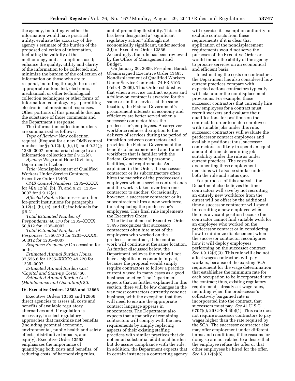the agency, including whether the information would have practical utility; evaluate the accuracy of the agency's estimate of the burden of the proposed collection of information, including the validity of the methodology and assumptions used; enhance the quality, utility and clarity of the information to be collected; and minimize the burden of the collection of information on those who are to respond, including through the use of appropriate automated, electronic, mechanical, or other technological collection techniques or other forms of information technology, *e.g.,* permitting electronic submissions of responses. Other portions of this preamble discuss the substance of those comments and the Department's response.

The information collection burdens are summarized as follows:

*Type of Review:* New collection request. [Request for a new OMB control number for §§ 9.12(a), (b), (f), and 9.21)]; 1235–0007, nonmaterial change to an information collection for § 9.12(e).

*Agency:* Wage and Hour Division, Department of Labor.

*Title:* Nondisplacement of Qualified Workers Under Service Contracts, Executive Order 13495.

*OMB Control Numbers:* 1235–XXXX for §§ 9.12(a), (b), (f), and 9.21; 1235– 0007 for § 9.12(e).

*Affected Public:* Businesses or other for-profit institutions for paragraphs 9.12(a), (b), (e), and (f); individuals for § 9.21.

*Total Estimated Number of Respondents:* 40,170 for 1235–XXXX; 50,812 for 1235–0007.

*Total Estimated Number of* 

*Responses:* 1,350,170 for 1235–XXXX; 50,812 for 1235–0007.

*Response Frequency:* On occasion for both.

*Estimated Annual Burden Hours:*  37,556.6 for 1235–XXXX; 49,220 for 1235–0007.

*Estimated Annual Burden Cost (Capitol and Start-up Costs):* \$0. *Estimated Annual Burden Cost (Maintenance and Operation):* \$0.

# **IV. Executive Orders 13563 and 12866**

Executive Orders 13563 and 12866 direct agencies to assess all costs and benefits of available regulatory alternatives and, if regulation is necessary, to select regulatory approaches that maximize net benefits (including potential economic, environmental, public health and safety effects, distributive impacts, and equity). Executive Order 13563 emphasizes the importance of quantifying both costs and benefits, of reducing costs, of harmonizing rules,

and of promoting flexibility. This rule has been designated a ''significant regulatory action'' although not economically significant, under section 3(f) of Executive Order 12866. Accordingly, the rule has been reviewed by the Office of Management and Budget.

On January 30, 2009, President Barack Obama signed Executive Order 13495, Nondisplacement of Qualified Workers Under Service Contracts. 74 FR 6103 (Feb. 4, 2009). This Order establishes that when a service contract expires and a follow-on contract is awarded for the same or similar services at the same location, the Federal Government's procurement interests in economy and efficiency are better served when a successor contractor hires the predecessor's employees. A carryover workforce reduces disruption to the delivery of services during the period of transition between contractors and provides the Federal Government the benefits of an experienced and trained workforce that is familiar with the Federal Government's personnel, facilities, and requirements. As explained in the Order, the successor contractor or its subcontractors often hires the majority of the predecessor's employees when a service contract ends and the work is taken over from one contractor to another. Occasionally, however, a successor contractor or its subcontractors hires a new workforce, thus displacing the predecessor's employees. This final rule implements the Executive Order.

The first sentence of Executive Order 13495 recognizes that successor contractors often hire most of the employees who worked on the predecessor contract, if the contract work will continue at the same location. As further discussed below, the Department believes the rule will not have a significant economic impact, because the proposal would simply require contractors to follow a practice currently used in many cases as a good business practice. The Department expects that, as further explained in this section, there will be few changes in the way most contractors currently conduct business, with the exception that they will need to ensure the appropriate contract language appears in subcontracts. The Department also expects that a majority of remaining contractors will comply with the new requirements by simply replacing aspects of their existing staffing practices with similar practices that do not entail substantial additional burden but do assure compliance with the rule. In addition, the Department expects that in certain instances a contracting agency

will exercise its exemption authority to exclude contracts from these requirements if it is clear that application of the nondisplacement requirements would not serve the purposes of the Executive Order or would impair the ability of the agency to procure services on an economical and efficient basis.

In estimating the costs on contractors, the Department has also considered how current practices compare with expected actions contractors typically will take under the nondisplacement provisions. For example, those successor contractors that currently hire new employees for a contract must recruit workers and evaluate their qualifications for positions on the contract. In order to match employees with suitable jobs under this rule, successor contractors will evaluate the predecessor contract employees and available positions; thus, successor contractors are likely to spend an equal amount of time determining job suitability under the rule as under current practices. The costs for documenting these employment decisions will also be similar under both the rule and status quo.

For purposes of this analysis, the Department also believes the time contractors will save by not recruiting an entirely new workforce from the outset will be offset by the additional time a successor contractor will spend in recruiting a new employee when there is a vacant position because the contractor cannot find suitable work for an employee who worked on the predecessor contract or in considering how to minimize displacement when the successor contractor reconfigures how it will deploy employees performing on the successor contract. *See* § 9.12(d)(3). This rule will also not affect wages contractors will pay workers, because of the existing SCA requirement for the wage determination that establishes the minimum rate for each occupation to be incorporated into the contract; thus, existing regulatory requirements already set wage rates, including when the predecessor's collectively bargained rate is incorporated into the contract, that successors must pay. *See* 41 U.S.C. 6707(c); 29 CFR 4.6(b)(1). This rule does not require successor contractors to pay wages higher than the rate required by the SCA. The successor contractor also may offer employment under different terms and conditions, if the reasons for doing so are not related to a desire that the employee refuse the offer or that other employees be hired for the offer. *See* § 9.12(b)(5).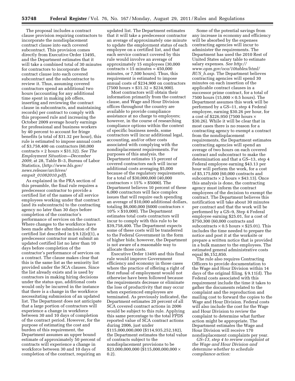The proposal includes a contract clause provision requiring contractors to incorporate the nondisplacement contract clause into each covered subcontract. This provision comes directly from Executive Order 13495, and the Department estimates that it will take a combined total of 30 minutes for contractors to incorporate the contract clause into each covered subcontract and the subcontractor to review it. Thus, assuming covered contractors spend an additional two hours (accounting for any additional time spent in making job offers, inserting and reviewing the contract clause in subcontracts, and maintaining records) per contract to comply with this proposed rule and increasing the October 2009 average hourly earnings for professional and business workers by 40 percent to account for fringe benefits (a total of \$31.32 per hour), this rule is estimated to impose annual costs of \$3,758,400 on contractors (60,000 contracts × 2 hours × \$31.32). *See The Employment Situation—December 2009,* at 28, Table B–3, Bureau of Labor Statistics, (*[http://www.bls.gov/](http://www.bls.gov/news.release/archives/empsit_01082010.pdf)  [news.release/archives/](http://www.bls.gov/news.release/archives/empsit_01082010.pdf)  empsit*\_*[01082010.pdf](http://www.bls.gov/news.release/archives/empsit_01082010.pdf)*).

As explained in the PRA section of this preamble, the final rule requires a predecessor contractor to provide a certified list of the names of all service employees working under that contract (and its subcontracts) to the contracting agency no later than 30 days before completion of the contractor's performance of services on the contract. Where changes to the workforce have been made after the submission of the certified list described in § 9.12(e)(1), a predecessor contractor must submit an updated certified list no later than 10 days before completion of the contractor's performance of services on a contract. The clause makes clear that this is the same list as the seniority list provided under the SCA clauses. Since the list already exists and is used by contractors in making hiring decisions under the status quo, additional costs would only be incurred in the instance that there is a change in the workforce necessitating submission of an updated list. The Department does not anticipate that a large portion of contractors will experience a change in workforce between 30 and 10 days of completion of the contract period. However, for the purpose of estimating the cost and burden of this requirement, the Department assumes an upper bound estimate of approximately 50 percent of contracts will experience a change in workforce between 30 and 10 days of completion of the contract, requiring an

updated list. The Department estimates that it will take a predecessor contractor an average of approximately one minute to update the employment status of each employee on a certified list, and that each service contract covered by this rule would involve an average of approximately 15 employees (30,000  $contracts \times 15 minutes = 450,000$ minutes, or 7,500 hours). Thus, this requirement is estimated to impose annual costs of \$234,900 on contractors  $(7500 \text{ hours} \times $31.32 = $234,900).$ 

Most contractors will obtain their information primarily from the contract clause, and Wage and Hour Division offices throughout the country are available to provide compliance assistance at no charge to employers; however, in the course of researching compliance options within the context of specific business needs, some contractors will incur additional legal, accounting, and/or other costs associated with complying with the nondisplacement requirements. For purposes of this analysis, the Department estimates 15 percent of covered contractors each will incur additional costs averaging \$5,000 because of the regulatory requirements, for a total of \$30,000,000 (40,000 contractors  $\times$  15%  $\times$  \$5000). The Department believes 10 percent of these 6,000 contractors will face complex issues that will require each spending an average of \$10,000 additional dollars, totaling  $$6,000,000$  (6000 contractors  $\times$  $10\% \times $10,000$ . The Department estimates total costs contractors will incur to comply with this rule to be \$39,758,400. The Department expects some of these costs will be transferred to the Federal Government in the form of higher bids; however, the Department is not aware of a reasonable way to allocate those costs.

Executive Order 13495 and this final rule would improve Government efficiency and economy in those cases where the practice of offering a right of first refusal of employment would not otherwise have been followed because the requirements decrease or eliminate the loss of productivity that may occur when experienced employees are terminated. As previously indicated, the Department estimates 20 percent of all SCA covered contract actions in 2006 would be subject to this rule. Applying this same percentage to the total FPDS reported value of SCA contract actions during 2006, just under \$115,000,000,000 (\$114,935,252,182), the Department estimates the total value of contracts subject to the nondisplacement provisions to be \$23,000,000,000 (\$115,000,000,000 × 0.2).

Some of the potential savings from any increase in economy and efficiency will be absorbed by the expenses contracting agencies will incur to administer the requirements. The Department has used the 2010 Rest of United States salary table to estimate salary expenses. *See [http://](http://www.opm.gov/oca/10tables/html/RUS_h.asp)  [www.opm.gov/oca/10tables/html/](http://www.opm.gov/oca/10tables/html/RUS_h.asp) RUS*\_*[h.asp.](http://www.opm.gov/oca/10tables/html/RUS_h.asp)* The Department believes contracting agencies will spend 30 minutes on each insertion of the applicable contract clauses in a successor prime contract, for a total of 7500 hours (15,000  $\times$  0.5 hours). The Department assumes this work will be performed by a GS–11, step 4 Federal employee, earning \$30.26 per hour, for a cost of \$226,950 (7500 hours × \$30.26). While it will be clear that in most cases there is no reason for a contracting agency to exempt a contract from the nondisplacement requirements, the Department estimates contracting agencies will spend an average of two hours on each covered contract and subcontract to make the determination and that a GS–13, step 4 Federal employee earning \$43.13 per hour will perform the work, for a cost of \$5,175,600 (60,000 contracts and subcontracts  $\times$  2 hours  $\times$  \$43.13). Once this analysis is done, the contracting agency must inform the contract employees of the decision to exempt the contract. The Department believes this notification will take about 30 minutes per contract and that the work will be performed by a GS–9, Step 4 Federal employee earning \$25.01, for a cost of \$750,300 (60,000 contracts and subcontracts  $\times$  0.5 hours  $\times$  \$25.01). This includes the time needed to prepare the notice and post it at the worksite or prepare a written notice that is provided in a bulk manner to the employees. The estimated general administrative costs equal \$6,152,850.

The rule also requires Contracting Officers to provide documentation to the Wage and Hour Division within 14 days of the original filing. § 9.11(d). The Federal costs associated with this requirement include the time it takes to gather the documents related to the complaint and the reproduction and mailing cost to forward the copies to the Wage and Hour Division. Federal costs will also include the cost for the Wage and Hour Division to review the complaint to determine what further action might be appropriate. The Department estimates the Wage and Hour Division will receive 170 nondisplacement complaints per year.

*GS–13, step 4 to review complaint at the Wage and Hour Division and determine whether to schedule compliance action:*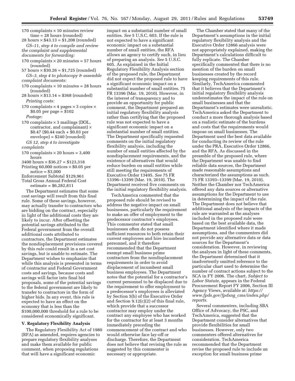- 170 complaints  $\times$  10 minutes review time = 28 hours (rounded)
- 28 hours  $\times$  \$43.13 = \$1,208 (rounded) *GS–11, step 4 to compile and review the complaint and supplemental documents for forwarding:*
- 170 complaints  $\times$  20 minutes = 57 hours (rounded)
- 57 hours  $\times$  \$30.26 = \$1,725 (rounded) *GS–3, step 4 to photocopy & assemble complaint documents:*
- 170 complaints  $\times$  10 minutes = 28 hours (rounded)
- 28 hours  $\times $13.14 = $368$  (rounded) *Printing costs:*
- 170 complaints  $\times$  4 pages  $\times$  3 copies  $\times$ \$0.05 per page = \$102 *Postage:*
- 170 complaints  $\times$  3 mailings (DOL, contractor, and complainant)  $\times$ \$0.47 (\$0.44 each + \$0.03 per envelope) = \$240 (rounded)
- *GS 12, step 4 to investigate*
- *complaints*
- 170 complaints  $\times$  20 hours = 3,400 hours
- $3400$  hours  $\times$  \$36.27 = \$123,318
- Printing  $60,000$  notices  $\times$  \$0.05 per notice  $=$  \$3,000
- Enforcement Subtotal \$129,961 Total Gross Annual Federal Cost
	- estimate = \$6,282,811

The Department estimates that some cost savings will result from this final rule. Some of these savings, however, may actually transfer to contractors who are bidding on the contract, especially in light of the additional costs they are likely to incur. After offsetting the potential savings attributed to the Federal government from the overall additional costs attributed to contractors, the Department estimates the nondisplacement provisions covered by this rule could result in a net cost savings, but is unable to estimate. The Department wishes to emphasize that while this analysis is presented in terms of contractor and Federal Government costs and savings, because costs and savings will factor into final bid proposals, some of the potential savings to the federal government are likely to transfer to contractors in the form of higher bids. In any event, this rule is expected to have an effect on the economy that is less than the \$100,000,000 threshold for a rule to be considered economically significant.

#### **V. Regulatory Flexibility Analysis**

The Regulatory Flexibility Act of 1980 (RFA) as amended, requires agencies to prepare regulatory flexibility analyses and make them available for public comment, when proposing regulations that will have a significant economic

impact on a substantial number of small entities. *See* 5 U.S.C. 603. If the rule is not expected to have a significant economic impact on a substantial number of small entities, the RFA allows an agency to certify such, in lieu of preparing an analysis. *See* 5 U.S.C. 605. As explained in the Initial Regulatory Flexibility Analysis section of the proposed rule, the Department did not expect the proposed rule to have a significant economic impact on a substantial number of small entities. 75 FR 13396 (Mar. 19, 2010). However, in the interest of transparency and to provide an opportunity for public comment, the Department prepared an initial regulatory flexibility analysis rather than certifying that the proposed rule was not expected to have a significant economic impact on a substantial number of small entities. The Department specifically requested comments on the initial regulatory flexibility analysis, including the number of small entities affected by the nondisplacement requirements, and the existence of alternatives that would reduce burden on small entities while still meeting the requirements of Executive Order 13495. *See* 75 FR 13396–13399 (Mar. 19, 2010). The Department received five comments on the initial regulatory flexibility analysis.

TechAmerica commented that the proposed rule should be revised to address the negative impact on small businesses, particularly the requirement to make an offer of employment to the predecessor contractor's employees. This commenter stated that small businesses often do not possess sufficient resources to both retain their current employees and hire incumbent personnel, and it therefore recommended that the Department exempt small business prime contractors from the nondisplacement requirements in order to avoid displacement of incumbent small business employees. The Department notes that the potential for a contractor's current personnel to be displaced due to the requirement to offer employment to a predecessor's employees is alleviated by Section 5(b) of the Executive Order and Section 9.12(c)(2) of this final rule, which provide that a successor contractor may employ under the contract any employee who has worked for the contractor for at least 3 months immediately preceding the commencement of the contract and who would otherwise face lay-off or discharge. Therefore, the Department does not believe that revising the rule as suggested by this commenter is necessary or appropriate.

The Chamber stated that many of the Department's assumptions in the initial regulatory flexibility analysis and the Executive Order 12866 analysis were not appropriately explained, making the Department's calculations difficult to fully replicate. The Chamber specifically commented that there is no mention of the burden on small businesses created by the record keeping requirements of this rule. Similarly, TechAmerica commented that it believes that the Department's initial regulatory flexibility analysis underestimates the impact of the rule on small businesses and that the Department's estimates were unrealistic. TechAmerica asked the Department to conduct a more thorough analysis based on a realistic estimate of the burdens and costs that the requirements would impose on small businesses. The Department used the best data available for conducting its review of the rule under the PRA, Executive Order 12866, and the RFA. As discussed in the preamble of the proposed rule, where the Department was unable to find reliable data sources, the Department made reasonable assumptions and characterized the assumptions as such. 75 FR 13393–13399 (Mar. 19, 2010). Neither the Chamber nor TechAmerica offered any data sources or alternative assumptions for the Department to use in determining the impact of the rule. The Department does not believe that additional analysis of the impacts of the rule are warranted as the analyses included in the proposed rule were based on the best available data, the Department identified where it made assumptions, and the commenters did not provide any alternative data or data sources for the Department's consideration. However, in reviewing the analyses in light of these comments, the Department determined that it inadvertently omitted reference to the particular chart used to determine the number of contract actions subject to the SCA in FY 2006. The chart, *Subject to Labor Statute,* appears in the Federal Procurement Report FY 2006, Section III Agency Views, available at: *[https://](https://www.fpds.gov/fpdsng_cms/index.php/reports) [www.fpds.gov/fpdsng](https://www.fpds.gov/fpdsng_cms/index.php/reports)*\_*cms/index.php/ [reports.](https://www.fpds.gov/fpdsng_cms/index.php/reports)* 

Several commenters, including SBA Office of Advocacy, the PSC, and TechAmerica, suggested that the Department consider alternatives that provide flexibilities for small businesses. However, only two commenters offered alternatives for consideration. TechAmerica recommended that the Department revise the proposed rule to include an exception for small business prime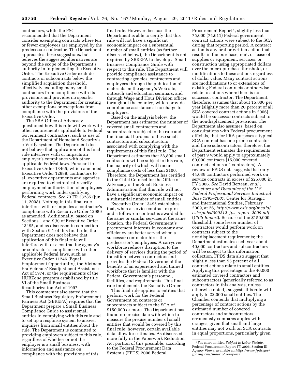contractors, while the PSC recommended that the Department consider exempting contracts where ten or fewer employees are employed by the predecessor contractor. The Department appreciates these suggestions, but believes the suggested alternatives are beyond the scope of the Department's authority in implementing the Executive Order. The Executive Order excludes contracts or subcontracts below the simplified acquisition threshold, effectively excluding many small contractors from compliance with its provisions and provides no specific authority to the Department for creating other exemptions or exceptions from compliance with the provisions of the Executive Order.

The SBA Office of Advocacy questioned how this rule will work with other requirements applicable to Federal Government contractors, such as use of the Department of Homeland Security's e-Verify system. The Department does not believe that application of this final rule interferes with or impacts an employer's compliance with other applicable Federal laws. Pursuant to Executive Order 13465, which amended Executive Order 12989, contractors to all executive departments and agencies are required to electronically verify employment authorization of employees performing work under qualifying Federal contracts. *See* 73 FR 33285 (Jun. 11, 2008). Nothing in this final rule interferes with or impedes a contractor's compliance with Executive Order 12989 as amended. Additionally, based on Sections 1 and 9(b) of Executive Order 13495, and as discussed in connection with Section 9.1 of this final rule, the Department does not believe that application of this final rule will interfere with or a contracting agency's or contractor's compliance with other applicable Federal laws, such as Executive Order 11246 (Equal Employment Opportunity), the Vietnam Era Veterans' Readjustment Assistance Act of 1974, or the requirements of the HUBZone program established by title VI of the Small Business Reauthorization Act of 1997.

This commenter also stated that the Small Business Regulatory Enforcement Fairness Act (SBREFA) requires that the Department prepare a Small Business Compliance Guide to assist small entities in complying with this rule and to set up a response system to answer inquiries from small entities about the rule. The Department is committed to providing employers subject to this rule, regardless of whether or not the employer is a small business, with information and assistance on compliance with the provisions of this

final rule. However, because the Department is able to certify that this rule will not have a significant economic impact on a substantial number of small entities (as further discussed below), the Department is not required by SBREFA to develop a Small Business Compliance Guide with respect to this rule. The Department will provide compliance assistance to contracting agencies, contractors and employees through the publication of materials on the agency's Web site, outreach and education seminars, and through Wage and Hour Division offices throughout the country, which provide compliance assistance at no charge to employers.

Based on the analysis below, the Department has estimated the number of covered small contractors and subcontractors subject to the rule and the financial burdens to these small contractors and subcontractors associated with complying with the requirements of this final rule. The Department estimates that 28,800 small contractors will be subject to this rule, the majority of which will incur compliance costs of less than \$100. Therefore, the Department has certified to the Chief Counsel for the Office of Advocacy of the Small Business Administration that this rule will not have a significant economic impact on a substantial number of small entities.

Executive Order 13495 establishes that, when a service contract expires and a follow-on contract is awarded for the same or similar services at the same location, the Federal Government's procurement interests in economy and efficiency are better served when a successor contractor hires the predecessor's employees. A carryover workforce reduces disruption to the delivery of services during the period of transition between contractors and provides the Federal Government the benefits of an experienced and trained workforce that is familiar with the Federal Government's personnel, facilities, and requirements. This final rule implements the Executive Order.

This final rule applies to entities that perform work for the Federal Government on contracts or subcontracts subject to the SCA of \$150,000 or more. The Department has found no precise data with which to measure the precise number of small entities that would be covered by this final rule; however, certain available data allow for estimates. As discussed more fully in the Paperwork Reduction Act portion of this preamble, according to the Federal Procurement Data System's (FPDS) 2006 Federal

Procurement Report<sup>1</sup>, slightly less than 75,000 (74,611) Federal government contract actions were subject to the SCA during that reporting period. A contract action is any oral or written action that results in the purchase, rent, or lease of supplies or equipment, services, or construction using appropriated dollars over the micro-purchase threshold, or modifications to these actions regardless of dollar value. Many contract actions are modifications to or extensions of existing Federal contracts or otherwise relate to actions where there is no successor contractor. The Department, therefore, assumes that about 15,000 per year (slightly more than 20 percent of all SCA covered contract actions in 2006) would be successor contracts subject to the nondisplacement provisions. The Department also assumes, based on consultations with Federal procurement officials, that for PRA purposes a typical SCA contract has one prime contractor and three subcontractors; therefore, the Department estimates the requirements of part 9 would apply to approximately 60,000 contracts (15,000 covered contract actions  $\times$  4 contractors). A review of FPDS data suggests that only 44,039 contractors performed work on service contracts in excess of \$25,000 in FY 2006. *See* David Berteau, *et al., Structure and Dynamics of the U.S. Federal Professional Services Industrial Base 1995–2007,* Center for Strategic and International Studies, February 2009, at 26, *[http://www.csis.org/media/](http://www.csis.org/media/csis/pubs/090212_fps_report_2009.pdf) [csis/pubs/090212](http://www.csis.org/media/csis/pubs/090212_fps_report_2009.pdf)*\_*fps*\_*report*\_*2009.pdf*  (*CSIS Report*). Because of the \$150,000 threshold, some lesser number of contractors would perform work on contracts subject to the nondisplacement requirements; the Department estimates each year about 40,000 contractors and subcontractors will be subject to this information collection. FPDS data also suggest that slightly less than 55 percent of all contract actions relate to small entities. Applying this percentage to the 40,000 estimated covered contractors and subcontractors (generically referred to as contractors in this analysis, unless otherwise noted), suggests this rule will apply to 22,000 small entities. The Chamber contends that multiplying a percentage of contract actions by the estimated number of covered contractors and subcontractors erroneously compares apples with oranges, given that small and large entities may not work on SCA contracts in equal proportions, particularly given

<sup>1</sup>*See* chart entitled *Subject to Labor Statute,*  Federal Procurement Report FY 2006, Section III Agency Views, available at: *[https://www.fpds.gov/](https://www.fpds.gov/fpdsng_cms/index.php/reports) fpdsng*\_*[cms/index.php/reports.](https://www.fpds.gov/fpdsng_cms/index.php/reports)*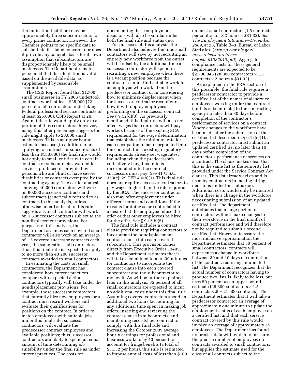the indication that there may be approximately three subcontractors for every prime contractor. However, the Chamber points to no specific data to substantiate its stated concern, nor does it provide any concrete basis for its own assumption that subcontractors are disproportionately likely to be small businesses. The Department remains persuaded that its calculation is valid based on the available data, as supplemented by reasonable assumptions.

The CSIS Report found that 31,700 small businesses in FY 2006 undertook contracts worth at least \$25,000 (72 percent of all contractors undertaking Federal professional service contracts of at least \$25,000). CSIS Report at 26. Again, this rule would apply only to a portion of these contractors; however, using this latter percentage suggests the rule might apply to 28,800 small businesses. This is an upper bound estimate, because (in addition to not applying to contracts or subcontracts of less than \$150,000) the final rule would not apply to small entities with certain contracts or subcontracts awarded for services produced or provided by persons who are blind or have severe disabilities or contracts exempted by the contracting agency. The earlier analysis showing 40,000 contractors will work on 60,000 successor contracts and subcontracts (generically referred to as contracts in this analysis, unless otherwise noted) subject to this rule suggests a typical contractor will work on 1.5 successor contracts subject to the nondisplacement provisions. For purposes of this analysis, the Department assumes each covered small contractor will also work on an average of 1.5 covered successor contracts each year, the same ratio as all contractors; thus, this final rule is expected to apply to no more than 43,200 successor contracts awarded to small contractors.

In estimating the costs on small contractors, the Department has considered how current practices compare with expected actions contractors typically will take under the nondisplacement provisions. For example, those successor contractors that currently hire new employees for a contract must recruit workers and evaluate their qualifications for positions on the contract. In order to match employees with suitable jobs under this final rule, successor contractors will evaluate the predecessor contract employees and available positions; thus, successor contractors are likely to spend an equal amount of time determining job suitability under the final rule as under current practices. The costs for

documenting these employment decisions will also be similar under both the final rule and status quo.

For purposes of this analysis, the Department also believes the time small contactors will save by not recruiting an entirely new workforce from the outset will be offset by the additional time a successor contractor will spend in recruiting a new employee when there is a vacant position because the contractor cannot find suitable work for an employee who worked on the predecessor contract or in considering how to minimize displacement when the successor contractor reconfigures how it will deploy employees performing on the successor contract. *See* § 9.12(d)(3). As previously mentioned, this final rule will also not affect wages that contractors will pay workers because of the existing SCA requirement for the wage determination that establishes the minimum rate for each occupation to be incorporated into the contract; thus, existing regulatory requirements already set wage rates, including when the predecessor's collectively bargained rate is incorporated into the contract, successors must pay. *See* 41 U.S.C. 353(c); 29 CFR 4.6(b)(1). This final rule does not require successor contractors to pay wages higher than the rate required by the SCA. The successor contractor also may offer employment under different terms and conditions, if the reasons for doing so are not related to a desire that the employee refuse the offer or that other employees be hired for the offer. *See* § 9.12(b)(5).

The final rule includes a contract clause provision requiring contractors to incorporate the nondisplacement contract clause into each covered subcontract. This provision comes directly from Executive Order 13495, and the Department estimates that it will take a combined total of 30 minutes for contractors to incorporate the contract clause into each covered subcontract and the subcontractor to review it. As will be further explained later in this analysis, 85 percent of all small contractors are expected to incur no additional costs under this final rule. Assuming covered contractors spend an additional two hours (accounting for any additional time spent in making job offers, inserting and reviewing the contract clause in subcontracts, and maintaining records) per contract to comply with this final rule and increasing the October 2009 average hourly earnings for professional and business workers by 40 percent to account for fringe benefits (a total of \$31.32 per hour), this rule is estimated to impose annual costs of less than \$100

on most small contractors (1.5 contracts per contractor × 2 hours × \$31.32). *See The Employment Situation—December 2009,* at 28, Table B–3, Bureau of Labor Statistics, (*[http://www.bls.gov/](http://www.bls.gov/news.release/archives/empsit_01082010.pdf)  [news.release/archives/](http://www.bls.gov/news.release/archives/empsit_01082010.pdf)  empsit*\_*[01082010.pdf](http://www.bls.gov/news.release/archives/empsit_01082010.pdf)*). Aggregate compliance costs for these general requirements are expected to be  $$2,706,048$  (28,800 contractors  $\times 1.5$ contracts  $\times$  2 hours  $\times$  \$31.32).

As explained in the PRA section of this preamble, the final rule requires a predecessor contractor to provide a certified list of the names of all service employees working under that contract (and its subcontracts) to the contracting agency no later than 30 days before completion of the contractor's performance of services on a contract. Where changes to the workforce have been made after the submission of the certified list described in § 9.12(e)(1), a predecessor contractor must submit an updated certified list no later than 10 days before completion of the contractor's performance of services on a contract. The clause makes clear that this is the same list as the seniority list provided under the Service Contract Act clauses. This list already exists and is used by contractors in making hiring decisions under the status quo. Additional costs would only be incurred when there is a change in the workforce necessitating submission of an updated certified list. The department anticipates that a large portion of contractors will not make changes to their workforce in the final month of contract performance and will therefore not be required to submit a second certified list. However, to assure the most inclusive approximation the Department estimates that 50 percent of small contractors' contracts will experience a change in workforce between 30 and 10 days of completion of the contract, requiring an updated list. The Department recognizes that the actual number of contractors having to produce two lists is likely to be less, but uses 50 percent as an upper bound estimate (28,800 contractors  $\times$  1.5 contracts  $\times$  .5 = 21,600 contracts). The Department estimates that it will take a predecessor contractor an average of approximately one minute to update the employment status of each employee on a certified list, and that each service contract covered by this rule would involve an average of approximately 15 employees. The Department has found no precise data with which to measure the precise number of employees on contracts awarded to small contractors, but applies the estimate used for the class of all contracts subject to the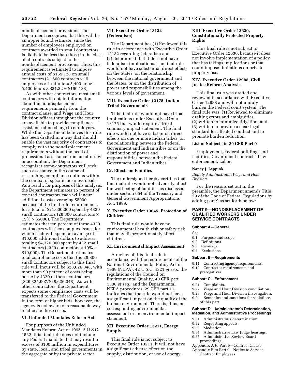nondisplacement provisions. The Department recognizes that this will be an upper bound estimate, since the number of employees employed on contracts awarded to small contractors is likely to be less than those in the class of all contracts subject to the nondisplacement provisions. Thus, this requirement is estimated to impose annual costs of \$169,128 on small contractors (21,600 contracts  $\times$  15 employees  $\times$  1 minute = 5,400 hours.  $5,400$  hours  $\times$  \$31.32 = \$169,128).

As with other contractors, most small contractors will obtain information about the nondisplacement requirements primarily from the contract clause, and Wage and Hour Division offices throughout the country are available to provide compliance assistance at no charge to employers. While the Department believes this rule has been drafted in a way that should enable the vast majority of contractors to comply with the nondisplacement requirements without the need of professional assistance from an attorney or accountant, the Department recognizes some contractors will seek such assistance in the course of researching compliance options within the context of specific business needs. As a result, for purposes of this analysis, the Department estimates 15 percent of covered contractors each will incur additional costs averaging \$5000 because of the final rule requirements, for a total of \$21,600,000 spent by 4320 small contractors (28,800 contractors  $\times$  $15\% \times $5000$ . The Department estimates that ten percent of these 4320 contractors will face complex issues for which each will spend an average of \$10,000 additional dollars to address, totaling \$4,320,000 spent by 432 small contractors (4320 contractors  $\times$  10%  $\times$ \$10,000). The Department estimates total compliance costs that the 28,800 small contractors subject to this final rule will incur will be \$28,626,048, with more than 90 percent of costs being borne by 4320 of these contractors (\$26,325,907/\$28,626,048). As with other contractors, the Department expects some compliance costs will be transferred to the Federal Government in the form of higher bids; however, the agency is not aware of a reasonable way to allocate those costs.

# **VI. Unfunded Mandates Reform Act**

For purposes of the Unfunded Mandates Reform Act of 1995, 2 U.S.C. 1532, this final rule does not include any Federal mandate that may result in excess of \$100 million in expenditures by state, local, and tribal governments in the aggregate or by the private sector.

# **VII. Executive Order 13132 (Federalism)**

The Department has (1) Reviewed this rule in accordance with Executive Order 13132 regarding federalism and (2) determined that it does not have federalism implications. The final rule would not have substantial direct effects on the States, on the relationship between the national government and the States, or on the distribution of power and responsibilities among the various levels of government.

# **VIII. Executive Order 13175, Indian Tribal Governments**

This final rule would not have tribal implications under Executive Order 13175 that would require a tribal summary impact statement. The final rule would not have substantial direct effects on one or more Indian tribes, on the relationship between the Federal Government and Indian tribes or on the distribution of power and responsibilities between the Federal Government and Indian tribes.

#### **IX. Effects on Families**

The undersigned hereby certifies that the final rule would not adversely affect the well-being of families, as discussed under section 654 of the Treasury and General Government Appropriations Act, 1999.

# **X. Executive Order 13045, Protection of Children**

This final rule would have no environmental health risk or safety risk that may disproportionately affect children.

#### **XI. Environmental Impact Assessment**

A review of this final rule in accordance with the requirements of the National Environmental Policy Act of 1969 (NEPA), 42 U.S.C. 4321 *et seq.;* the regulations of the Council on Environmental Quality, 40 CFR part 1500 *et seq.;* and the Departmental NEPA procedures, 29 CFR part 11, indicates that the rule would not have a significant impact on the quality of the human environment. There is, thus, no corresponding environmental assessment or an environmental impact statement.

# **XII. Executive Order 13211, Energy Supply**

This final rule is not subject to Executive Order 13211. It will not have a significant adverse effect on the supply, distribution, or use of energy.

# **XIII. Executive Order 12630, Constitutionally Protected Property Rights**

This final rule is not subject to Executive Order 12630, because it does not involve implementation of a policy that has takings implications or that could impose limitations on private property use.

# **XIV. Executive Order 12988, Civil Justice Reform Analysis**

This final rule was drafted and reviewed in accordance with Executive Order 12988 and will not unduly burden the Federal court system. The final rule was: (1) Reviewed to eliminate drafting errors and ambiguities; (2) written to minimize litigation; and (3) written to provide a clear legal standard for affected conduct and to promote burden reduction.

# **List of Subjects in 29 CFR Part 9**

Employment, Federal buildings and facilities, Government contracts, Law enforcement, Labor.

# **Nancy J. Leppink,**

*Deputy Administrator, Wage and Hour Division.* 

For the reasons set out in the preamble, the Department amends Title 29 of the Code of Federal Regulations by adding part 9 as set forth below:

# **PART 9—NONDISPLACEMENT OF QUALIFIED WORKERS UNDER SERVICE CONTRACTS**

# **Subpart A—General**

Sec.

- 9.1 Purpose and scope.
- 9.2 Definitions.
- 9.3 Coverage.
- 9.4 Exclusions.

#### **Subpart B—Requirements**

- 9.11 Contracting agency requirements.
- 9.12 Contractor requirements and prerogatives.

#### **Subpart C—Enforcement**

- 9.21 Complaints.
- 9.22 Wage and Hour Division conciliation.<br>9.23 Wage and Hour Division investigation
- Wage and Hour Division investigation.
- 9.24 Remedies and sanctions for violations of this part.

# **Subpart D—Administrator's Determination, Mediation, and Administrative Proceedings**

- 9.31 Administrator's determination.
- 9.32 Requesting appeals.<br>9.33 Mediation.
- Mediation.
- 9.34 Administrative Law Judge hearings.
- 9.35 Administrative Review Board proceedings.
- Appendix A to Part 9—Contract Clause
- Appendix B to Part 9—Notice to Service Contract Employees.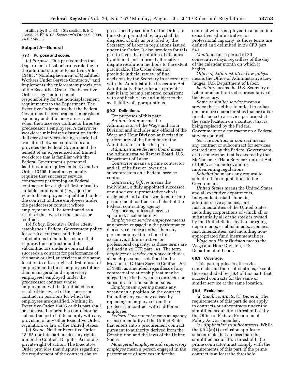**Authority:** 5 U.S.C. 301; section 6, E.O. 13495, 74 FR 6103; Secretary's Order 9–2009, 74 FR 58836.

### **Subpart A—General**

#### **§ 9.1 Purpose and scope.**

(a) *Purpose.* This part contains the Department of Labor's rules relating to the administration of Executive Order 13495, ''Nondisplacement of Qualified Workers Under Service Contracts,'' and implements the enforcement provisions of the Executive Order. The Executive Order assigns enforcement responsibility for the nondisplacement requirements to the Department. The Executive Order states that the Federal Government's procurement interests in economy and efficiency are served when the successor contractor hires the predecessor's employees. A carryover workforce minimizes disruption in the delivery of services during a period of transition between contractors and provides the Federal Government the benefit of an experienced and trained workforce that is familiar with the Federal Government's personnel, facilities, and requirements. Executive Order 13495, therefore, generally requires that successor service contractors performing on Federal contracts offer a right of first refusal to suitable employment (*i.e.,* a job for which the employee is qualified) under the contract to those employees under the predecessor contract whose employment will be terminated as a result of the award of the successor contract.

(b) *Policy.* Executive Order 13495 establishes a Federal Government policy for service contracts and their solicitations to include a clause that requires the contractor and its subcontractors under a contract that succeeds a contract for performance of the same or similar services at the same location to offer a right of first refusal of employment to those employees (other than managerial and supervisory employees) employed under the predecessor contract whose employment will be terminated as a result of the award of the successor contract in positions for which the employees are qualified. Nothing in Executive Order 13495 or this part shall be construed to permit a contractor or subcontractor to fail to comply with any provision of any other Executive Order, regulation, or law of the United States.

(c) *Scope.* Neither Executive Order 13495 nor this part creates any rights under the Contract Disputes Act or any private right of action. The Executive Order provides that disputes regarding the requirement of the contract clause

prescribed by section 5 of the Order, to the extent permitted by law, shall be disposed of only as provided by the Secretary of Labor in regulations issued under the Order. It also provides for this part to favor the resolution of disputes by efficient and informal alternative dispute resolution methods to the extent practicable. The Order does not preclude judicial review of final decisions by the Secretary in accordance with the Administrative Procedure Act. Additionally, the Order also provides that it is to be implemented consistent with applicable law and subject to the availability of appropriations.

#### **§ 9.2 Definitions.**

For purposes of this part: *Administrator* means the Administrator of the Wage and Hour Division and includes any official of the Wage and Hour Division authorized to perform any of the functions of the Administrator under this part.

*Administrative Review Board* means the Administrative Review Board, U.S. Department of Labor.

*Contractor* means a prime contractor and all of its first or lower tier subcontractors on a Federal service contract.

*Contracting Officer* means the individual, a duly appointed successor, or authorized representative who is designated and authorized to enter into procurement contracts on behalf of the Federal contracting agency.

*Day* means, unless otherwise specified, a calendar day.

*Employee* or *service employee* means any person engaged in the performance of a service contract other than any person employed in a bona fide executive, administrative, or professional capacity, as those terms are defined in 29 CFR part 541. The term *employee* or *service employee* includes all such persons, as defined in the McNamara-O'Hara Service Contract Act of 1965, as amended, regardless of any contractual relationship that may be alleged to exist between a contractor or subcontractor and such persons.

*Employment opening* means any vacancy in a position on the contract, including any vacancy caused by replacing an employee from the predecessor contract with a different employee.

*Federal Government* means an agency or instrumentality of the United States that enters into a procurement contract pursuant to authority derived from the Constitution and the laws of the United States.

*Managerial employee* and *supervisory employee* mean a person engaged in the performance of services under the

contract who is employed in a bona fide executive, administrative, or professional capacity, as those terms are defined and delimited in 29 CFR part 541.

*Month* means a period of 30 consecutive days, regardless of the day of the calendar month on which it begins.

*Office of Administrative Law Judges*  means the Office of Administrative Law Judges, U.S. Department of Labor.

*Secretary* means the U.S. Secretary of Labor or an authorized representative of the Secretary.

*Same or similar service* means a service that is either identical to or has one or more characteristics that are alike in substance to a service performed at the same location on a contract that is being replaced by the Federal Government or a contractor on a Federal service contract.

*Service contract* or *contract* means any contract or subcontract for services entered into by the Federal Government or its contractors that is covered by the McNamara-O'Hara Service Contract Act of 1965, as amended, and its implementing regulations.

*Solicitation* means any request to submit offers or quotations to the Government.

*United States* means the United States and all executive departments, independent establishments, administrative agencies, and instrumentalities of the United States, including corporations of which all or substantially all of the stock is owned by the United States, by the foregoing departments, establishments, agencies, instrumentalities, and including nonappropriated fund instrumentalities.

*Wage and Hour Division* means the Wage and Hour Division, U.S. Department of Labor.

#### **§ 9.3 Coverage.**

This part applies to all service contracts and their solicitations, except those excluded by § 9.4 of this part, that succeed contracts for the same or similar service at the same location.

#### **§ 9.4 Exclusions.**

(a) *Small contracts.* (1) *General.* The requirements of this part do not apply to contracts or subcontracts under the simplified acquisition threshold set by the Office of Federal Procurement Policy Act, as amended.

(2) *Application to subcontracts.* While the § 9.4(a)(1) exclusion applies to subcontracts that are less than the simplified acquisition threshold, the prime contractor must comply with the requirements of this part, if the prime contract is at least the threshold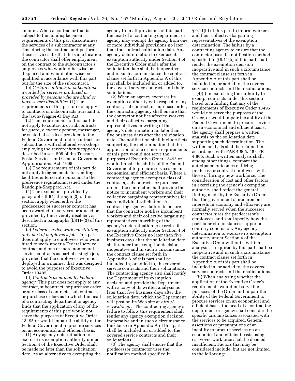amount. When a contractor that is subject to the nondisplacement requirements of this part discontinues the services of a subcontractor at any time during the contract and performs those services itself at the same location, the contractor shall offer employment on the contract to the subcontractor's employees who would otherwise be displaced and would otherwise be qualified in accordance with this part but for the size of the subcontract.

(b) *Certain contracts or subcontracts awarded for services produced or provided by persons who are blind or have severe disabilities.* (1) The requirements of this part do not apply to contracts or subcontracts pursuant to the Javits-Wagner-O'Day Act.

(2) The requirements of this part do not apply to contracts or subcontracts for guard, elevator operator, messenger, or custodial services provided to the Federal Government under contracts or subcontracts with sheltered workshops employing the *severely handicapped* as described in sec. 505 of the Treasury, Postal Services and General Government Appropriations Act, 1995.

(3) The requirements of this part do not apply to agreements for vending facilities entered into pursuant to the preference regulations issued under the Randolph-Sheppard Act.

(4) The exclusions provided by paragraphs (b)(1) through (3) of this section apply when either the predecessor or successor contract has been awarded for services produced or provided by the severely disabled, as described in paragraphs (b)(1)–(3) of this section.

(c) *Federal service work constituting only part of employee's job.* This part does not apply to employees who were hired to work under a Federal service contract and one or more nonfederal service contracts as part of a single job, provided that the employees were not deployed in a manner that was designed to avoid the purposes of Executive Order 13495.

(d) *Contracts exempted by Federal agency.* This part does not apply to any contract, subcontract, or purchase order or any class of contracts, subcontracts, or purchase orders as to which the head of a contracting department or agency finds that the application of any of the requirements of this part would not serve the purposes of Executive Order 13495 or would impair the ability of the Federal Government to procure services on an economical and efficient basis.

(1) Any agency determination to exercise its exemption authority under Section 4 of the Executive Order shall be made no later than the solicitation date. As an alternative to exempting the

agency from all provisions of this part, the head of a contracting department or agency may exempt the agency from one or more individual provisions no later than the contract solicitation date. Any agency determination to exercise its exemption authority under Section 4 of the Executive Order made after the solicitation date shall be inoperative and in such a circumstance the contract clause set forth in Appendix A of this part shall be included in, or added to, the covered service contracts and their solicitations.

(2) When an agency exercises its exemption authority with respect to any contract, subcontract, or purchase order, the contracting agency shall ensure that the contractor notifies affected workers and their collective bargaining representatives in writing of the agency's determination no later than five business days after the solicitation date. The notification shall include facts supporting the determination that the application of one or more requirements of this part would not serve the purposes of Executive Order 13495 or would impair the ability of the Federal Government to procure services on an economical and efficient basis. Where a contracting agency exempts a class of contracts, subcontracts, or purchase orders, the contractor shall provide the notice to incumbent workers and their collective bargaining representatives for each individual solicitation. A contracting agency's failure to ensure that the contractor notifies incumbent workers and their collective bargaining representatives in writing of the agency's determination to exercise its exemption authority under Section 4 of the Executive Order no later than five business days after the solicitation date shall render the exemption decision inoperative and in such a circumstance the contract clause set forth in Appendix A of this part shall be included in, or added to, the covered service contracts and their solicitations. The contracting agency also shall notify the Department of its exemption decision and provide the Department with a copy of its written analysis no later than five business days after the solicitation date, which the Department will post on its Web site at *[http://](http://www.dol.gov)  [www.dol.gov.](http://www.dol.gov)* The contracting agency's failure to follow this requirement shall render any agency exemption decision inoperative and in such a circumstance the clause in Appendix A of this part shall be included in, or added to, the covered service contracts and their solicitations.

(3) The agency shall ensure that the predecessor contractor uses the notification method specified in

§ 9.11(b) of this part to inform workers and their collective bargaining representatives of the exemption determination. The failure by a contracting agency to ensure that the contractor uses the notification method specified in § 9.11(b) of this part shall render the exemption decision inoperative and in such a circumstance the contract clause set forth in Appendix A of this part shall be included in, or added to, the covered service contracts and their solicitations.

(4)(i) In exercising the authority to exempt contracts under this section based on a finding that any of the requirements of Executive Order 13495 would not serve the purposes of the Order, or would impair the ability of the Federal Government to procure services on an economical and efficient basis, the agency shall prepare a written analysis by the solicitation date supporting such determination. The written analysis shall be retained in accordance with FAR 4.805. 48 CFR 4.805. Such a written analysis shall, among other things, compare the anticipated outcomes of hiring predecessor contract employees with those of hiring a new workforce. The consideration of cost and other factors in exercising the agency's exemption authority shall reflect the general finding made by the Executive Order that the government's procurement interests in economy and efficiency are normally served when the successor contractor hires the predecessor's employees, and shall specify how the particular circumstances support a contrary conclusion. Any agency determination to exercise its exemption authority under Section 4 of the Executive Order without a written analysis as required by this part shall be inoperative and in such a circumstance the contract clause set forth in Appendix A of this part shall be included in, or added to, the covered service contracts and their solicitations.

(ii) When analyzing whether the application of the Executive Order's requirements would not serve the purposes of the Order and impair the ability of the Federal Government to procure services on an economical and efficient basis, the head of a contracting department or agency shall consider the specific circumstances associated with the services to be acquired. General assertions or presumptions of an inability to procure services on an economical and efficient basis using a carryover workforce shall be deemed insufficient. Factors that may be considered include, but are not limited to the following: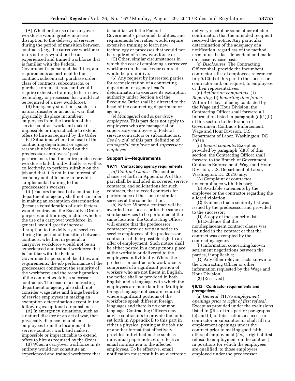(A) Whether the use of a carryover workforce would greatly increase disruption to the delivery of services during the period of transition between contracts (*e.g.,* the carryover workforce in its entirety would not be an experienced and trained workforce that is familiar with the Federal Government's personnel, facilities, and requirements as pertinent to the contract, subcontract, purchase order, class of contracts, subcontracts, or purchase orders at issue and would require extensive training to learn new technology or processes that would not be required of a new workforce).

(B) Emergency situations, such as a natural disaster or an act of war, that physically displace incumbent employees from the location of the service contract work and make it impossible or impracticable to extend offers to hire as required by the Order.

(C) Situations where the head of the contracting department or agency reasonably believes, based on the predecessor employees' past performance, that the entire predecessor workforce failed, individually as well as collectively, to perform suitably on the job and that it is not in the interest of economy and efficiency to provide supplemental training to the predecessor's workers.

(iii) Factors the head of a contracting department or agency shall not consider in making an exemption determination (because consideration of such factors would contravene the Executive Order's purposes and findings) include whether the use of a carryover workforce, in general, would greatly increase disruption to the delivery of services during the period of transition between contracts; whether, in general, a carryover workforce would not be an experienced and trained workforce that is familiar with the Federal Government's personnel, facilities, and requirements; the job performance of the predecessor contractor; the seniority of the workforce; and the reconfiguration of the contract work by a successor contractor. The head of a contracting department or agency also shall not consider wage rates and fringe benefits of service employees in making an exemption determination except in the following exceptional circumstances:

(A) In emergency situations, such as a natural disaster or an act of war, that physically displace incumbent employees from the locations of the service contract work and make it impossible or impracticable to extend offers to hire as required by the Order;

(B) When a carryover workforce in its entirety would not constitute an experienced and trained workforce that

is familiar with the Federal Government's personnel, facilities, and requirements but rather would require extensive training to learn new technology or processes that would not be required of a new workforce; or

(C) Other, similar circumstances in which the cost of employing a carryover workforce on the successor contract would be prohibitive.

(5) Any request by interested parties for reconsideration of a contracting department or agency head's determination to exercise its exemption authority under Section 4 of the Executive Order shall be directed to the head of the contracting department or agency.

(e) *Managerial and supervisory employees.* This part does not apply to employees who are managerial or supervisory employees of Federal service contractors or subcontractors. *See* § 9.2(9) of this part, definition of *managerial employee* and *supervisory employee.* 

### **Subpart B—Requirements**

#### **§ 9.11 Contracting agency requirements.**

*(a) Contract Clause.* The contract clause set forth in Appendix A of this part shall be included in covered service contracts, and solicitations for such contracts, that succeed contracts for performance of the same or similar services at the same location.

(b) *Notice.* Where a contract will be awarded to a successor for the same or similar services to be performed at the same location, the Contracting Officer will ensure that the predecessor contractor provide written notice to service employees of the predecessor contractor of their possible right to an offer of employment. Such notice shall be either posted in a conspicuous place at the worksite or delivered to the employees individually. Where the predecessor contractor's workforce is comprised of a significant portion of workers who are not fluent in English, the notice shall be provided in both English and a language with which the employees are more familiar. Multiple foreign language notices are required where significant portions of the workforce speak different foreign languages and there is no common language. Contracting Officers may advise contractors to provide the notice set forth in Appendix B to this part in either a physical posting at the job site, or another format that effectively provides individual notice such as individual paper notices or effective email notification to the affected employees. To be effective, email notification must result in an electronic

delivery receipt or some other reliable confirmation that the intended recipient received the notice. Any particular determination of the adequacy of a notification, regardless of the method used, must be fact-dependent and made on a case-by-case basis.

(c) *Disclosures.* The Contracting Officer shall provide the incumbent contractor's list of employees referenced in § 9.12(e) of this part to the successor contractor and, on request, to employees or their representatives.

(d) *Actions on complaints.* (1) *Reporting.* (i) *Reporting time frame.*  Within 14 days of being contacted by the Wage and Hour Division, the Contracting Officer shall forward all information listed in paragraph (d)(1)(ii) of this section to the Branch of Government Contracts Enforcement, Wage and Hour Division, U.S. Department of Labor, Washington, DC 20210.

(ii) *Report contents:* Except as provided by paragraph (d)(3) of this section, the Contracting Officer shall forward to the Branch of Government Contracts Enforcement, Wage and Hour Division, U.S. Department of Labor, Washington, DC 20210 any:

(A) Complaint of contractor noncompliance with this part;

(B) Available statements by the employee or the contractor regarding the alleged violation;

(C) Evidence that a seniority list was issued by the predecessor and provided to the successor;

(D) A copy of the seniority list;

(E) Evidence that the nondisplacement contract clause was included in the contract or that the contract was exempted by the contracting agency;

(F) Information concerning known settlement negotiations between the parties, if applicable;

(G) Any other relevant facts known to the Contracting Officer or other information requested by the Wage and Hour Division.

(2) [Reserved]

#### **§ 9.12 Contractor requirements and prerogatives.**

(a) *General.* (1) *No employment openings prior to right of first refusal.*  Except as provided under the exclusions listed in § 9.4 of this part or paragraphs (c) and (d) of this section, a successor contractor or subcontractor shall fill no employment openings under the contract prior to making good faith offers of employment (*i.e.,* a right of first refusal to employment on the contract), in positions for which the employees are qualified, to those employees employed under the predecessor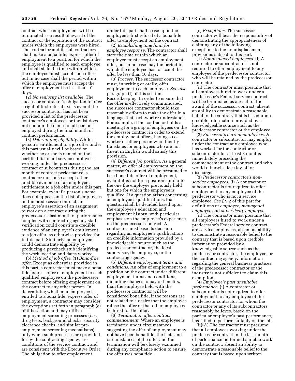contract whose employment will be terminated as a result of award of the contract or the expiration of the contract under which the employees were hired. The contractor and its subcontractors shall make a bona fide, express offer of employment to a position for which the employee is qualified to each employee and shall state the time within which the employee must accept such offer, but in no case shall the period within which the employee must accept the offer of employment be less than 10 days.

(2) *No seniority list available.* The successor contractor's obligation to offer a right of first refusal exists even if the successor contractor has not been provided a list of the predecessor contractor's employees or the list does not contain the names of all persons employed during the final month of contract performance.

(3) *Determining eligibility.* While a person's entitlement to a job offer under this part usually will be based on whether he or she is named on the certified list of all service employees working under the predecessor's contract or subcontracts during the last month of contract performance, a contractor must also accept other credible evidence of an employee's entitlement to a job offer under this part. For example, even if a person's name does not appear on the list of employees on the predecessor contract, an employee's assertion of an assignment to work on a contract during the predecessor's last month of performance coupled with contracting agency staff verification could constitute credible evidence of an employee's entitlement to a job offer, as otherwise provided for in this part. Similarly, an employee could demonstrate eligibility by producing a paycheck stub identifying the work location and dates worked.

(b) *Method of job offer.* (1) *Bona-fide offer.* Except as otherwise provided in this part, a contractor must make a bona fide express offer of employment to each qualified employee on the predecessor contract before offering employment on the contract to any other person. In determining whether an employee is entitled to a bona fide, express offer of employment, a contractor may consider the exceptions set forth in paragraph (c) of this section and may utilize employment screening processes (*i.e.,*  drug tests, background checks, security clearance checks, and similar preemployment screening mechanisms) only when such processes are provided for by the contracting agency, are conditions of the service contract, and are consistent with the Executive Order. The obligation to offer employment

under this part shall cease upon the employee's first refusal of a bona fide offer to employment on the contract.

(2) *Establishing time limit for employee response.* The contractor shall state the time within which an employee must accept an employment offer, but in no case may the period in which the employee has to accept the offer be less than 10 days.

(3) *Process.* The successor contractor must, in writing or orally, offer employment to each employee. *See also*  paragraph (f) of this section, Recordkeeping. In order to ensure that the offer is effectively communicated, the successor contractor should take reasonable efforts to make the offer in a language that each worker understands. For example, if the contractor holds a meeting for a group of employees on the predecessor contract in order to extend the employment offers, having a coworker or other person who fluently translates for employees who are not fluent in English would satisfy this provision.

(4) *Different job position.* As a general matter, an offer of employment on the successor's contract will be presumed to be a bona fide offer of employment, even if it is not for a position similar to the one the employee previously held but one for which the employee is qualified. If a question arises concerning an employee's qualifications, that question shall be decided based upon the employee's education and employment history, with particular emphasis on the employee's experience on the predecessor contract. A contractor must base its decision regarding an employee's qualifications on credible information provided by a knowledgeable source such as the predecessor contractor, the local supervisor, the employee, or the contracting agency.

(5) *Different employment terms and conditions.* An offer of employment to a position on the contract under different employment terms and conditions, including changes to pay or benefits, than the employee held with the predecessor contractor will be considered bona fide, if the reasons are not related to a desire that the employee refuse the offer or that other employees be hired for the offer.

(6) *Termination after contract commencement.* Where an employee is terminated under circumstances suggesting the offer of employment may not have been bona fide, the facts and circumstances of the offer and the termination will be closely examined during any compliance action to ensure the offer was bona fide.

(c) *Exceptions.* The successor contractor will bear the responsibility of demonstrating the appropriateness of claiming any of the following exceptions to the nondisplacement provisions subject to this part.

(1) *Nondisplaced employees.* (i) A contractor or subcontractor is not required to offer employment to any employee of the predecessor contractor who will be retained by the predecessor contractor.

(ii) The contractor must presume that all employees hired to work under a predecessor's Federal service contract will be terminated as a result of the award of the successor contract, absent an ability to demonstrate a reasonable belief to the contrary that is based upon credible information provided by a knowledgeable source such as the predecessor contractor or the employee.

(2) *Successor's current employees.* A contractor or subcontractor may employ under the contract any employee who has worked for the contractor or subcontractor for at least 3 months immediately preceding the commencement of the contract and who would otherwise face lay-off or discharge.

(3) *Predecessor contractor's nonservice employees.* (i) A contractor or subcontractor is not required to offer employment to any employee of the predecessor who is not a service employee. *See* § 9.2 of this part for definitions of *employee, managerial employee* and *supervisory employee.* 

(ii) The contractor must presume that all employees hired to work under a predecessor's Federal service contract are service employees, absent an ability to demonstrate a reasonable belief to the contrary that is based upon credible information provided by a knowledgeable source such as the predecessor contractor, the employee, or the contracting agency. Information regarding the general business practices of the predecessor contractor or the industry is not sufficient to claim this exemption.

(4) *Employee's past unsuitable performance.* (i) A contractor or subcontractor is not required to offer employment to any employee of the predecessor contractor for whom the contractor or any of its subcontractors reasonably believes, based on the particular employee's past performance, has failed to perform suitably on the job.

(ii)(A) The contractor must presume that all employees working under the predecessor contract in the last month of performance performed suitable work on the contract, absent an ability to demonstrate a reasonable belief to the contrary that is based upon written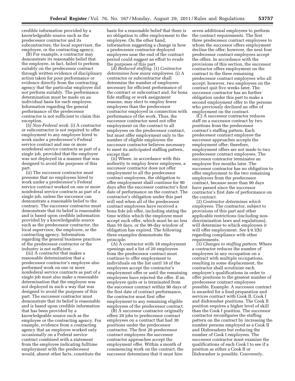credible information provided by a knowledgeable source such as the predecessor contractor and its subcontractors, the local supervisor, the employee, or the contracting agency.

(B) For example, a contractor may demonstrate its reasonable belief that the employee, in fact, failed to perform suitably on the predecessor contract through written evidence of disciplinary action taken for poor performance or evidence directly from the contracting agency that the particular employee did not perform suitably. The performance determination must be made on an individual basis for each employee. Information regarding the general performance of the predecessor contractor is not sufficient to claim this exception.

(5) *Non-Federal work.* (i) A contractor or subcontractor is not required to offer employment to any employee hired to work under a predecessor's Federal service contract and one or more nonfederal service contracts as part of a single job, provided that the employee was not deployed in a manner that was designed to avoid the purposes of this part.

(ii) The successor contractor must presume that no employees hired to work under a predecessor's Federal service contract worked on one or more nonfederal service contracts as part of a single job, unless the successor can demonstrate a reasonable belief to the contrary. The successor contractor must demonstrate that its belief is reasonable and is based upon credible information provided by a knowledgeable source such as the predecessor contractor, the local supervisor, the employee, or the contracting agency. Information regarding the general business practices of the predecessor contractor or the industry is not sufficient.

(iii) A contractor that makes a reasonable determination that a predecessor contractor's employee also performed work on one or more nonfederal service contracts as part of a single job must also make a reasonable determination that the employee was not deployed in such a way that was designed to avoid the purposes of this part. The successor contractor must demonstrate that its belief is reasonable and is based upon credible information that has been provided by a knowledgeable source such as the employee or the contracting agency. For example, evidence from a contracting agency that an employee worked only occasionally on a Federal service contract combined with a statement from the employee indicating fulltime employment with the predecessor would, absent other facts, constitute the

basis for a reasonable belief that there is no obligation to offer employment to the employee. On the other hand, information suggesting a change in how a predecessor contractor deployed employees near the end of the contract period could suggest an effort to evade the purposes of this part.

(d) *Reduced staffing.* (1) *Contractor determines how many employees.* (i) A contractor or subcontractor shall determine the number of employees necessary for efficient performance of the contract or subcontract and, for bona fide staffing or work assignment reasons, may elect to employ fewer employees than the predecessor contractor employed in connection with performance of the work. Thus, the successor contractor need not offer employment on the contract to all employees on the predecessor contract, but must offer employment only to the number of eligible employees the successor contractor believes necessary to meet its anticipated staffing pattern, except that:

(ii) Where, in accordance with this authority to employ fewer employees, a successor contractor does not offer employment to all the predecessor contract employees, the obligation to offer employment shall continue for 90 days after the successor contractor's first date of performance on the contract. The contractor's obligation under this part will end when all of the predecessor contract employees have received a bona fide job offer, including stating the time within which the employee must accept such offer, which must be no less than 10 days, or the 90-day window of obligation has expired. The following three examples demonstrate the principle.

(A) A contractor with 18 employment openings and a list of 20 employees from the predecessor contract must continue to offer employment to individuals on the list until 18 of the employees accept the contractor's employment offer or until the remaining employees have rejected the offer. If an employee quits or is terminated from the successor contract within 90 days of the first date of contract performance, the contractor must first offer employment to any remaining eligible employees of the predecessor contract.

(B) A successor contractor originally offers 20 jobs to predecessor contract employees on a contract that had 30 positions under the predecessor contractor. The first 20 predecessor contract employees the successor contractor approaches accept the employment offer. Within a month of commencing work on the contract, the successor determines that it must hire

seven additional employees to perform the contract requirements. The first three predecessor contract employees to whom the successor offers employment decline the offer; however, the next four predecessor contract employees accept the offers. In accordance with the provisions of this section, the successor contractor offers employment on the contract to the three remaining predecessor contract employees who all accept; however, two employees on the contract quit five weeks later. The successor contractor has no further obligation under this part to make a second employment offer to the persons who previously declined an offer of employment on the contract.

(C) A successor contractor reduces staff on a successor contract by two positions from the predecessor contract's staffing pattern. Each predecessor contract employee the successor approaches accepts the employment offer; therefore, employment offers are not made to two predecessor contract employees. The successor contractor terminates an employee five months later. The successor contractor has no obligation to offer employment to the two remaining employees from the predecessor contract, because more than 90 days have passed since the successor contractor's first date of performance on the contract.

(2) *Contractor determines which employees.* The contractor, subject to provisions of this part and other applicable restrictions (including nondiscrimination laws and regulations), will determine to which employees it will offer employment. *See* § 9.1(b) regarding compliance with other requirements.

(3) *Changes to staffing pattern.* Where a contractor reduces the number of employees in any occupation on a contract with multiple occupations, resulting in some displacement, the contractor shall scrutinize each employee's qualifications in order to offer positions to the greatest number of predecessor contract employees possible. Example: A successor contract is awarded for a food preparation and services contract with Cook II, Cook I and dishwasher positions. The Cook II position requires a higher level of skill than the Cook I position. The successor contractor reconfigures the staffing pattern on the contract by increasing the number persons employed as a Cook II and Dishwashers but reducing the number of Cook I employees. The successor contractor must examine the qualifications of each Cook I to see if a position as either a Cook II or Dishwasher is possible. Conversely,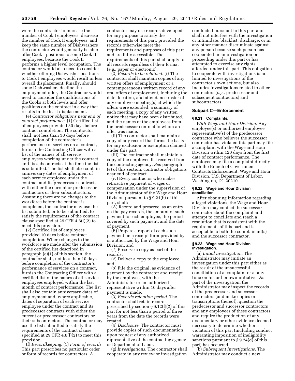were the contractor to increase the number of Cook I employees, decrease the number of Cook II employees, and keep the same number of Dishwashers the contractor would generally be able offer Cook I positions to some Cook II employees, because the Cook II performs a higher level occupation. The contractor would also need to consider whether offering Dishwasher positions to Cook I employees would result in less overall displacement. Finally, should some Dishwashers decline the employment offer, the Contractor would need to consider the qualifications of the Cooks at both levels and offer positions on the contract in a way that results in the least displacement.

(e) *Contractor obligations near end of contract performance.* (1) Certified list of employees provided 30 days before contract completion. The contractor shall, not less than 30 days before completion of the contractor's performance of services on a contract, furnish the Contracting Officer with a list of the names of all service employees working under the contract and its subcontracts at the time the list is submitted. The list shall also contain anniversary dates of employment of each service employee under the contract and its predecessor contracts with either the current or predecessor contractors or their subcontractors. Assuming there are no changes to the workforce before the contract is completed, the contractor may use the list submitted, or to be submitted, to satisfy the requirements of the contract clause specified at 29 CFR 4.6(l)(2) to meet this provision.

(2) Certified list of employees provided 10 days before contract completion. Where changes to the workforce are made after the submission of the certified list described in paragraph (e)(1) of this section, the contractor shall, not less than 10 days before completion of the contractor's performance of services on a contract, furnish the Contracting Officer with a certified list of the names of all service employees employed within the last month of contract performance. The list shall also contain anniversary dates of employment and, where applicable, dates of separation of each service employee under the contract and its predecessor contracts with either the current or predecessor contractors or their subcontractors. The contractor may use the list submitted to satisfy the requirements of the contract clause specified at 29 CFR 4.6(l)(2) to meet this provision.

(f) *Recordkeeping.* (1) *Form of records.*  This part prescribes no particular order or form of records for contractors. A

contractor may use records developed for any purpose to satisfy the requirements of this part, provided the records otherwise meet the requirements and purposes of this part and are fully accessible. The requirements of this part shall apply to all records regardless of their format (*e.g.,* paper or electronic).

(2) *Records to be retained.* (i) The contractor shall maintain copies of any written offers of employment or a contemporaneous written record of any oral offers of employment, including the date, location, and attendance roster of any employee meeting(s) at which the offers were extended, a summary of each meeting, a copy of any written notice that may have been distributed, and the names of the employees from the predecessor contract to whom an offer was made.

(ii) The contractor shall maintain a copy of any record that forms the basis for any exclusion or exemption claimed under this part.

(iii) The contractor shall maintain a copy of the employee list received from the contracting agency. *See* paragraph (e) of this section, contractor obligations near end of contract.

(iv) Every contractor who makes retroactive payment of wages or compensation under the supervision of the Administrator of the Wage and Hour Division pursuant to § 9.24(b) of this part, shall:

(A) Record and preserve, as an entry on the pay records, the amount of such payment to each employee, the period covered by such payment, and the date of payment.

(B) Prepare a report of each such payment on a receipt form provided by or authorized by the Wage and Hour Division, and

(*1*) Preserve a copy as part of the records,

(*2*) Deliver a copy to the employee, and

(*3*) File the original, as evidence of payment by the contractor and receipt by the employee, with the Administrator or an authorized representative within 10 days after payment is made.

(3) *Records retention period.* The contractor shall retain records prescribed by section § 9.12(f)(2) of this part for not less than a period of three years from the date the records were created.

(4) *Disclosure.* The contractor must provide copies of such documentation upon request of any authorized representative of the contracting agency or Department of Labor.

(g) *Investigations.* The contractor shall cooperate in any review or investigation

conducted pursuant to this part and shall not interfere with the investigation or intimidate, blacklist, discharge, or in any other manner discriminate against any person because such person has cooperated in an investigation or proceeding under this part or has attempted to exercise any rights afforded under this part. This obligation to cooperate with investigations is not limited to investigations of the contractor's own actions, but also includes investigations related to other contractors (*e.g.,* predecessor and subsequent contractors) and subcontractors.

# **Subpart C—Enforcement**

# **§ 9.21 Complaints.**

*With Wage and Hour Division.* Any employee(s) or authorized employee representative(s) of the predecessor contractor who believes the successor contractor has violated this part may file a complaint with the Wage and Hour Division within 120 days from the first date of contract performance. The employee may file a complaint directly with the Branch of Government Contracts Enforcement, Wage and Hour Division, U.S. Department of Labor, Washington, DC 20210.

#### **§ 9.22 Wage and Hour Division conciliation.**

After obtaining information regarding alleged violations, the Wage and Hour Division may contact the successor contractor about the complaint and attempt to conciliate and reach a resolution that is consistent with the requirements of this part and is acceptable to both the complainant(s) and the successor contractor.

#### **§ 9.23 Wage and Hour Division investigation.**

(a) *Initial investigation.* The Administrator may initiate an investigation under this part either as the result of the unsuccessful conciliation of a complaint or at any time on his or her own initiative. As part of the investigation, the Administrator may inspect the records of the predecessor and successor contractors (and make copies or transcriptions thereof), question the predecessor and successor contractors and any employees of these contractors, and require the production of any documentary or other evidence deemed necessary to determine whether a violation of this part (including conduct warranting imposition of ineligibility sanctions pursuant to § 9.24(d) of this part) has occurred.

(b) *Subsequent investigations.* The Administrator may conduct a new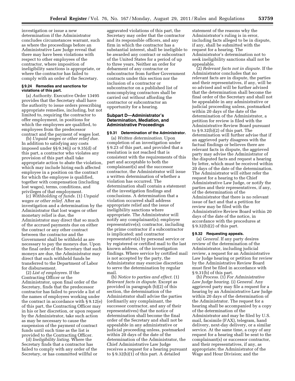investigation or issue a new determination if the Administrator concludes circumstances warrant, such as where the proceedings before an Administrative Law Judge reveal that there may have been violations with respect to other employees of the contractor, where imposition of ineligibility sanctions is appropriate, or where the contractor has failed to comply with an order of the Secretary.

### **§ 9.24 Remedies and sanctions for violations of this part.**

(a) *Authority.* Executive Order 13495 provides that the Secretary shall have the authority to issue orders prescribing appropriate remedies, including, but not limited to, requiring the contractor to offer employment, in positions for which the employees are qualified, to employees from the predecessor contract and the payment of wages lost.

(b) *Unpaid wages or other relief due.*  In addition to satisfying any costs imposed under §§ 9.34(j) or 9.35(d) of this part, a contractor who violates any provision of this part shall take appropriate action to abate the violation, which may include hiring each affected employee in a position on the contract for which the employee is qualified, together with compensation (including lost wages), terms, conditions, and privileges of that employment.

(c) *Withholding of funds.* (1) *Unpaid wages or other relief.* After an investigation and a determination by the Administrator that lost wages or other monetary relief is due, the Administrator may direct that so much of the accrued payments due on either the contract or any other contract between the contractor and the Government shall be withheld as are necessary to pay the moneys due. Upon the final order of the Secretary that such moneys are due, the Administrator may direct that such withheld funds be transferred to the Department of Labor for disbursement.

(2) *List of employees.* If the Contracting Officer or the Administrator, upon final order of the Secretary, finds that the predecessor contractor has failed to provide a list of the names of employees working under the contract in accordance with § 9.12(e) of this part, the Contracting Officer may in his or her discretion, or upon request by the Administrator, take such action as may be necessary to cause the suspension of the payment of contract funds until such time as the list is provided to the Contracting Officer.

(d) *Ineligibility listing.* Where the Secretary finds that a contractor has failed to comply with any order of the Secretary, or has committed willful or

aggravated violations of this part, the Secretary may order that the contractor and its responsible officers, and any firm in which the contractor has a substantial interest, shall be ineligible to be awarded any contract or subcontract of the United States for a period of up to three years. Neither an order for debarment of any contractor or subcontractor from further Government contracts under this section nor the inclusion of a contractor or subcontractor on a published list of noncomplying contractors shall be carried out without affording the contractor or subcontractor an opportunity for a hearing.

# **Subpart D—Administrator's Determination, Mediation, and Administrative Proceedings**

#### **§ 9.31 Determination of the Administrator.**

(a) *Written determination.* Upon completion of an investigation under § 9.23 of this part, and provided that a resolution is not reached that is consistent with the requirements of this part and acceptable to both the complainant(s) and the successor contractor, the Administrator will issue a written determination of whether a violation has occurred. The determination shall contain a statement of the investigation findings and conclusions. A determination that a violation occurred shall address appropriate relief and the issue of ineligibility sanctions where appropriate. The Administrator will notify any complainant(s); employee representative(s); contractor, including the prime contractor if a subcontractor is implicated; and contractor representative(s) by personal service or by registered or certified mail to the last known address, of the investigation findings. Where service by certified mail is not accepted by the party, the Administrator may exercise discretion to serve the determination by regular mail.

(b) *Notice to parties and effect.* (1) *Relevant facts in dispute.* Except as provided in paragraph (b)(2) of this section, the determination of the Administrator shall advise the parties (ordinarily any complainant, the successor contractor, and any of their representatives) that the notice of determination shall become the final order of the Secretary and shall not be appealable in any administrative or judicial proceeding unless, postmarked within 20 days of the date of the determination of the Administrator, the Chief Administrative Law Judge receives a request for a hearing pursuant to § 9.32(b)(1) of this part. A detailed

statement of the reasons why the Administrator's ruling is in error, including facts alleged to be in dispute, if any, shall be submitted with the request for a hearing. The Administrator's determination not to seek ineligibility sanctions shall not be appealable.

(2) *Relevant facts not in dispute.* If the Administrator concludes that no relevant facts are in dispute, the parties and their representatives, if any, will be so advised and will be further advised that the determination shall become the final order of the Secretary and shall not be appealable in any administrative or judicial proceeding unless, postmarked within 20 days of the date of the determination of the Administrator, a petition for review is filed with the Administrative Review Board pursuant to § 9.32(b)(2) of this part. The determination will further advise that if an aggrieved party disagrees with the factual findings or believes there are relevant facts in dispute, the aggrieved party may advise the Administrator of the disputed facts and request a hearing by letter, which must be received within 20 days of the date of the determination. The Administrator will either refer the request for a hearing to the Chief Administrative Law Judge, or notify the parties and their representatives, if any, of the determination of the Administrator that there is no relevant issue of fact and that a petition for review may be filed with the Administrative Review Board within 20 days of the date of the notice, in accordance with the procedures at § 9.32(b)(2) of this part.

#### **§ 9.32 Requesting appeals.**

(a) *General.* If any party desires review of the determination of the Administrator, including judicial review, a request for an Administrative Law Judge hearing or petition for review by the Administrative Review Board must first be filed in accordance with § 9.31(b) of this part.

(b) *Process.* (1) *For Administrative Law Judge hearing.* (i) *General.* Any aggrieved party may file a request for a hearing by an Administrative Law Judge within 20 days of the determination of the Administrator. The request for a hearing shall be accompanied by a copy of the determination of the Administrator and may be filed by U.S. mail, facsimile (FAX), telegram, hand delivery, next-day delivery, or a similar service. At the same time, a copy of any request for a hearing shall be sent to the complainant(s) or successor contractor, and their representatives, if any, as appropriate; the Administrator of the Wage and Hour Division; and the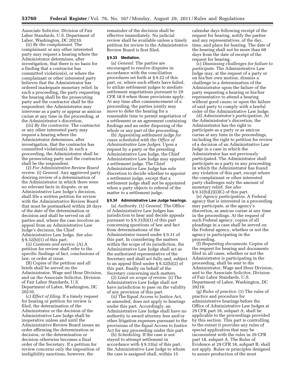Associate Solicitor, Division of Fair Labor Standards, U.S. Department of Labor, Washington, DC 20210.

(ii) *By the complainant.* The complainant or any other interested party may request a hearing where the Administrator determines, after investigation, that there is no basis for a finding that a contractor has committed violation(s), or where the complainant or other interested party believes that the Administrator has ordered inadequate monetary relief. In such a proceeding, the party requesting the hearing shall be the prosecuting party and the contractor shall be the respondent; the Administrator may intervene as a party or appear as amicus curiae at any time in the proceeding, at the Administrator's discretion.

(iii) *By the contractor.* The contractor or any other interested party may request a hearing where the Administrator determines, after investigation, that the contractor has committed violation(s). In such a proceeding, the Administrator shall be the prosecuting party and the contractor shall be the respondent.

(2) *For Administrative Review Board review.* (i) *General.* Any aggrieved party desiring review of a determination of the Administrator in which there were no relevant facts in dispute, or an Administrative Law Judge's decision, shall file a written petition for review with the Administrative Review Board that must be postmarked within 20 days of the date of the determination or decision and shall be served on all parties and, where the case involves an appeal from an Administrative Law Judge's decision, the Chief Administrative Law Judge. *See also*  § 9.32(b)(1) of this part.

(ii) *Contents and service.* (A) A petition for review shall refer to the specific findings of fact, conclusions of law, or order at issue.

(B) Copies of the petition and all briefs shall be served on the Administrator, Wage and Hour Division, and on the Associate Solicitor, Division of Fair Labor Standards, U.S. Department of Labor, Washington, DC 20210.

(c) *Effect of filing.* If a timely request for hearing or petition for review is filed, the determination of the Administrator or the decision of the Administrative Law Judge shall be inoperative unless and until the Administrative Review Board issues an order affirming the determination or decision, or the determination or decision otherwise becomes a final order of the Secretary. If a petition for review concerns only the imposition of ineligibility sanctions, however, the

remainder of the decision shall be effective immediately. No judicial review shall be available unless a timely petition for review to the Administrative Review Board is first filed.

#### **§ 9.33 Mediation.**

(a) *General.* The parties are encouraged to resolve disputes in accordance with the conciliation procedures set forth at § 9.22 of this part, or, where such efforts have failed, to utilize settlement judges to mediate settlement negotiations pursuant to 29 CFR 18.9 when those provisions apply. At any time after commencement of a proceeding, the parties jointly may move to defer the hearing for a reasonable time to permit negotiation of a settlement or an agreement containing findings and an order disposing of the whole or any part of the proceeding.

(b) *Appointing settlement judge for cases scheduled with the Office of Administrative Law Judges.* Upon a request by a party or the presiding Administrative Law Judge, the Chief Administrative Law Judge may appoint a settlement judge. The Chief Administrative Law Judge has sole discretion to decide whether to appoint a settlement judge, except that a settlement judge shall not be appointed when a party objects to referral of the matter to a settlement judge.

# **§ 9.34 Administrative Law Judge hearings.**

(a) *Authority.* (1) *General.* The Office of Administrative Law Judges has jurisdiction to hear and decide appeals pursuant to § 9.31(b)(1) of this part concerning questions of law and fact from determinations of the Administrator issued under § 9.31 of this part. In considering the matters within the scope of its jurisdiction, the Administrative Law Judge shall act as the authorized representative of the Secretary and shall act fully and, subject to an appeal filed under § 9.32(b)(2) of this part, finally on behalf of the Secretary concerning such matters.

(2) *Limit on scope of review.* (i) The Administrative Law Judge shall not have jurisdiction to pass on the validity of any provision of this part.

(ii) The Equal Access to Justice Act, as amended, does not apply to hearings under this part. Accordingly, an Administrative Law Judge shall have no authority to award attorney fees and/or other litigation expenses pursuant to the provisions of the Equal Access to Justice Act for any proceeding under this part.

(b) *Scheduling.* If the case is not stayed to attempt settlement in accordance with § 9.33(a) of this part, the Administrative Law Judge to whom the case is assigned shall, within 15

calendar days following receipt of the request for hearing, notify the parties and any representatives, of the day, time, and place for hearing. The date of the hearing shall not be more than 60 days from the date of receipt of the request for hearing.

(c) *Dismissing challenges for failure to participate.* The Administrative Law Judge may, at the request of a party or on his/her own motion, dismiss a challenge to a determination of the Administrator upon the failure of the party requesting a hearing or his/her representative to attend a hearing without good cause; or upon the failure of said party to comply with a lawful order of the Administrative Law Judge.

(d) *Administrator's participation.* At the Administrator's discretion, the Administrator has the right to participate as a party or as amicus curiae at any time in the proceedings, including the right to petition for review of a decision of an Administrative Law Judge in a case in which the Administrator has not previously participated. The Administrator shall participate as a party in any proceeding in which the Administrator has found any violation of this part, except where the complainant or other interested party challenges only the amount of monetary relief. *See also*  § 9.32(b)(2)(i)(C) of this part.

(e) *Agency participation.* A Federal agency that is interested in a proceeding may participate, at the agency's discretion, as amicus curiae at any time in the proceedings. At the request of such Federal agency, copies of all pleadings in a case shall be served on the Federal agency, whether or not the agency is participating in the proceeding.

(f) *Requesting documents.* Copies of the request for hearing and documents filed in all cases, whether or not the Administrator is participating in the proceeding, shall be sent to the Administrator, Wage and Hour Division, and to the Associate Solicitor, Division of Fair Labor Standards, U.S. Department of Labor, Washington, DC 20210.

(g) *Rules of practice.* (1) The rules of practice and procedure for administrative hearings before the Office of Administrative Law Judges at 29 CFR part 18, subpart A, shall be applicable to the proceedings provided by this section. This part is controlling to the extent it provides any rules of special application that may be inconsistent with the rules in 29 CFR part 18, subpart A. The Rules of Evidence at 29 CFR 18, subpart B, shall not apply. Rules or principles designed to assure production of the most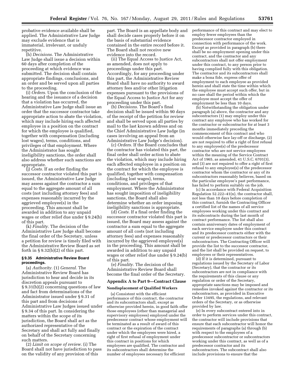probative evidence available shall be applied. The Administrative Law Judge may exclude evidence that is immaterial, irrelevant, or unduly repetitive.

(h) *Decisions.* The Administrative Law Judge shall issue a decision within 60 days after completion of the proceeding at which evidence was submitted. The decision shall contain appropriate findings, conclusions, and an order and be served upon all parties to the proceeding.

(i) *Orders.* Upon the conclusion of the hearing and the issuance of a decision that a violation has occurred, the Administrative Law Judge shall issue an order that the successor contractor take appropriate action to abate the violation, which may include hiring each affected employee in a position on the contract for which the employee is qualified, together with compensation (including lost wages), terms, conditions, and privileges of that employment. Where the Administrator has sought ineligibility sanctions, the order shall also address whether such sanctions are appropriate.

(j) *Costs.* If an order finding the successor contractor violated this part is issued, the Administrative Law Judge may assess against the contractor a sum equal to the aggregate amount of all costs (not including attorney fees) and expenses reasonably incurred by the aggrieved employee(s) in the proceeding. This amount shall be awarded in addition to any unpaid wages or other relief due under § 9.24(b) of this part.

(k) *Finality.* The decision of the Administrative Law Judge shall become the final order of the Secretary, unless a petition for review is timely filed with the Administrative Review Board as set forth in  $\S 9.32(b)(2)$  of this part.

#### **§ 9.35 Administrative Review Board proceedings.**

(a) *Authority.* (1) *General.* The Administrative Review Board has jurisdiction to hear and decide in its discretion appeals pursuant to § 9.31(b)(2) concerning questions of law and fact from determinations of the Administrator issued under § 9.31 of this part and from decisions of Administrative Law Judges issued under § 9.34 of this part. In considering the matters within the scope of its jurisdiction, the Board shall act as the authorized representative of the Secretary and shall act fully and finally on behalf of the Secretary concerning such matters.

(2) *Limit on scope of review.* (i) The Board shall not have jurisdiction to pass on the validity of any provision of this

part. The Board is an appellate body and shall decide cases properly before it on the basis of substantial evidence contained in the entire record before it. The Board shall not receive new evidence into the record.

(ii) The Equal Access to Justice Act, as amended, does not apply to proceedings under this part. Accordingly, for any proceeding under this part, the Administrative Review Board shall have no authority to award attorney fees and/or other litigation expenses pursuant to the provisions of the Equal Access to Justice Act for any proceeding under this part.

(b) *Decisions.* The Board's final decision shall be issued within 90 days of the receipt of the petition for review and shall be served upon all parties by mail to the last known address and on the Chief Administrative Law Judge (in cases involving an appeal from an Administrative Law Judge's decision).

(c) *Orders.* If the Board concludes that the contractor has violated this part, the final order shall order action to abate the violation, which may include hiring each affected employee in a position on the contract for which the employee is qualified, together with compensation (including lost wages), terms, conditions, and privileges of that employment. Where the Administrator has sought imposition of ineligibility sanctions, the Board shall also determine whether an order imposing ineligibility sanctions is appropriate.

(d) *Costs.* If a final order finding the successor contractor violated this part is issued, the Board may assess against the contractor a sum equal to the aggregate amount of all costs (not including attorney fees) and expenses reasonably incurred by the aggrieved employee(s) in the proceeding. This amount shall be awarded in addition to any unpaid wages or other relief due under § 9.24(b) of this part.

(e) *Finality.* The decision of the Administrative Review Board shall become the final order of the Secretary.

### **Appendix A to Part 9—Contract Clause**

#### **Nondisplacement of Qualified Workers**

(a) Consistent with the efficient performance of this contract, the contractor and its subcontractors shall, except as otherwise provided herein, in good faith offer those employees (other than managerial and supervisory employees) employed under the predecessor contract whose employment will be terminated as a result of award of this contract or the expiration of the contract under which the employees were hired, a right of first refusal of employment under this contract in positions for which employees are qualified. The contractor and its subcontractors shall determine the number of employees necessary for efficient

performance of this contract and may elect to employ fewer employees than the predecessor contractor employed in connection with performance of the work. Except as provided in paragraph (b) there shall be no employment opening under this contract, and the contractor and any subcontractors shall not offer employment under this contract, to any person prior to having complied fully with this obligation. The contractor and its subcontractors shall make a bona fide, express offer of employment to each employee as provided herein and shall state the time within which the employee must accept such offer, but in no case shall the period within which the employee must accept the offer of employment be less than 10 days.

(b) Notwithstanding the obligation under paragraph (a) above, the contractor and any subcontractors (1) may employ under this contract any employee who has worked for the contractor or subcontractor for at least 3 months immediately preceding the commencement of this contract and who would otherwise face lay-off or discharge, (2) are not required to offer a right of first refusal to any employee(s) of the predecessor contractor who are not service employees within the meaning of the Service Contract Act of 1965, as amended, 41 U.S.C. 6701(3), and (3) are not required to offer a right of first refusal to any employee(s) of the predecessor contractor whom the contractor or any of its subcontractors reasonably believes, based on the particular employee's past performance, has failed to perform suitably on the job.

(c) In accordance with Federal Acquisition Regulation 52.222–41(n), the contractor shall, not less than 10 days before completion of this contract, furnish the Contracting Officer a certified list of the names of all service employees working under this contract and its subcontracts during the last month of contract performance. The list shall also contain anniversary dates of employment of each service employee under this contract and its predecessor contracts either with the current or predecessor contractors or their subcontractors. The Contracting Officer will provide the list to the successor contractor, and the list shall be provided on request, to employees or their representatives.

(d) If it is determined, pursuant to regulations issued by the Secretary of Labor (Secretary), that the contractor or its subcontractors are not in compliance with the requirements of this clause or any regulation or order of the Secretary, appropriate sanctions may be imposed and remedies invoked against the contractor or its subcontractors, as provided in Executive Order 13495, the regulations, and relevant orders of the Secretary, or as otherwise provided by law.

(e) In every subcontract entered into in order to perform services under this contract, the contractor will include provisions that ensure that each subcontractor will honor the requirements of paragraphs (a) through (b) with respect to the employees of a predecessor subcontractor or subcontractors working under this contract, as well as of a predecessor contractor and its subcontractors. The subcontract shall also include provisions to ensure that the